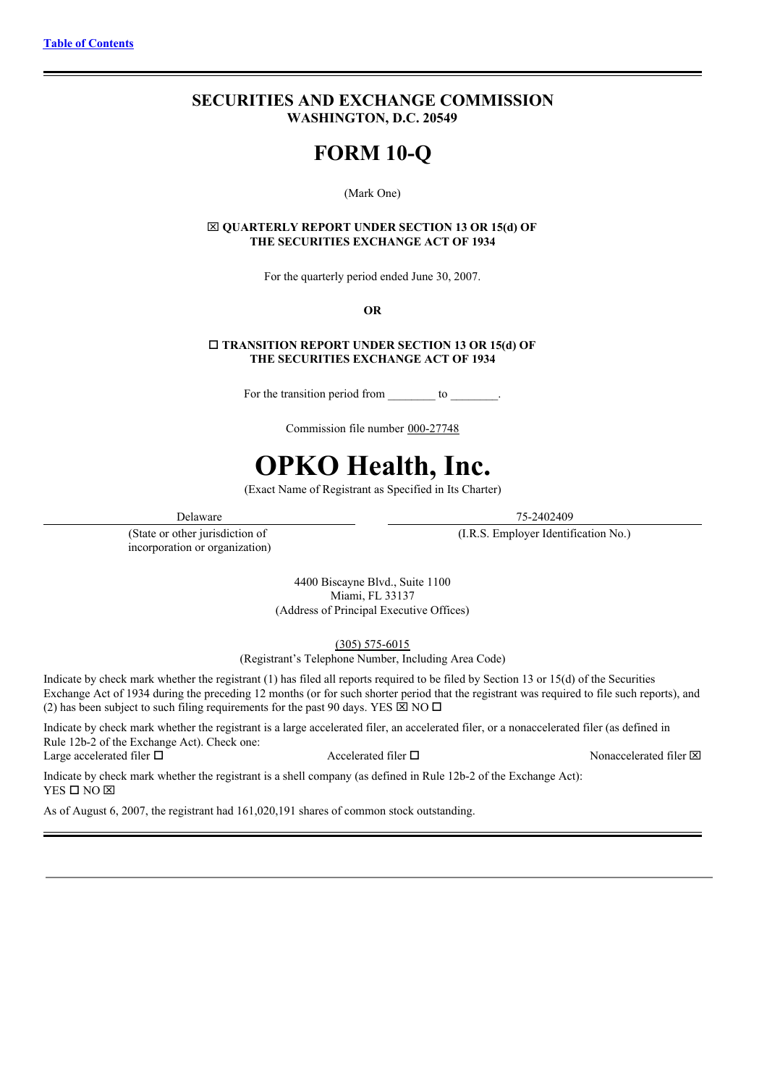# **SECURITIES AND EXCHANGE COMMISSION WASHINGTON, D.C. 20549**

# **FORM 10-Q**

#### (Mark One)

## x **QUARTERLY REPORT UNDER SECTION 13 OR 15(d) OF THE SECURITIES EXCHANGE ACT OF 1934**

For the quarterly period ended June 30, 2007.

#### **OR**

## o **TRANSITION REPORT UNDER SECTION 13 OR 15(d) OF THE SECURITIES EXCHANGE ACT OF 1934**

For the transition period from \_\_\_\_\_\_\_\_\_ to \_\_\_\_\_\_\_\_.

Commission file number 000-27748

# **OPKO Health, Inc.**

(Exact Name of Registrant as Specified in Its Charter)

(State or other jurisdiction of incorporation or organization)

Delaware 75-2402409

(I.R.S. Employer Identification No.)

4400 Biscayne Blvd., Suite 1100 Miami, FL 33137 (Address of Principal Executive Offices)

(305) 575-6015

(Registrant's Telephone Number, Including Area Code)

Indicate by check mark whether the registrant (1) has filed all reports required to be filed by Section 13 or 15(d) of the Securities Exchange Act of 1934 during the preceding 12 months (or for such shorter period that the registrant was required to file such reports), and (2) has been subject to such filing requirements for the past 90 days. YES  $\boxtimes$  NO  $\Box$ 

Indicate by check mark whether the registrant is a large accelerated filer, an accelerated filer, or a nonaccelerated filer (as defined in Rule 12b-2 of the Exchange Act). Check one: Large accelerated filer  $\square$  Accelerated filer  $\square$  Nonaccelerated filer  $\square$ 

Indicate by check mark whether the registrant is a shell company (as defined in Rule 12b-2 of the Exchange Act):  $YES$   $\square$   $NO$   $\nabla$ 

As of August 6, 2007, the registrant had 161,020,191 shares of common stock outstanding.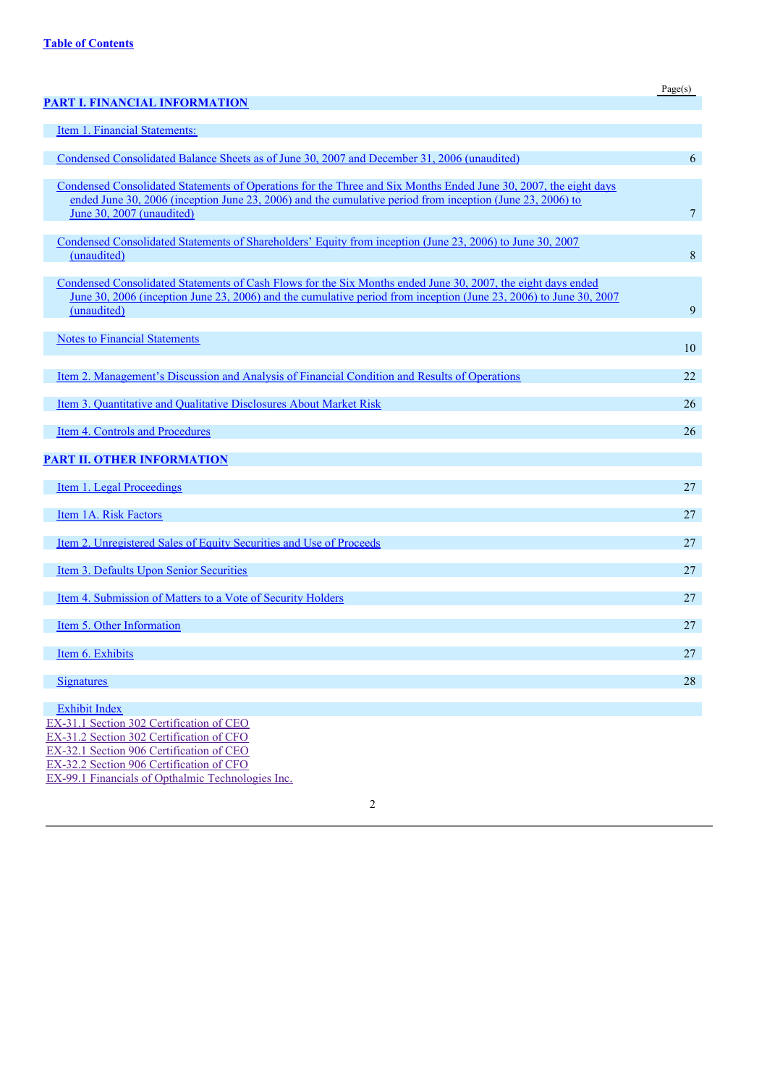|                                                                                                                          | Page(s)        |
|--------------------------------------------------------------------------------------------------------------------------|----------------|
| <b>PART I. FINANCIAL INFORMATION</b>                                                                                     |                |
| Item 1. Financial Statements:                                                                                            |                |
|                                                                                                                          |                |
| Condensed Consolidated Balance Sheets as of June 30, 2007 and December 31, 2006 (unaudited)                              | 6              |
| Condensed Consolidated Statements of Operations for the Three and Six Months Ended June 30, 2007, the eight days         |                |
| ended June 30, 2006 (inception June 23, 2006) and the cumulative period from inception (June 23, 2006) to                |                |
| June 30, 2007 (unaudited)                                                                                                | $\overline{7}$ |
|                                                                                                                          |                |
| Condensed Consolidated Statements of Shareholders' Equity from inception (June 23, 2006) to June 30, 2007<br>(unaudited) | 8              |
|                                                                                                                          |                |
| Condensed Consolidated Statements of Cash Flows for the Six Months ended June 30, 2007, the eight days ended             |                |
| <u>June 30, 2006 (inception June 23, 2006) and the cumulative period from inception (June 23, 2006) to June 30, 2007</u> |                |
| (unaudited)                                                                                                              | 9              |
| <b>Notes to Financial Statements</b>                                                                                     |                |
|                                                                                                                          | 10             |
|                                                                                                                          |                |
| Item 2. Management's Discussion and Analysis of Financial Condition and Results of Operations                            | 22             |
| Item 3. Quantitative and Qualitative Disclosures About Market Risk                                                       | 26             |
|                                                                                                                          |                |
| Item 4. Controls and Procedures                                                                                          | 26             |
| <b>PART II. OTHER INFORMATION</b>                                                                                        |                |
|                                                                                                                          |                |
| Item 1. Legal Proceedings                                                                                                | 27             |
|                                                                                                                          |                |
| Item 1A. Risk Factors                                                                                                    | 27             |
| <u>Item 2. Unregistered Sales of Equity Securities and Use of Proceeds</u>                                               | 27             |
|                                                                                                                          |                |
| Item 3. Defaults Upon Senior Securities                                                                                  | 27             |
| Item 4. Submission of Matters to a Vote of Security Holders                                                              | 27             |
|                                                                                                                          |                |
| Item 5. Other Information                                                                                                | 27             |
|                                                                                                                          |                |
| Item 6. Exhibits                                                                                                         | 27             |
| <b>Signatures</b>                                                                                                        | 28             |
|                                                                                                                          |                |
| <b>Exhibit Index</b>                                                                                                     |                |
| EX-31.1 Section 302 Certification of CEO                                                                                 |                |
| EX-31.2 Section 302 Certification of CFO<br>EX-32.1 Section 906 Certification of CEO                                     |                |
| EX-32.2 Section 906 Certification of CFO                                                                                 |                |
| EX-99.1 Financials of Opthalmic Technologies Inc.                                                                        |                |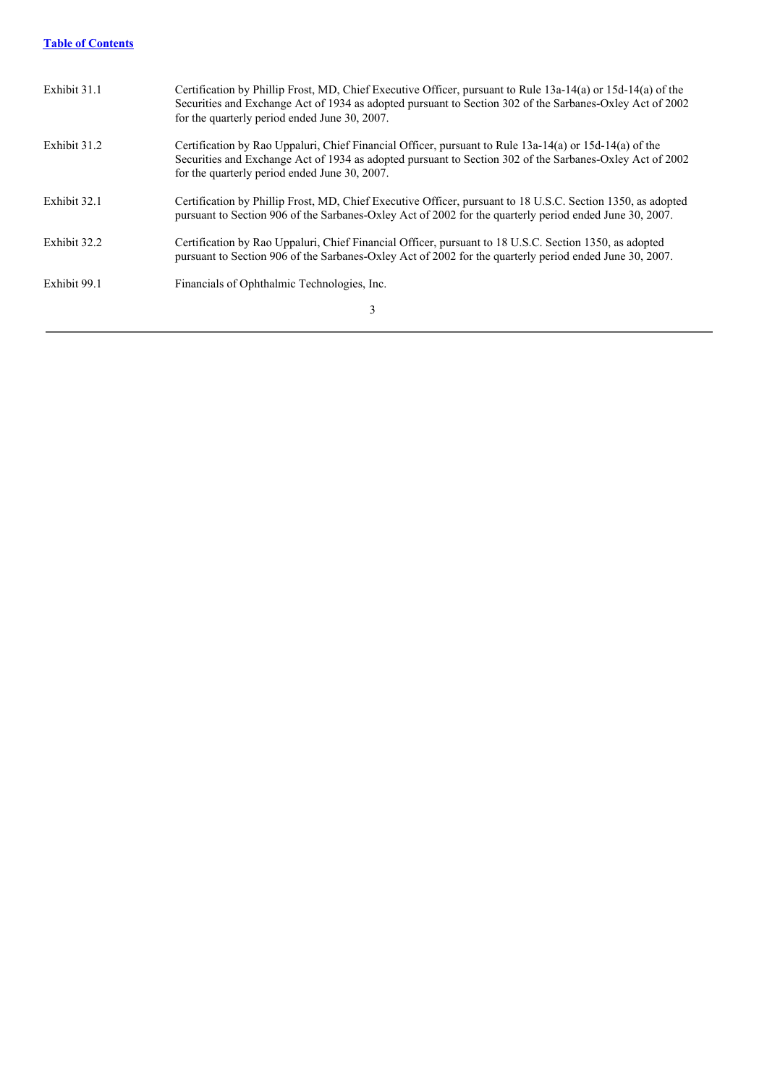# **Table of Contents**

| Exhibit 31.1 | Certification by Phillip Frost, MD, Chief Executive Officer, pursuant to Rule 13a-14(a) or 15d-14(a) of the<br>Securities and Exchange Act of 1934 as adopted pursuant to Section 302 of the Sarbanes-Oxley Act of 2002<br>for the quarterly period ended June 30, 2007. |
|--------------|--------------------------------------------------------------------------------------------------------------------------------------------------------------------------------------------------------------------------------------------------------------------------|
| Exhibit 31.2 | Certification by Rao Uppaluri, Chief Financial Officer, pursuant to Rule 13a-14(a) or 15d-14(a) of the<br>Securities and Exchange Act of 1934 as adopted pursuant to Section 302 of the Sarbanes-Oxley Act of 2002<br>for the quarterly period ended June 30, 2007.      |
| Exhibit 32.1 | Certification by Phillip Frost, MD, Chief Executive Officer, pursuant to 18 U.S.C. Section 1350, as adopted<br>pursuant to Section 906 of the Sarbanes-Oxley Act of 2002 for the quarterly period ended June 30, 2007.                                                   |
| Exhibit 32.2 | Certification by Rao Uppaluri, Chief Financial Officer, pursuant to 18 U.S.C. Section 1350, as adopted<br>pursuant to Section 906 of the Sarbanes-Oxley Act of 2002 for the quarterly period ended June 30, 2007.                                                        |
| Exhibit 99.1 | Financials of Ophthalmic Technologies, Inc.                                                                                                                                                                                                                              |
|              | 3                                                                                                                                                                                                                                                                        |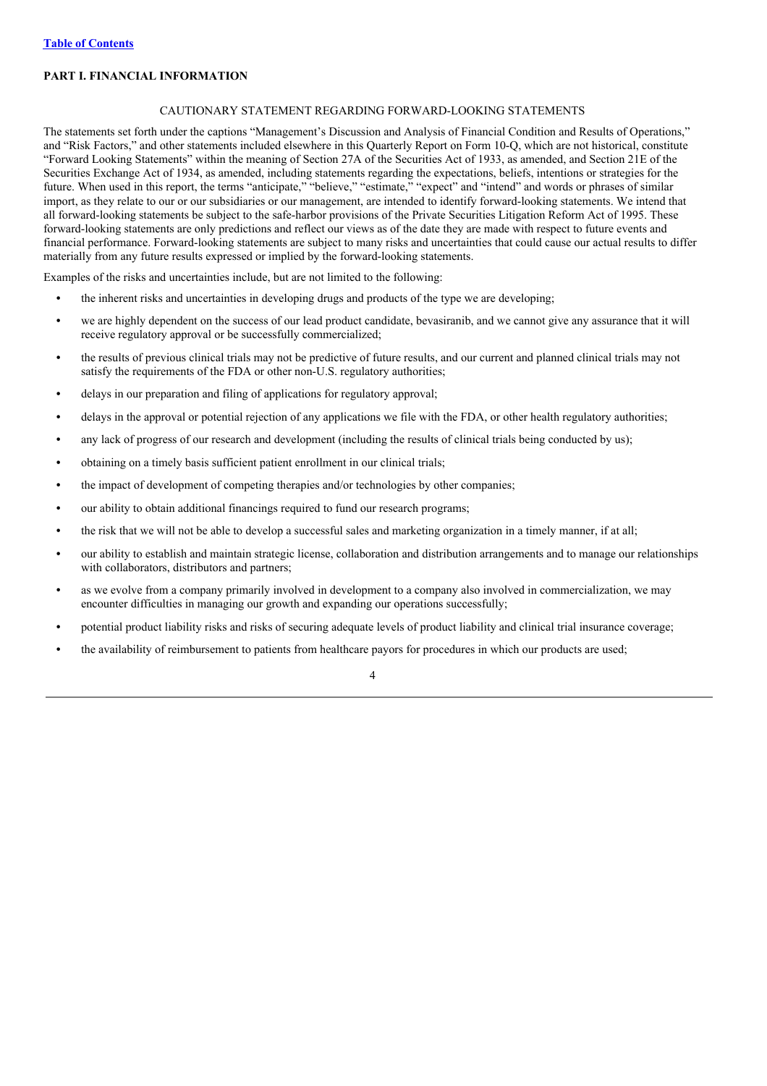## **PART I. FINANCIAL INFORMATION**

#### CAUTIONARY STATEMENT REGARDING FORWARD-LOOKING STATEMENTS

The statements set forth under the captions "Management's Discussion and Analysis of Financial Condition and Results of Operations," and "Risk Factors," and other statements included elsewhere in this Quarterly Report on Form 10-Q, which are not historical, constitute "Forward Looking Statements" within the meaning of Section 27A of the Securities Act of 1933, as amended, and Section 21E of the Securities Exchange Act of 1934, as amended, including statements regarding the expectations, beliefs, intentions or strategies for the future. When used in this report, the terms "anticipate," "believe," "estimate," "expect" and "intend" and words or phrases of similar import, as they relate to our or our subsidiaries or our management, are intended to identify forward-looking statements. We intend that all forward-looking statements be subject to the safe-harbor provisions of the Private Securities Litigation Reform Act of 1995. These forward-looking statements are only predictions and reflect our views as of the date they are made with respect to future events and financial performance. Forward-looking statements are subject to many risks and uncertainties that could cause our actual results to differ materially from any future results expressed or implied by the forward-looking statements.

Examples of the risks and uncertainties include, but are not limited to the following:

- the inherent risks and uncertainties in developing drugs and products of the type we are developing;
- we are highly dependent on the success of our lead product candidate, bevasiranib, and we cannot give any assurance that it will receive regulatory approval or be successfully commercialized;
- the results of previous clinical trials may not be predictive of future results, and our current and planned clinical trials may not satisfy the requirements of the FDA or other non-U.S. regulatory authorities;
- **•** delays in our preparation and filing of applications for regulatory approval;
- **•** delays in the approval or potential rejection of any applications we file with the FDA, or other health regulatory authorities;
- any lack of progress of our research and development (including the results of clinical trials being conducted by us);
- **•** obtaining on a timely basis sufficient patient enrollment in our clinical trials;
- the impact of development of competing therapies and/or technologies by other companies;
- **•** our ability to obtain additional financings required to fund our research programs;
- the risk that we will not be able to develop a successful sales and marketing organization in a timely manner, if at all;
- **•** our ability to establish and maintain strategic license, collaboration and distribution arrangements and to manage our relationships with collaborators, distributors and partners;
- **•** as we evolve from a company primarily involved in development to a company also involved in commercialization, we may encounter difficulties in managing our growth and expanding our operations successfully;
- **•** potential product liability risks and risks of securing adequate levels of product liability and clinical trial insurance coverage;
- **•** the availability of reimbursement to patients from healthcare payors for procedures in which our products are used;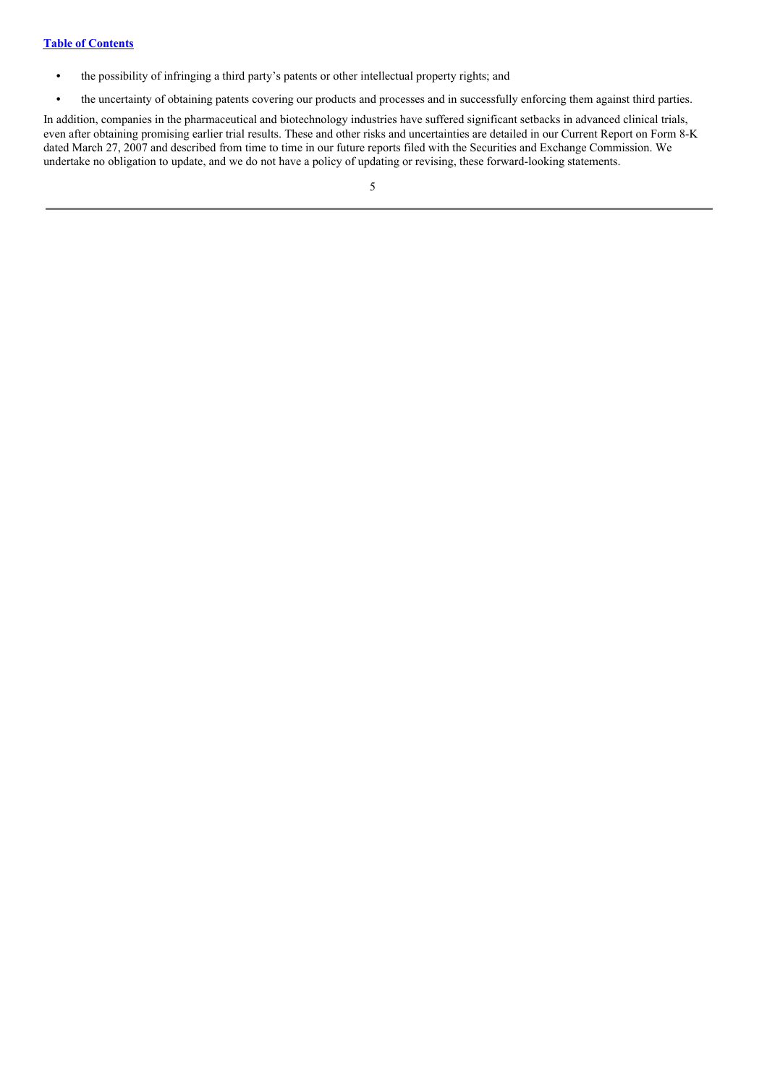- **•** the possibility of infringing a third party's patents or other intellectual property rights; and
- the uncertainty of obtaining patents covering our products and processes and in successfully enforcing them against third parties.

In addition, companies in the pharmaceutical and biotechnology industries have suffered significant setbacks in advanced clinical trials, even after obtaining promising earlier trial results. These and other risks and uncertainties are detailed in our Current Report on Form 8-K dated March 27, 2007 and described from time to time in our future reports filed with the Securities and Exchange Commission. We undertake no obligation to update, and we do not have a policy of updating or revising, these forward-looking statements.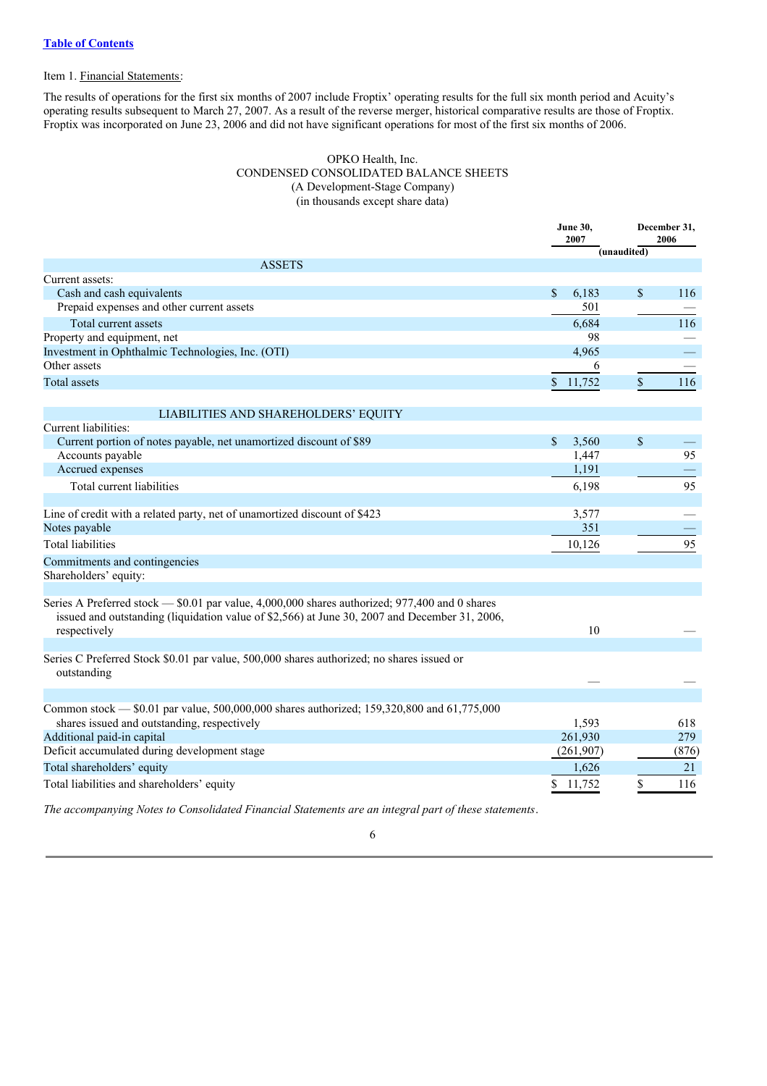## Item 1. Financial Statements:

The results of operations for the first six months of 2007 include Froptix' operating results for the full six month period and Acuity's operating results subsequent to March 27, 2007. As a result of the reverse merger, historical comparative results are those of Froptix. Froptix was incorporated on June 23, 2006 and did not have significant operations for most of the first six months of 2006.

## OPKO Health, Inc. CONDENSED CONSOLIDATED BALANCE SHEETS (A Development-Stage Company) (in thousands except share data)

|                                                                                                                                                                                                 | <b>June 30,</b><br>2007 |             | December 31,<br>2006 |
|-------------------------------------------------------------------------------------------------------------------------------------------------------------------------------------------------|-------------------------|-------------|----------------------|
|                                                                                                                                                                                                 |                         | (unaudited) |                      |
| <b>ASSETS</b>                                                                                                                                                                                   |                         |             |                      |
| Current assets:<br>Cash and cash equivalents                                                                                                                                                    | \$<br>6,183             | \$          | 116                  |
| Prepaid expenses and other current assets                                                                                                                                                       | 501                     |             |                      |
| Total current assets                                                                                                                                                                            | 6.684                   |             | 116                  |
| Property and equipment, net                                                                                                                                                                     | 98                      |             |                      |
| Investment in Ophthalmic Technologies, Inc. (OTI)                                                                                                                                               | 4,965                   |             |                      |
| Other assets                                                                                                                                                                                    | 6                       |             |                      |
| <b>Total assets</b>                                                                                                                                                                             | \$11,752                | \$          | 116                  |
| LIABILITIES AND SHAREHOLDERS' EQUITY                                                                                                                                                            |                         |             |                      |
| Current liabilities:                                                                                                                                                                            |                         |             |                      |
| Current portion of notes payable, net unamortized discount of \$89                                                                                                                              | \$<br>3,560             | \$          |                      |
| Accounts payable                                                                                                                                                                                | 1,447                   |             | 95                   |
| Accrued expenses                                                                                                                                                                                | 1,191                   |             |                      |
| Total current liabilities                                                                                                                                                                       | 6,198                   |             | 95                   |
| Line of credit with a related party, net of unamortized discount of \$423                                                                                                                       | 3,577                   |             |                      |
| Notes payable                                                                                                                                                                                   | 351                     |             |                      |
| <b>Total liabilities</b>                                                                                                                                                                        | 10,126                  |             | 95                   |
| Commitments and contingencies                                                                                                                                                                   |                         |             |                      |
| Shareholders' equity:                                                                                                                                                                           |                         |             |                      |
| Series A Preferred stock — \$0.01 par value, 4,000,000 shares authorized; 977,400 and 0 shares<br>issued and outstanding (liquidation value of \$2,566) at June 30, 2007 and December 31, 2006, |                         |             |                      |
| respectively                                                                                                                                                                                    | 10                      |             |                      |
| Series C Preferred Stock \$0.01 par value, 500,000 shares authorized; no shares issued or<br>outstanding                                                                                        |                         |             |                      |
| Common stock - \$0.01 par value, 500,000,000 shares authorized; 159,320,800 and 61,775,000                                                                                                      |                         |             |                      |
| shares issued and outstanding, respectively                                                                                                                                                     | 1,593                   |             | 618                  |
| Additional paid-in capital                                                                                                                                                                      | 261,930                 |             | 279                  |
| Deficit accumulated during development stage                                                                                                                                                    | (261,907)               |             | (876)                |
| Total shareholders' equity                                                                                                                                                                      | 1,626                   |             | 21                   |
| Total liabilities and shareholders' equity                                                                                                                                                      | \$<br>11,752            | \$          | 116                  |
| The accompanying Notes to Consolidated Financial Statements are an integral part of these statements.                                                                                           |                         |             |                      |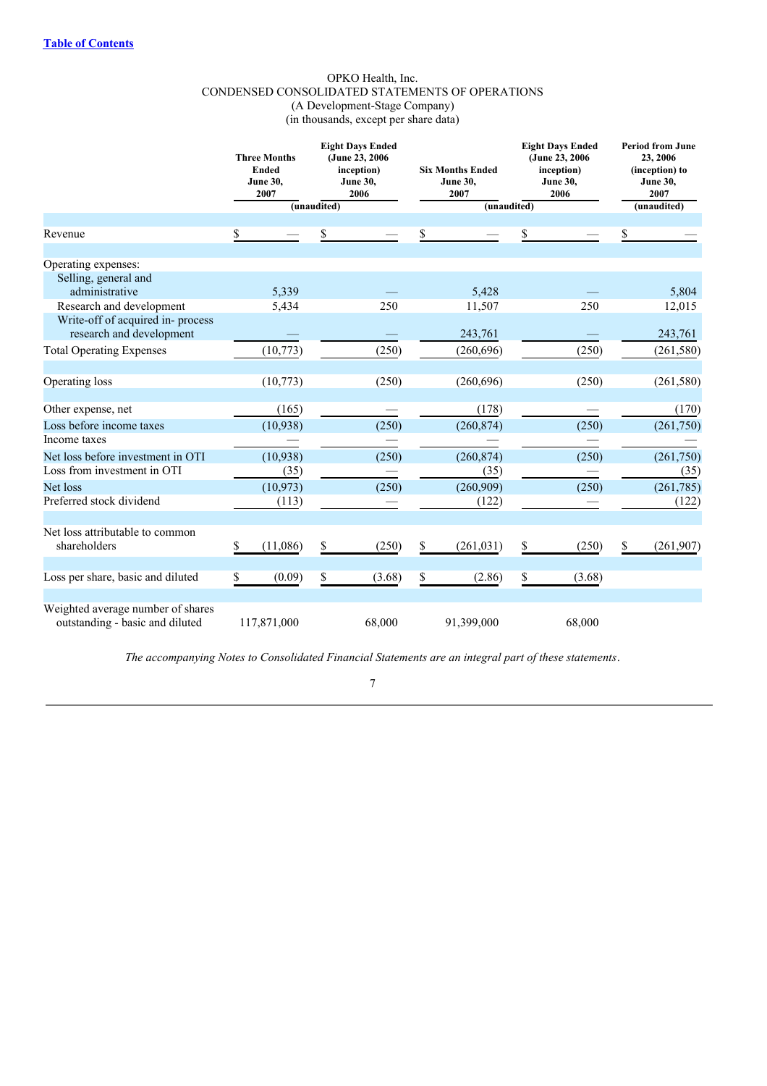## OPKO Health, Inc. CONDENSED CONSOLIDATED STATEMENTS OF OPERATIONS (A Development-Stage Company) (in thousands, except per share data)

|                                   | <b>Three Months</b><br><b>Ended</b><br><b>June 30,</b><br>2007 |             | <b>Eight Days Ended</b><br>(June 23, 2006)<br>inception)<br><b>June 30,</b><br>2006 | <b>Six Months Ended</b><br><b>June 30,</b><br>2007 |             |    |        |                  |  |  | <b>Eight Days Ended</b><br>(June 23, 2006)<br>inception)<br><b>June 30,</b><br>2006 | <b>Period from June</b><br>23, 2006<br>(inception) to<br><b>June 30,</b><br>2007 |
|-----------------------------------|----------------------------------------------------------------|-------------|-------------------------------------------------------------------------------------|----------------------------------------------------|-------------|----|--------|------------------|--|--|-------------------------------------------------------------------------------------|----------------------------------------------------------------------------------|
|                                   |                                                                | (unaudited) |                                                                                     |                                                    | (unaudited) |    |        | (unaudited)      |  |  |                                                                                     |                                                                                  |
| Revenue                           | \$                                                             | \$          |                                                                                     | \$                                                 |             | S  |        | \$               |  |  |                                                                                     |                                                                                  |
|                                   |                                                                |             |                                                                                     |                                                    |             |    |        |                  |  |  |                                                                                     |                                                                                  |
| Operating expenses:               |                                                                |             |                                                                                     |                                                    |             |    |        |                  |  |  |                                                                                     |                                                                                  |
| Selling, general and              |                                                                |             |                                                                                     |                                                    |             |    |        |                  |  |  |                                                                                     |                                                                                  |
| administrative                    | 5,339                                                          |             |                                                                                     |                                                    | 5,428       |    |        | 5,804            |  |  |                                                                                     |                                                                                  |
| Research and development          | 5,434                                                          |             | 250                                                                                 |                                                    | 11,507      |    | 250    | 12,015           |  |  |                                                                                     |                                                                                  |
| Write-off of acquired in-process  |                                                                |             |                                                                                     |                                                    |             |    |        |                  |  |  |                                                                                     |                                                                                  |
| research and development          |                                                                |             |                                                                                     |                                                    | 243,761     |    |        | 243,761          |  |  |                                                                                     |                                                                                  |
| <b>Total Operating Expenses</b>   | (10, 773)                                                      |             | (250)                                                                               |                                                    | (260,696)   |    | (250)  | (261, 580)       |  |  |                                                                                     |                                                                                  |
| Operating loss                    | (10,773)                                                       |             | (250)                                                                               |                                                    | (260, 696)  |    | (250)  | (261, 580)       |  |  |                                                                                     |                                                                                  |
|                                   |                                                                |             |                                                                                     |                                                    |             |    |        |                  |  |  |                                                                                     |                                                                                  |
| Other expense, net                | (165)                                                          |             |                                                                                     |                                                    | (178)       |    |        | (170)            |  |  |                                                                                     |                                                                                  |
| Loss before income taxes          | (10, 938)                                                      |             | (250)                                                                               |                                                    | (260, 874)  |    | (250)  | (261,750)        |  |  |                                                                                     |                                                                                  |
| Income taxes                      |                                                                |             |                                                                                     |                                                    |             |    |        |                  |  |  |                                                                                     |                                                                                  |
| Net loss before investment in OTI | (10, 938)                                                      |             | (250)                                                                               |                                                    | (260, 874)  |    | (250)  | (261,750)        |  |  |                                                                                     |                                                                                  |
| Loss from investment in OTI       | (35)                                                           |             |                                                                                     |                                                    | (35)        |    |        | (35)             |  |  |                                                                                     |                                                                                  |
| Net loss                          | (10, 973)                                                      |             | (250)                                                                               |                                                    | (260,909)   |    | (250)  | (261, 785)       |  |  |                                                                                     |                                                                                  |
| Preferred stock dividend          | (113)                                                          |             |                                                                                     |                                                    | (122)       |    |        | (122)            |  |  |                                                                                     |                                                                                  |
|                                   |                                                                |             |                                                                                     |                                                    |             |    |        |                  |  |  |                                                                                     |                                                                                  |
| Net loss attributable to common   |                                                                |             |                                                                                     |                                                    |             |    |        |                  |  |  |                                                                                     |                                                                                  |
| shareholders                      | \$<br>(11,086)                                                 | \$          | (250)                                                                               | \$                                                 | (261, 031)  | \$ | (250)  | \$<br>(261, 907) |  |  |                                                                                     |                                                                                  |
| Loss per share, basic and diluted | \$<br>(0.09)                                                   | \$          | (3.68)                                                                              | \$                                                 | (2.86)      | \$ | (3.68) |                  |  |  |                                                                                     |                                                                                  |
|                                   |                                                                |             |                                                                                     |                                                    |             |    |        |                  |  |  |                                                                                     |                                                                                  |
| Weighted average number of shares |                                                                |             |                                                                                     |                                                    |             |    |        |                  |  |  |                                                                                     |                                                                                  |
| outstanding - basic and diluted   | 117,871,000                                                    |             | 68,000                                                                              |                                                    | 91,399,000  |    | 68,000 |                  |  |  |                                                                                     |                                                                                  |

*The accompanying Notes to Consolidated Financial Statements are an integral part of these statements*.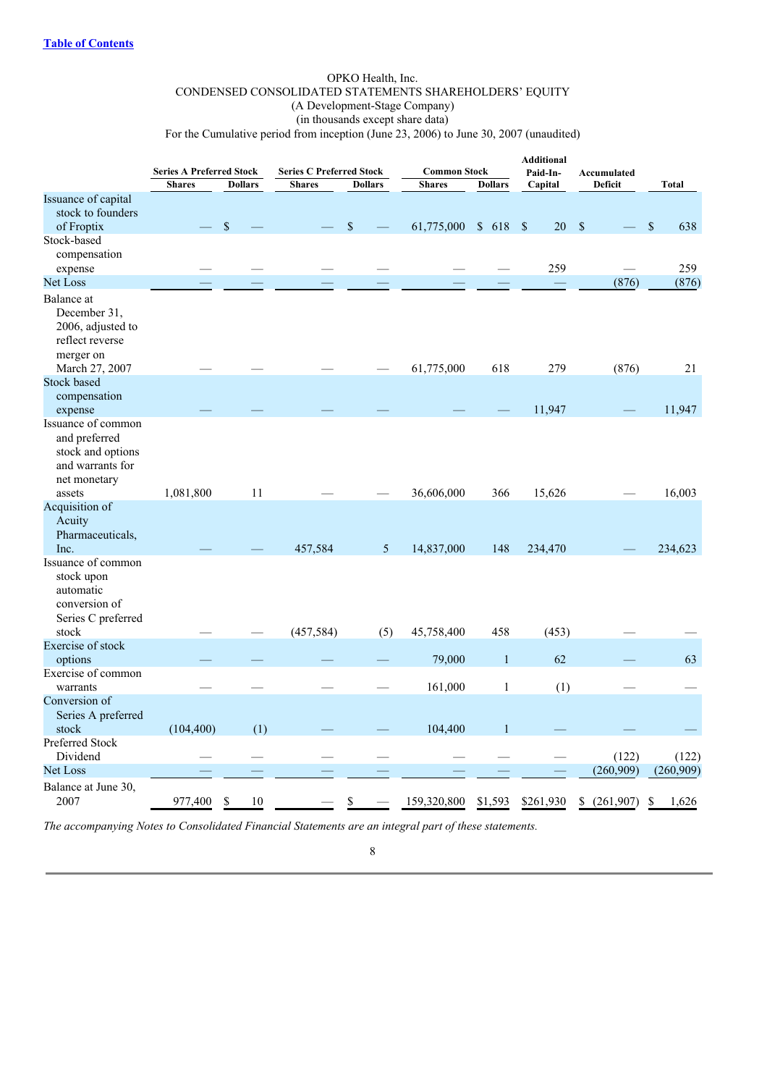## OPKO Health, Inc. CONDENSED CONSOLIDATED STATEMENTS SHAREHOLDERS' EQUITY (A Development-Stage Company) (in thousands except share data)

For the Cumulative period from inception (June 23, 2006) to June 30, 2007 (unaudited)

|                                                                                              |                                                  |                | <b>Series C Preferred Stock</b><br><b>Common Stock</b> |                | <b>Additional</b> |                |                          |                               |                      |
|----------------------------------------------------------------------------------------------|--------------------------------------------------|----------------|--------------------------------------------------------|----------------|-------------------|----------------|--------------------------|-------------------------------|----------------------|
|                                                                                              | <b>Series A Preferred Stock</b><br><b>Shares</b> | <b>Dollars</b> | <b>Shares</b>                                          | <b>Dollars</b> | <b>Shares</b>     | <b>Dollars</b> | Paid-In-<br>Capital      | Accumulated<br><b>Deficit</b> | Total                |
| Issuance of capital<br>stock to founders                                                     |                                                  |                |                                                        |                |                   |                |                          |                               |                      |
| of Froptix                                                                                   |                                                  | $\mathcal{S}$  |                                                        | \$             | 61,775,000        | \$618          | $\mathbf{\hat{s}}$<br>20 | $\mathbf{\hat{S}}$            | $\mathcal{S}$<br>638 |
| Stock-based<br>compensation<br>expense                                                       |                                                  |                |                                                        |                |                   |                | 259                      |                               | 259                  |
| Net Loss                                                                                     |                                                  |                |                                                        |                |                   |                |                          | (876)                         | (876)                |
| Balance at<br>December 31,<br>2006, adjusted to<br>reflect reverse<br>merger on              |                                                  |                |                                                        |                |                   |                |                          |                               |                      |
| March 27, 2007                                                                               |                                                  |                |                                                        |                | 61,775,000        | 618            | 279                      | (876)                         | 21                   |
| <b>Stock based</b><br>compensation<br>expense                                                |                                                  |                |                                                        |                |                   |                | 11,947                   |                               | 11,947               |
| Issuance of common<br>and preferred<br>stock and options<br>and warrants for<br>net monetary |                                                  |                |                                                        |                |                   |                |                          |                               |                      |
| assets                                                                                       | 1,081,800                                        | 11             |                                                        |                | 36,606,000        | 366            | 15,626                   |                               | 16,003               |
| Acquisition of<br>Acuity<br>Pharmaceuticals,<br>Inc.                                         |                                                  |                | 457,584                                                | 5              | 14,837,000        | 148            | 234,470                  |                               | 234,623              |
| Issuance of common<br>stock upon<br>automatic<br>conversion of<br>Series C preferred         |                                                  |                |                                                        |                |                   |                |                          |                               |                      |
| stock                                                                                        |                                                  |                | (457, 584)                                             | (5)            | 45,758,400        | 458            | (453)                    |                               |                      |
| Exercise of stock<br>options                                                                 |                                                  |                |                                                        |                | 79,000            | $\mathbf{1}$   | 62                       |                               | 63                   |
| Exercise of common<br>warrants                                                               |                                                  |                |                                                        |                | 161,000           | $\mathbf{1}$   | (1)                      |                               |                      |
| Conversion of<br>Series A preferred<br>stock                                                 | (104, 400)                                       | (1)            |                                                        |                | 104,400           | $\mathbf{1}$   |                          |                               |                      |
| Preferred Stock<br>Dividend                                                                  |                                                  |                |                                                        |                |                   |                |                          | (122)                         | (122)                |
| <b>Net Loss</b>                                                                              |                                                  |                |                                                        |                |                   |                |                          | (260, 909)                    | (260, 909)           |
| Balance at June 30,<br>2007                                                                  | 977,400                                          | \$<br>10       |                                                        | \$             | 159,320,800       | \$1,593        | \$261,930                | \$<br>(261,907)               | \$<br>1,626          |

*The accompanying Notes to Consolidated Financial Statements are an integral part of these statements.*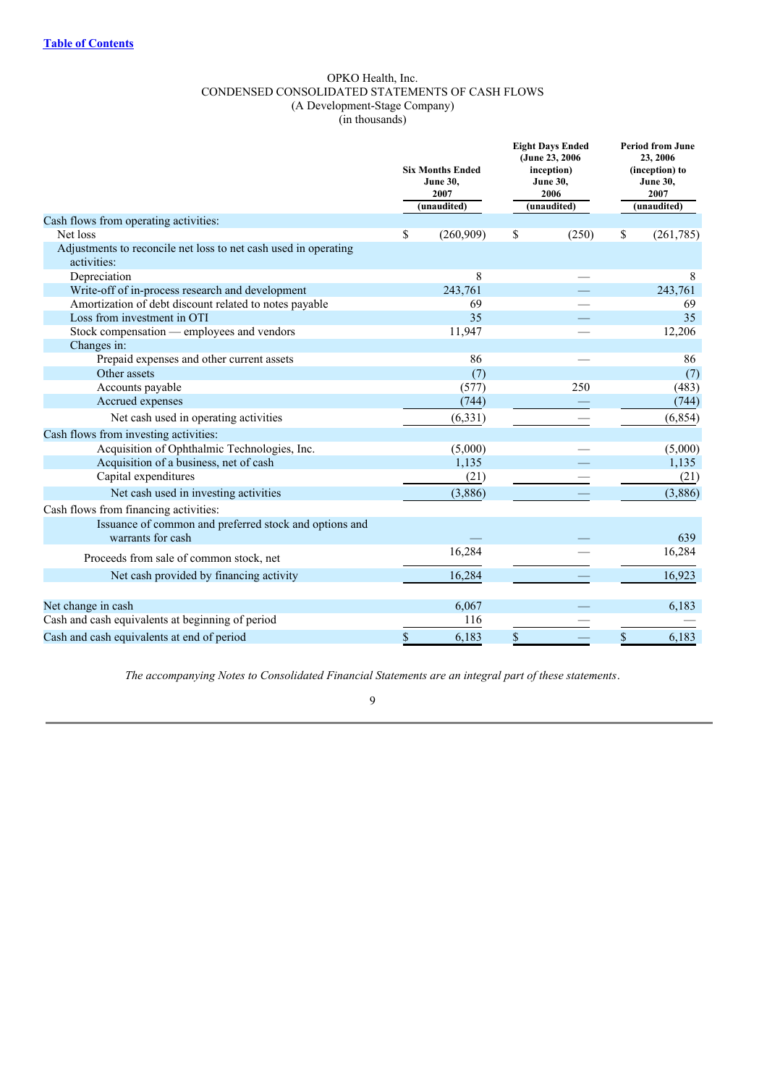## OPKO Health, Inc. CONDENSED CONSOLIDATED STATEMENTS OF CASH FLOWS (A Development-Stage Company) (in thousands)

|                                                                             | <b>Six Months Ended</b><br><b>June 30,</b><br>2007 |             | <b>Eight Days Ended</b><br>(June 23, 2006)<br>inception)<br><b>June 30,</b><br>2006 |             |      | <b>Period from June</b><br>23, 2006<br>(inception) to<br><b>June 30,</b><br>2007 |
|-----------------------------------------------------------------------------|----------------------------------------------------|-------------|-------------------------------------------------------------------------------------|-------------|------|----------------------------------------------------------------------------------|
|                                                                             |                                                    | (unaudited) |                                                                                     | (unaudited) |      | (unaudited)                                                                      |
| Cash flows from operating activities:                                       |                                                    |             |                                                                                     |             |      |                                                                                  |
| Net loss<br>Adjustments to reconcile net loss to net cash used in operating | \$                                                 | (260,909)   | \$                                                                                  | (250)       | \$   | (261,785)                                                                        |
| activities:                                                                 |                                                    |             |                                                                                     |             |      |                                                                                  |
| Depreciation                                                                |                                                    | 8           |                                                                                     |             |      | 8                                                                                |
| Write-off of in-process research and development                            |                                                    | 243,761     |                                                                                     |             |      | 243,761                                                                          |
| Amortization of debt discount related to notes payable                      |                                                    | 69          |                                                                                     |             |      | 69                                                                               |
| Loss from investment in OTI                                                 |                                                    | 35          |                                                                                     |             |      | 35                                                                               |
| Stock compensation — employees and vendors                                  |                                                    | 11,947      |                                                                                     |             |      | 12,206                                                                           |
| Changes in:                                                                 |                                                    |             |                                                                                     |             |      |                                                                                  |
| Prepaid expenses and other current assets                                   |                                                    | 86          |                                                                                     |             |      | 86                                                                               |
| Other assets                                                                |                                                    | (7)         |                                                                                     |             |      | (7)                                                                              |
| Accounts payable                                                            |                                                    | (577)       |                                                                                     | 250         |      | (483)                                                                            |
| Accrued expenses                                                            |                                                    | (744)       |                                                                                     |             |      | (744)                                                                            |
| Net cash used in operating activities                                       |                                                    | (6, 331)    |                                                                                     |             |      | (6, 854)                                                                         |
| Cash flows from investing activities:                                       |                                                    |             |                                                                                     |             |      |                                                                                  |
| Acquisition of Ophthalmic Technologies, Inc.                                |                                                    | (5,000)     |                                                                                     |             |      | (5,000)                                                                          |
| Acquisition of a business, net of cash                                      |                                                    | 1,135       |                                                                                     |             |      | 1,135                                                                            |
| Capital expenditures                                                        |                                                    | (21)        |                                                                                     |             |      | (21)                                                                             |
| Net cash used in investing activities                                       |                                                    | (3,886)     |                                                                                     |             |      | (3,886)                                                                          |
| Cash flows from financing activities:                                       |                                                    |             |                                                                                     |             |      |                                                                                  |
| Issuance of common and preferred stock and options and<br>warrants for cash |                                                    |             |                                                                                     |             |      | 639                                                                              |
|                                                                             |                                                    | 16,284      |                                                                                     |             |      | 16,284                                                                           |
| Proceeds from sale of common stock, net                                     |                                                    |             |                                                                                     |             |      |                                                                                  |
| Net cash provided by financing activity                                     |                                                    | 16,284      |                                                                                     |             |      | 16,923                                                                           |
| Net change in cash                                                          |                                                    | 6,067       |                                                                                     |             |      | 6,183                                                                            |
| Cash and cash equivalents at beginning of period                            |                                                    | 116         |                                                                                     |             |      |                                                                                  |
| Cash and cash equivalents at end of period                                  | \$                                                 | 6,183       | \$                                                                                  |             | $\$$ | 6,183                                                                            |

*The accompanying Notes to Consolidated Financial Statements are an integral part of these statements*.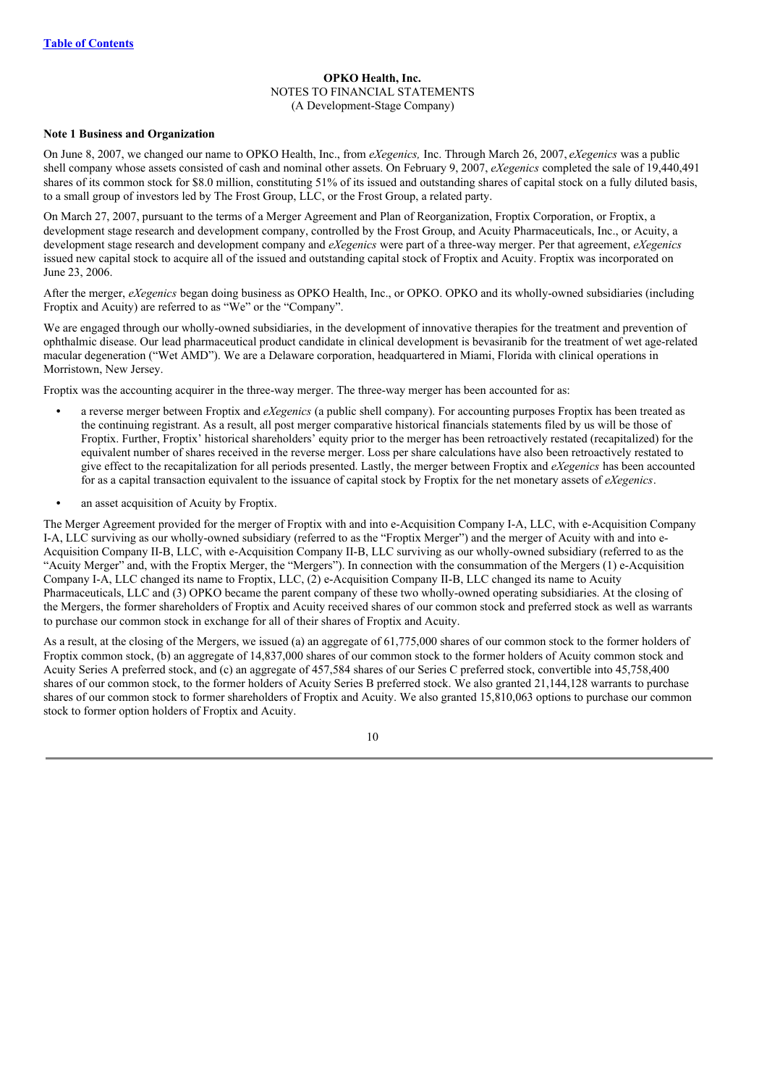## **OPKO Health, Inc.** NOTES TO FINANCIAL STATEMENTS (A Development-Stage Company)

#### **Note 1 Business and Organization**

On June 8, 2007, we changed our name to OPKO Health, Inc., from *eXegenics,* Inc. Through March 26, 2007, *eXegenics* was a public shell company whose assets consisted of cash and nominal other assets. On February 9, 2007, *eXegenics* completed the sale of 19,440,491 shares of its common stock for \$8.0 million, constituting 51% of its issued and outstanding shares of capital stock on a fully diluted basis, to a small group of investors led by The Frost Group, LLC, or the Frost Group, a related party.

On March 27, 2007, pursuant to the terms of a Merger Agreement and Plan of Reorganization, Froptix Corporation, or Froptix, a development stage research and development company, controlled by the Frost Group, and Acuity Pharmaceuticals, Inc., or Acuity, a development stage research and development company and *eXegenics* were part of a three-way merger. Per that agreement, *eXegenics* issued new capital stock to acquire all of the issued and outstanding capital stock of Froptix and Acuity. Froptix was incorporated on June 23, 2006.

After the merger, *eXegenics* began doing business as OPKO Health, Inc., or OPKO. OPKO and its wholly-owned subsidiaries (including Froptix and Acuity) are referred to as "We" or the "Company".

We are engaged through our wholly-owned subsidiaries, in the development of innovative therapies for the treatment and prevention of ophthalmic disease. Our lead pharmaceutical product candidate in clinical development is bevasiranib for the treatment of wet age-related macular degeneration ("Wet AMD"). We are a Delaware corporation, headquartered in Miami, Florida with clinical operations in Morristown, New Jersey.

Froptix was the accounting acquirer in the three-way merger. The three-way merger has been accounted for as:

- **•** a reverse merger between Froptix and *eXegenics* (a public shell company). For accounting purposes Froptix has been treated as the continuing registrant. As a result, all post merger comparative historical financials statements filed by us will be those of Froptix. Further, Froptix' historical shareholders' equity prior to the merger has been retroactively restated (recapitalized) for the equivalent number of shares received in the reverse merger. Loss per share calculations have also been retroactively restated to give effect to the recapitalization for all periods presented. Lastly, the merger between Froptix and *eXegenics* has been accounted for as a capital transaction equivalent to the issuance of capital stock by Froptix for the net monetary assets of *eXegenics*.
- an asset acquisition of Acuity by Froptix.

The Merger Agreement provided for the merger of Froptix with and into e-Acquisition Company I-A, LLC, with e-Acquisition Company I-A, LLC surviving as our wholly-owned subsidiary (referred to as the "Froptix Merger") and the merger of Acuity with and into e-Acquisition Company II-B, LLC, with e-Acquisition Company II-B, LLC surviving as our wholly-owned subsidiary (referred to as the "Acuity Merger" and, with the Froptix Merger, the "Mergers"). In connection with the consummation of the Mergers (1) e-Acquisition Company I-A, LLC changed its name to Froptix, LLC, (2) e-Acquisition Company II-B, LLC changed its name to Acuity Pharmaceuticals, LLC and (3) OPKO became the parent company of these two wholly-owned operating subsidiaries. At the closing of the Mergers, the former shareholders of Froptix and Acuity received shares of our common stock and preferred stock as well as warrants to purchase our common stock in exchange for all of their shares of Froptix and Acuity.

As a result, at the closing of the Mergers, we issued (a) an aggregate of 61,775,000 shares of our common stock to the former holders of Froptix common stock, (b) an aggregate of 14,837,000 shares of our common stock to the former holders of Acuity common stock and Acuity Series A preferred stock, and (c) an aggregate of 457,584 shares of our Series C preferred stock, convertible into 45,758,400 shares of our common stock, to the former holders of Acuity Series B preferred stock. We also granted 21,144,128 warrants to purchase shares of our common stock to former shareholders of Froptix and Acuity. We also granted 15,810,063 options to purchase our common stock to former option holders of Froptix and Acuity.

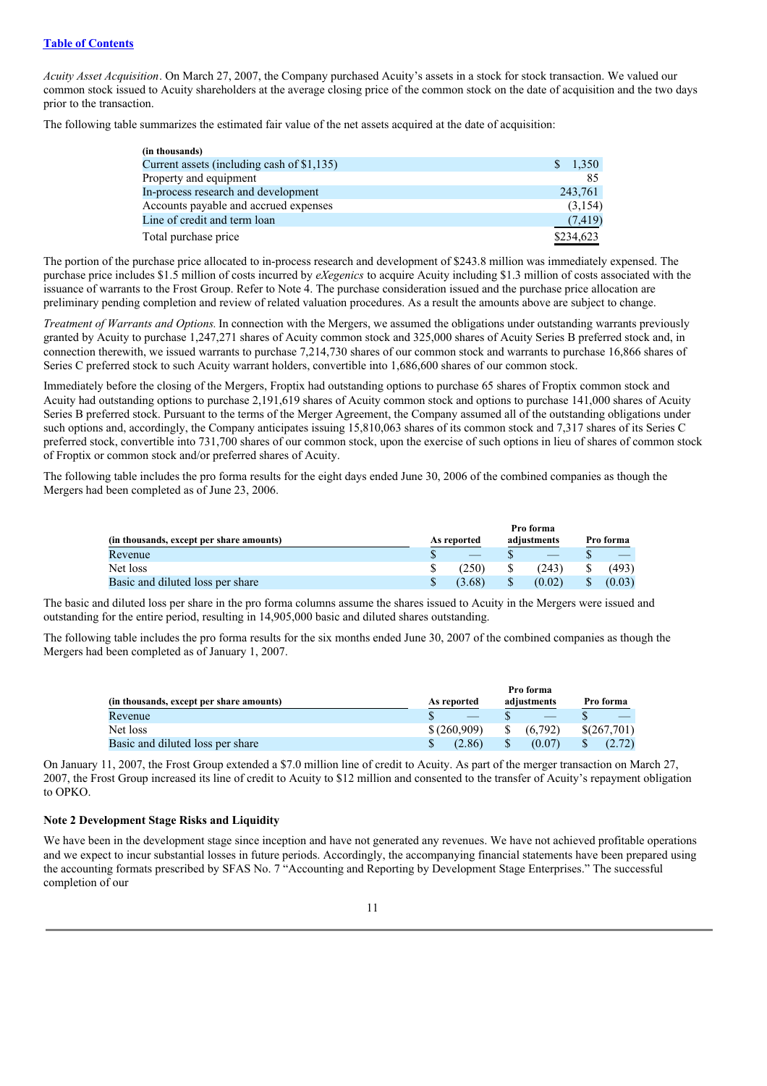*Acuity Asset Acquisition*. On March 27, 2007, the Company purchased Acuity's assets in a stock for stock transaction. We valued our common stock issued to Acuity shareholders at the average closing price of the common stock on the date of acquisition and the two days prior to the transaction.

The following table summarizes the estimated fair value of the net assets acquired at the date of acquisition:

| (in thousands)                             |             |
|--------------------------------------------|-------------|
| Current assets (including cash of \$1,135) | 1,350<br>S. |
| Property and equipment                     | 85          |
| In-process research and development        | 243,761     |
| Accounts payable and accrued expenses      | (3, 154)    |
| Line of credit and term loan               | (7, 419)    |
| Total purchase price                       | \$234,623   |

The portion of the purchase price allocated to in-process research and development of \$243.8 million was immediately expensed. The purchase price includes \$1.5 million of costs incurred by *eXegenics* to acquire Acuity including \$1.3 million of costs associated with the issuance of warrants to the Frost Group. Refer to Note 4. The purchase consideration issued and the purchase price allocation are preliminary pending completion and review of related valuation procedures. As a result the amounts above are subject to change.

*Treatment of Warrants and Options.* In connection with the Mergers, we assumed the obligations under outstanding warrants previously granted by Acuity to purchase 1,247,271 shares of Acuity common stock and 325,000 shares of Acuity Series B preferred stock and, in connection therewith, we issued warrants to purchase 7,214,730 shares of our common stock and warrants to purchase 16,866 shares of Series C preferred stock to such Acuity warrant holders, convertible into 1,686,600 shares of our common stock.

Immediately before the closing of the Mergers, Froptix had outstanding options to purchase 65 shares of Froptix common stock and Acuity had outstanding options to purchase 2,191,619 shares of Acuity common stock and options to purchase 141,000 shares of Acuity Series B preferred stock. Pursuant to the terms of the Merger Agreement, the Company assumed all of the outstanding obligations under such options and, accordingly, the Company anticipates issuing 15,810,063 shares of its common stock and 7,317 shares of its Series C preferred stock, convertible into 731,700 shares of our common stock, upon the exercise of such options in lieu of shares of common stock of Froptix or common stock and/or preferred shares of Acuity.

The following table includes the pro forma results for the eight days ended June 30, 2006 of the combined companies as though the Mergers had been completed as of June 23, 2006.

|                                          |             | Pro forma   |           |
|------------------------------------------|-------------|-------------|-----------|
| (in thousands, except per share amounts) | As reported | adjustments | Pro forma |
| Revenue                                  |             |             |           |
| Net loss                                 | (250)       | (243)       | (493)     |
| Basic and diluted loss per share         | (3.68)      | (0.02)      | (0.03)    |

The basic and diluted loss per share in the pro forma columns assume the shares issued to Acuity in the Mergers were issued and outstanding for the entire period, resulting in 14,905,000 basic and diluted shares outstanding.

The following table includes the pro forma results for the six months ended June 30, 2007 of the combined companies as though the Mergers had been completed as of January 1, 2007.

|                                          |             | Pro forma               |             |
|------------------------------------------|-------------|-------------------------|-------------|
| (in thousands, except per share amounts) | As reported | adjustments             | Pro forma   |
| Revenue                                  |             |                         |             |
| Net loss                                 | \$(260.909) | (6.792)<br><sup>S</sup> | \$(267,701) |
| Basic and diluted loss per share         | (2.86)      | (0.07)                  |             |

On January 11, 2007, the Frost Group extended a \$7.0 million line of credit to Acuity. As part of the merger transaction on March 27, 2007, the Frost Group increased its line of credit to Acuity to \$12 million and consented to the transfer of Acuity's repayment obligation to OPKO.

## **Note 2 Development Stage Risks and Liquidity**

We have been in the development stage since inception and have not generated any revenues. We have not achieved profitable operations and we expect to incur substantial losses in future periods. Accordingly, the accompanying financial statements have been prepared using the accounting formats prescribed by SFAS No. 7 "Accounting and Reporting by Development Stage Enterprises." The successful completion of our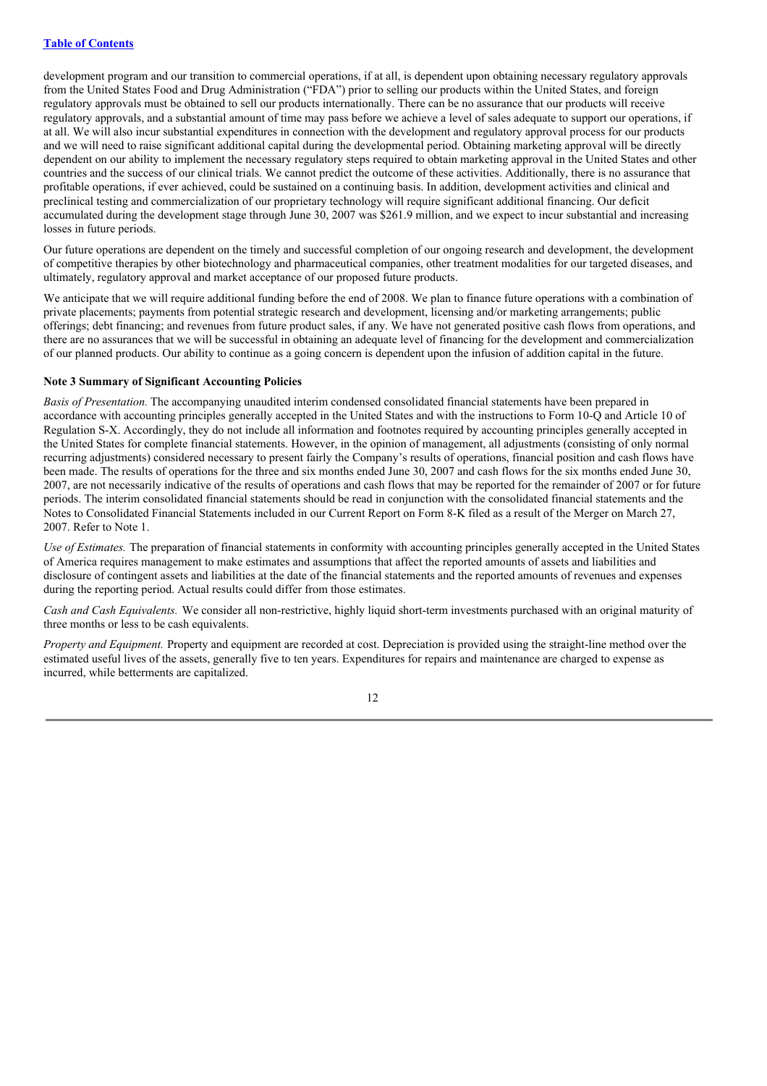development program and our transition to commercial operations, if at all, is dependent upon obtaining necessary regulatory approvals from the United States Food and Drug Administration ("FDA") prior to selling our products within the United States, and foreign regulatory approvals must be obtained to sell our products internationally. There can be no assurance that our products will receive regulatory approvals, and a substantial amount of time may pass before we achieve a level of sales adequate to support our operations, if at all. We will also incur substantial expenditures in connection with the development and regulatory approval process for our products and we will need to raise significant additional capital during the developmental period. Obtaining marketing approval will be directly dependent on our ability to implement the necessary regulatory steps required to obtain marketing approval in the United States and other countries and the success of our clinical trials. We cannot predict the outcome of these activities. Additionally, there is no assurance that profitable operations, if ever achieved, could be sustained on a continuing basis. In addition, development activities and clinical and preclinical testing and commercialization of our proprietary technology will require significant additional financing. Our deficit accumulated during the development stage through June 30, 2007 was \$261.9 million, and we expect to incur substantial and increasing losses in future periods.

Our future operations are dependent on the timely and successful completion of our ongoing research and development, the development of competitive therapies by other biotechnology and pharmaceutical companies, other treatment modalities for our targeted diseases, and ultimately, regulatory approval and market acceptance of our proposed future products.

We anticipate that we will require additional funding before the end of 2008. We plan to finance future operations with a combination of private placements; payments from potential strategic research and development, licensing and/or marketing arrangements; public offerings; debt financing; and revenues from future product sales, if any. We have not generated positive cash flows from operations, and there are no assurances that we will be successful in obtaining an adequate level of financing for the development and commercialization of our planned products. Our ability to continue as a going concern is dependent upon the infusion of addition capital in the future.

#### **Note 3 Summary of Significant Accounting Policies**

*Basis of Presentation.* The accompanying unaudited interim condensed consolidated financial statements have been prepared in accordance with accounting principles generally accepted in the United States and with the instructions to Form 10-Q and Article 10 of Regulation S-X. Accordingly, they do not include all information and footnotes required by accounting principles generally accepted in the United States for complete financial statements. However, in the opinion of management, all adjustments (consisting of only normal recurring adjustments) considered necessary to present fairly the Company's results of operations, financial position and cash flows have been made. The results of operations for the three and six months ended June 30, 2007 and cash flows for the six months ended June 30, 2007, are not necessarily indicative of the results of operations and cash flows that may be reported for the remainder of 2007 or for future periods. The interim consolidated financial statements should be read in conjunction with the consolidated financial statements and the Notes to Consolidated Financial Statements included in our Current Report on Form 8-K filed as a result of the Merger on March 27, 2007. Refer to Note 1.

*Use of Estimates.* The preparation of financial statements in conformity with accounting principles generally accepted in the United States of America requires management to make estimates and assumptions that affect the reported amounts of assets and liabilities and disclosure of contingent assets and liabilities at the date of the financial statements and the reported amounts of revenues and expenses during the reporting period. Actual results could differ from those estimates.

*Cash and Cash Equivalents.* We consider all non-restrictive, highly liquid short-term investments purchased with an original maturity of three months or less to be cash equivalents.

*Property and Equipment.* Property and equipment are recorded at cost. Depreciation is provided using the straight-line method over the estimated useful lives of the assets, generally five to ten years. Expenditures for repairs and maintenance are charged to expense as incurred, while betterments are capitalized.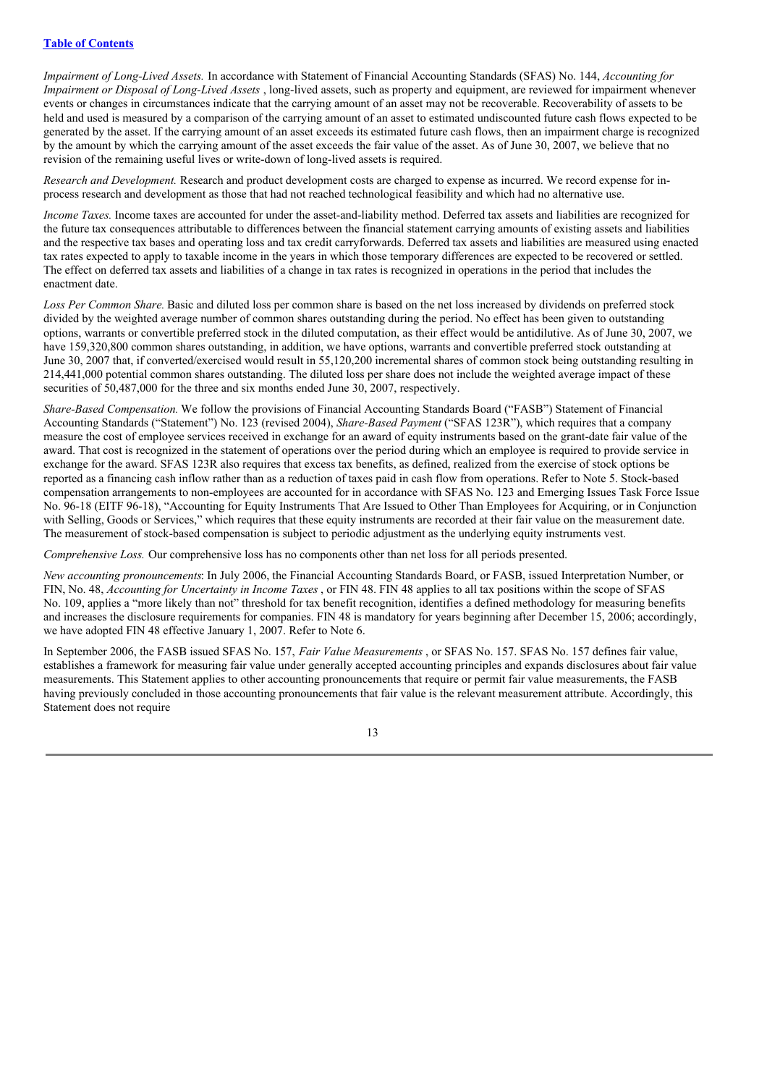*Impairment of Long-Lived Assets.* In accordance with Statement of Financial Accounting Standards (SFAS) No. 144, *Accounting for Impairment or Disposal of Long-Lived Assets* , long-lived assets, such as property and equipment, are reviewed for impairment whenever events or changes in circumstances indicate that the carrying amount of an asset may not be recoverable. Recoverability of assets to be held and used is measured by a comparison of the carrying amount of an asset to estimated undiscounted future cash flows expected to be generated by the asset. If the carrying amount of an asset exceeds its estimated future cash flows, then an impairment charge is recognized by the amount by which the carrying amount of the asset exceeds the fair value of the asset. As of June 30, 2007, we believe that no revision of the remaining useful lives or write-down of long-lived assets is required.

*Research and Development.* Research and product development costs are charged to expense as incurred. We record expense for inprocess research and development as those that had not reached technological feasibility and which had no alternative use.

*Income Taxes.* Income taxes are accounted for under the asset-and-liability method. Deferred tax assets and liabilities are recognized for the future tax consequences attributable to differences between the financial statement carrying amounts of existing assets and liabilities and the respective tax bases and operating loss and tax credit carryforwards. Deferred tax assets and liabilities are measured using enacted tax rates expected to apply to taxable income in the years in which those temporary differences are expected to be recovered or settled. The effect on deferred tax assets and liabilities of a change in tax rates is recognized in operations in the period that includes the enactment date.

*Loss Per Common Share.* Basic and diluted loss per common share is based on the net loss increased by dividends on preferred stock divided by the weighted average number of common shares outstanding during the period. No effect has been given to outstanding options, warrants or convertible preferred stock in the diluted computation, as their effect would be antidilutive. As of June 30, 2007, we have 159,320,800 common shares outstanding, in addition, we have options, warrants and convertible preferred stock outstanding at June 30, 2007 that, if converted/exercised would result in 55,120,200 incremental shares of common stock being outstanding resulting in 214,441,000 potential common shares outstanding. The diluted loss per share does not include the weighted average impact of these securities of 50,487,000 for the three and six months ended June 30, 2007, respectively.

*Share-Based Compensation.* We follow the provisions of Financial Accounting Standards Board ("FASB") Statement of Financial Accounting Standards ("Statement") No. 123 (revised 2004), *Share-Based Payment* ("SFAS 123R"), which requires that a company measure the cost of employee services received in exchange for an award of equity instruments based on the grant-date fair value of the award. That cost is recognized in the statement of operations over the period during which an employee is required to provide service in exchange for the award. SFAS 123R also requires that excess tax benefits, as defined, realized from the exercise of stock options be reported as a financing cash inflow rather than as a reduction of taxes paid in cash flow from operations. Refer to Note 5. Stock-based compensation arrangements to non-employees are accounted for in accordance with SFAS No. 123 and Emerging Issues Task Force Issue No. 96-18 (EITF 96-18), "Accounting for Equity Instruments That Are Issued to Other Than Employees for Acquiring, or in Conjunction with Selling, Goods or Services," which requires that these equity instruments are recorded at their fair value on the measurement date. The measurement of stock-based compensation is subject to periodic adjustment as the underlying equity instruments vest.

*Comprehensive Loss.* Our comprehensive loss has no components other than net loss for all periods presented.

*New accounting pronouncements*: In July 2006, the Financial Accounting Standards Board, or FASB, issued Interpretation Number, or FIN, No. 48, *Accounting for Uncertainty in Income Taxes* , or FIN 48. FIN 48 applies to all tax positions within the scope of SFAS No. 109, applies a "more likely than not" threshold for tax benefit recognition, identifies a defined methodology for measuring benefits and increases the disclosure requirements for companies. FIN 48 is mandatory for years beginning after December 15, 2006; accordingly, we have adopted FIN 48 effective January 1, 2007. Refer to Note 6.

In September 2006, the FASB issued SFAS No. 157, *Fair Value Measurements* , or SFAS No. 157. SFAS No. 157 defines fair value, establishes a framework for measuring fair value under generally accepted accounting principles and expands disclosures about fair value measurements. This Statement applies to other accounting pronouncements that require or permit fair value measurements, the FASB having previously concluded in those accounting pronouncements that fair value is the relevant measurement attribute. Accordingly, this Statement does not require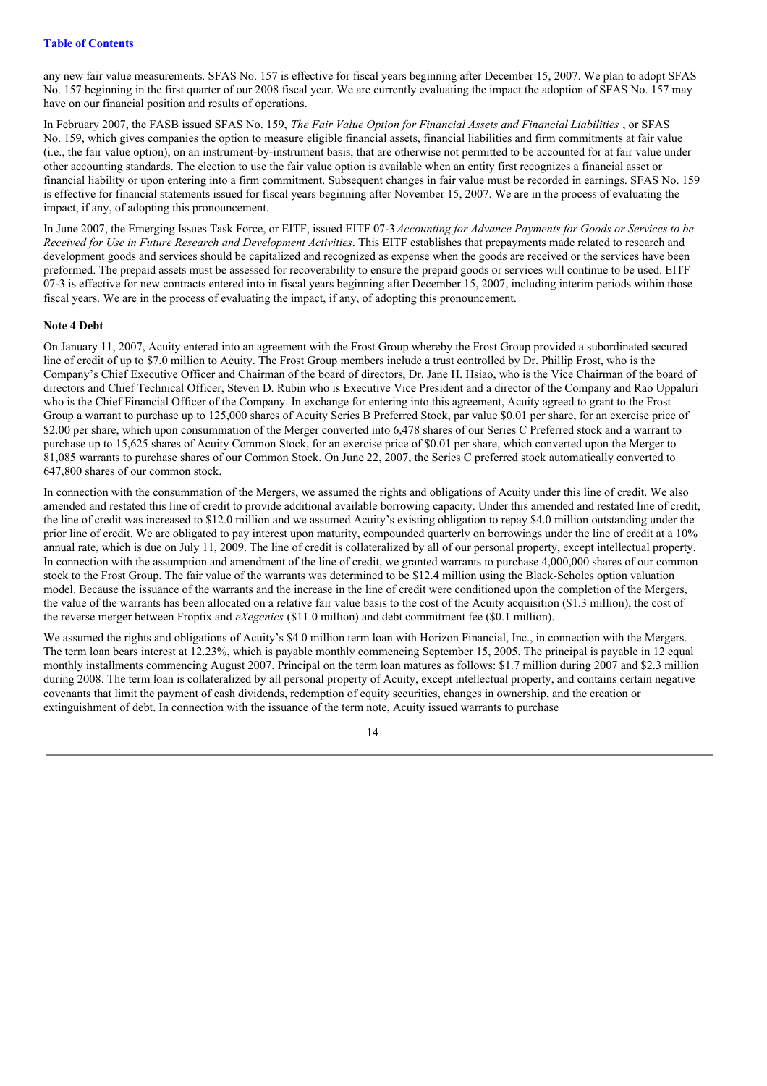any new fair value measurements. SFAS No. 157 is effective for fiscal years beginning after December 15, 2007. We plan to adopt SFAS No. 157 beginning in the first quarter of our 2008 fiscal year. We are currently evaluating the impact the adoption of SFAS No. 157 may have on our financial position and results of operations.

In February 2007, the FASB issued SFAS No. 159, *The Fair Value Option for Financial Assets and Financial Liabilities* , or SFAS No. 159, which gives companies the option to measure eligible financial assets, financial liabilities and firm commitments at fair value (i.e., the fair value option), on an instrument-by-instrument basis, that are otherwise not permitted to be accounted for at fair value under other accounting standards. The election to use the fair value option is available when an entity first recognizes a financial asset or financial liability or upon entering into a firm commitment. Subsequent changes in fair value must be recorded in earnings. SFAS No. 159 is effective for financial statements issued for fiscal years beginning after November 15, 2007. We are in the process of evaluating the impact, if any, of adopting this pronouncement.

In June 2007, the Emerging Issues Task Force, or EITF, issued EITF 07-3*Accounting for Advance Payments for Goods or Services to be Received for Use in Future Research and Development Activities*. This EITF establishes that prepayments made related to research and development goods and services should be capitalized and recognized as expense when the goods are received or the services have been preformed. The prepaid assets must be assessed for recoverability to ensure the prepaid goods or services will continue to be used. EITF 07-3 is effective for new contracts entered into in fiscal years beginning after December 15, 2007, including interim periods within those fiscal years. We are in the process of evaluating the impact, if any, of adopting this pronouncement.

#### **Note 4 Debt**

On January 11, 2007, Acuity entered into an agreement with the Frost Group whereby the Frost Group provided a subordinated secured line of credit of up to \$7.0 million to Acuity. The Frost Group members include a trust controlled by Dr. Phillip Frost, who is the Company's Chief Executive Officer and Chairman of the board of directors, Dr. Jane H. Hsiao, who is the Vice Chairman of the board of directors and Chief Technical Officer, Steven D. Rubin who is Executive Vice President and a director of the Company and Rao Uppaluri who is the Chief Financial Officer of the Company. In exchange for entering into this agreement, Acuity agreed to grant to the Frost Group a warrant to purchase up to 125,000 shares of Acuity Series B Preferred Stock, par value \$0.01 per share, for an exercise price of \$2.00 per share, which upon consummation of the Merger converted into 6,478 shares of our Series C Preferred stock and a warrant to purchase up to 15,625 shares of Acuity Common Stock, for an exercise price of \$0.01 per share, which converted upon the Merger to 81,085 warrants to purchase shares of our Common Stock. On June 22, 2007, the Series C preferred stock automatically converted to 647,800 shares of our common stock.

In connection with the consummation of the Mergers, we assumed the rights and obligations of Acuity under this line of credit. We also amended and restated this line of credit to provide additional available borrowing capacity. Under this amended and restated line of credit, the line of credit was increased to \$12.0 million and we assumed Acuity's existing obligation to repay \$4.0 million outstanding under the prior line of credit. We are obligated to pay interest upon maturity, compounded quarterly on borrowings under the line of credit at a 10% annual rate, which is due on July 11, 2009. The line of credit is collateralized by all of our personal property, except intellectual property. In connection with the assumption and amendment of the line of credit, we granted warrants to purchase 4,000,000 shares of our common stock to the Frost Group. The fair value of the warrants was determined to be \$12.4 million using the Black-Scholes option valuation model. Because the issuance of the warrants and the increase in the line of credit were conditioned upon the completion of the Mergers, the value of the warrants has been allocated on a relative fair value basis to the cost of the Acuity acquisition (\$1.3 million), the cost of the reverse merger between Froptix and *eXegenics* (\$11.0 million) and debt commitment fee (\$0.1 million).

We assumed the rights and obligations of Acuity's \$4.0 million term loan with Horizon Financial, Inc., in connection with the Mergers. The term loan bears interest at 12.23%, which is payable monthly commencing September 15, 2005. The principal is payable in 12 equal monthly installments commencing August 2007. Principal on the term loan matures as follows: \$1.7 million during 2007 and \$2.3 million during 2008. The term loan is collateralized by all personal property of Acuity, except intellectual property, and contains certain negative covenants that limit the payment of cash dividends, redemption of equity securities, changes in ownership, and the creation or extinguishment of debt. In connection with the issuance of the term note, Acuity issued warrants to purchase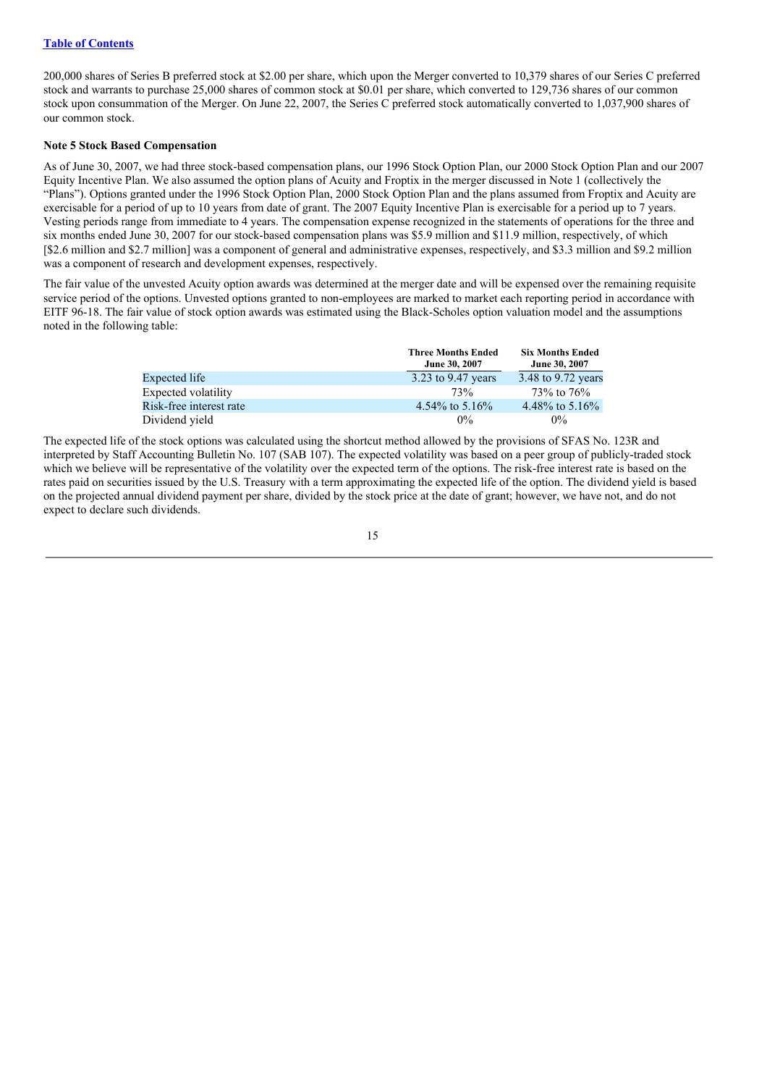## **Table of Contents**

200,000 shares of Series B preferred stock at \$2.00 per share, which upon the Merger converted to 10,379 shares of our Series C preferred stock and warrants to purchase 25,000 shares of common stock at \$0.01 per share, which converted to 129,736 shares of our common stock upon consummation of the Merger. On June 22, 2007, the Series C preferred stock automatically converted to 1,037,900 shares of our common stock.

#### **Note 5 Stock Based Compensation**

As of June 30, 2007, we had three stock-based compensation plans, our 1996 Stock Option Plan, our 2000 Stock Option Plan and our 2007 Equity Incentive Plan. We also assumed the option plans of Acuity and Froptix in the merger discussed in Note 1 (collectively the "Plans"). Options granted under the 1996 Stock Option Plan, 2000 Stock Option Plan and the plans assumed from Froptix and Acuity are exercisable for a period of up to 10 years from date of grant. The 2007 Equity Incentive Plan is exercisable for a period up to 7 years. Vesting periods range from immediate to 4 years. The compensation expense recognized in the statements of operations for the three and six months ended June 30, 2007 for our stock-based compensation plans was \$5.9 million and \$11.9 million, respectively, of which [\$2.6 million and \$2.7 million] was a component of general and administrative expenses, respectively, and \$3.3 million and \$9.2 million was a component of research and development expenses, respectively.

The fair value of the unvested Acuity option awards was determined at the merger date and will be expensed over the remaining requisite service period of the options. Unvested options granted to non-employees are marked to market each reporting period in accordance with EITF 96-18. The fair value of stock option awards was estimated using the Black-Scholes option valuation model and the assumptions noted in the following table:

|                         | <b>Three Months Ended</b> | <b>Six Months Ended</b> |
|-------------------------|---------------------------|-------------------------|
|                         | June 30, 2007             | June 30, 2007           |
| Expected life           | 3.23 to 9.47 years        | 3.48 to 9.72 years      |
| Expected volatility     | 73%                       | 73\% to 76\%            |
| Risk-free interest rate | 4.54\% to 5.16\%          | 4.48% to $5.16\%$       |
| Dividend yield          | $0\%$                     | $0\%$                   |

The expected life of the stock options was calculated using the shortcut method allowed by the provisions of SFAS No. 123R and interpreted by Staff Accounting Bulletin No. 107 (SAB 107). The expected volatility was based on a peer group of publicly-traded stock which we believe will be representative of the volatility over the expected term of the options. The risk-free interest rate is based on the rates paid on securities issued by the U.S. Treasury with a term approximating the expected life of the option. The dividend yield is based on the projected annual dividend payment per share, divided by the stock price at the date of grant; however, we have not, and do not expect to declare such dividends.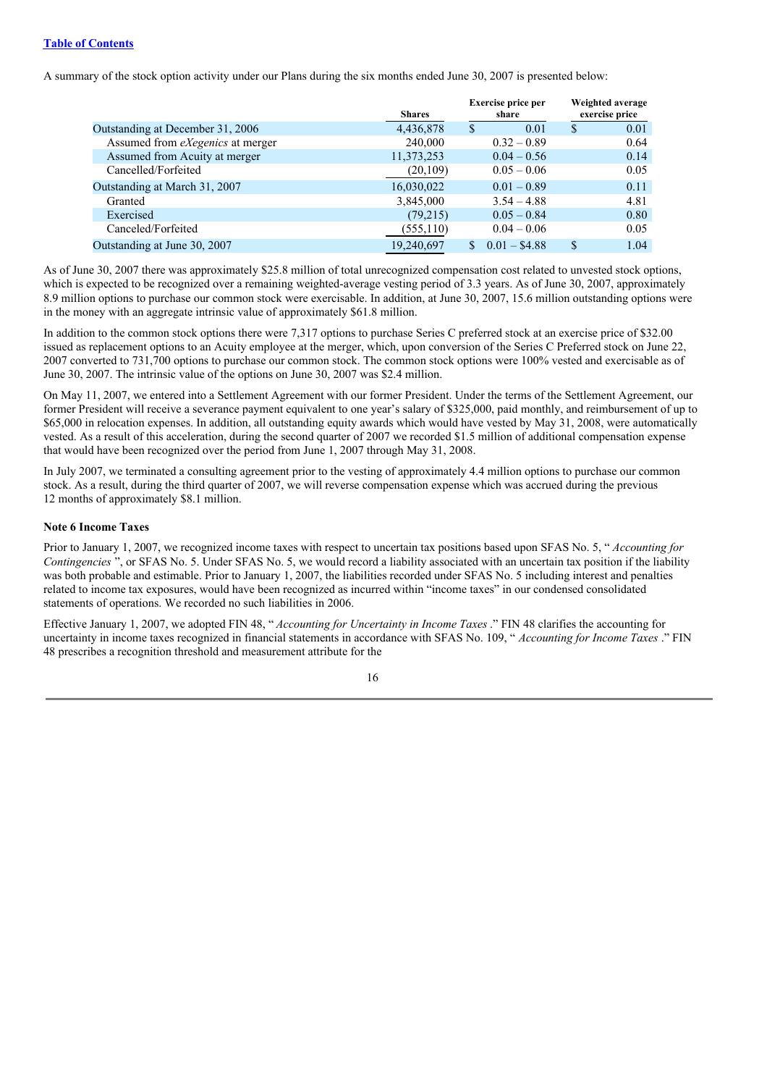## **Table of Contents**

A summary of the stock option activity under our Plans during the six months ended June 30, 2007 is presented below:

|                                         | <b>Shares</b> | <b>Exercise price per</b><br>share |               | Weighted average<br>exercise price |
|-----------------------------------------|---------------|------------------------------------|---------------|------------------------------------|
| Outstanding at December 31, 2006        | 4,436,878     | 0.01                               | S             | 0.01                               |
| Assumed from <i>eXegenics</i> at merger | 240,000       | $0.32 - 0.89$                      |               | 0.64                               |
| Assumed from Acuity at merger           | 11,373,253    | $0.04 - 0.56$                      |               | 0.14                               |
| Cancelled/Forfeited                     | (20, 109)     | $0.05 - 0.06$                      |               | 0.05                               |
| Outstanding at March 31, 2007           | 16,030,022    | $0.01 - 0.89$                      |               | 0.11                               |
| Granted                                 | 3,845,000     | $3.54 - 4.88$                      |               | 4.81                               |
| Exercised                               | (79,215)      | $0.05 - 0.84$                      |               | 0.80                               |
| Canceled/Forfeited                      | (555, 110)    | $0.04 - 0.06$                      |               | 0.05                               |
| Outstanding at June 30, 2007            | 19,240,697    | $0.01 - $4.88$                     | <sup>\$</sup> | 1.04                               |

As of June 30, 2007 there was approximately \$25.8 million of total unrecognized compensation cost related to unvested stock options, which is expected to be recognized over a remaining weighted-average vesting period of 3.3 years. As of June 30, 2007, approximately 8.9 million options to purchase our common stock were exercisable. In addition, at June 30, 2007, 15.6 million outstanding options were in the money with an aggregate intrinsic value of approximately \$61.8 million.

In addition to the common stock options there were 7,317 options to purchase Series C preferred stock at an exercise price of \$32.00 issued as replacement options to an Acuity employee at the merger, which, upon conversion of the Series C Preferred stock on June 22, 2007 converted to 731,700 options to purchase our common stock. The common stock options were 100% vested and exercisable as of June 30, 2007. The intrinsic value of the options on June 30, 2007 was \$2.4 million.

On May 11, 2007, we entered into a Settlement Agreement with our former President. Under the terms of the Settlement Agreement, our former President will receive a severance payment equivalent to one year's salary of \$325,000, paid monthly, and reimbursement of up to \$65,000 in relocation expenses. In addition, all outstanding equity awards which would have vested by May 31, 2008, were automatically vested. As a result of this acceleration, during the second quarter of 2007 we recorded \$1.5 million of additional compensation expense that would have been recognized over the period from June 1, 2007 through May 31, 2008.

In July 2007, we terminated a consulting agreement prior to the vesting of approximately 4.4 million options to purchase our common stock. As a result, during the third quarter of 2007, we will reverse compensation expense which was accrued during the previous 12 months of approximately \$8.1 million.

#### **Note 6 Income Taxes**

Prior to January 1, 2007, we recognized income taxes with respect to uncertain tax positions based upon SFAS No. 5, " *Accounting for Contingencies* ", or SFAS No. 5. Under SFAS No. 5, we would record a liability associated with an uncertain tax position if the liability was both probable and estimable. Prior to January 1, 2007, the liabilities recorded under SFAS No. 5 including interest and penalties related to income tax exposures, would have been recognized as incurred within "income taxes" in our condensed consolidated statements of operations. We recorded no such liabilities in 2006.

Effective January 1, 2007, we adopted FIN 48, " *Accounting for Uncertainty in Income Taxes* ." FIN 48 clarifies the accounting for uncertainty in income taxes recognized in financial statements in accordance with SFAS No. 109, " *Accounting for Income Taxes* ." FIN 48 prescribes a recognition threshold and measurement attribute for the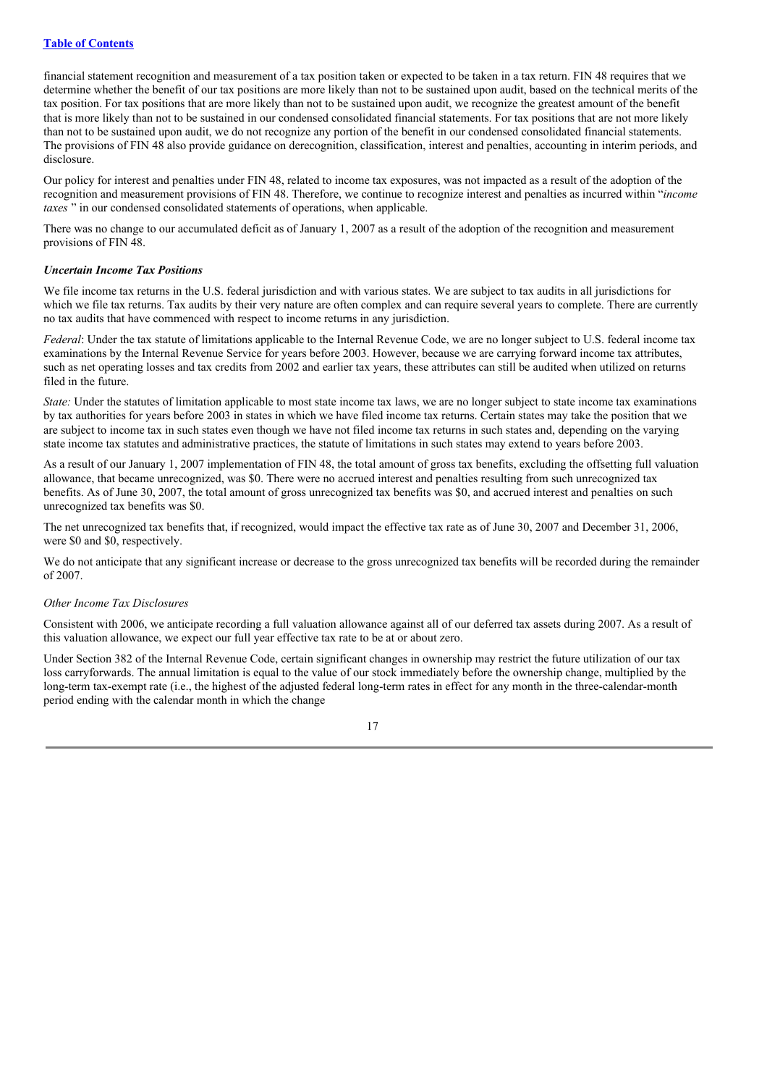financial statement recognition and measurement of a tax position taken or expected to be taken in a tax return. FIN 48 requires that we determine whether the benefit of our tax positions are more likely than not to be sustained upon audit, based on the technical merits of the tax position. For tax positions that are more likely than not to be sustained upon audit, we recognize the greatest amount of the benefit that is more likely than not to be sustained in our condensed consolidated financial statements. For tax positions that are not more likely than not to be sustained upon audit, we do not recognize any portion of the benefit in our condensed consolidated financial statements. The provisions of FIN 48 also provide guidance on derecognition, classification, interest and penalties, accounting in interim periods, and disclosure.

Our policy for interest and penalties under FIN 48, related to income tax exposures, was not impacted as a result of the adoption of the recognition and measurement provisions of FIN 48. Therefore, we continue to recognize interest and penalties as incurred within "*income taxes* " in our condensed consolidated statements of operations, when applicable.

There was no change to our accumulated deficit as of January 1, 2007 as a result of the adoption of the recognition and measurement provisions of FIN 48.

#### *Uncertain Income Tax Positions*

We file income tax returns in the U.S. federal jurisdiction and with various states. We are subject to tax audits in all jurisdictions for which we file tax returns. Tax audits by their very nature are often complex and can require several years to complete. There are currently no tax audits that have commenced with respect to income returns in any jurisdiction.

*Federal*: Under the tax statute of limitations applicable to the Internal Revenue Code, we are no longer subject to U.S. federal income tax examinations by the Internal Revenue Service for years before 2003. However, because we are carrying forward income tax attributes, such as net operating losses and tax credits from 2002 and earlier tax years, these attributes can still be audited when utilized on returns filed in the future.

*State:* Under the statutes of limitation applicable to most state income tax laws, we are no longer subject to state income tax examinations by tax authorities for years before 2003 in states in which we have filed income tax returns. Certain states may take the position that we are subject to income tax in such states even though we have not filed income tax returns in such states and, depending on the varying state income tax statutes and administrative practices, the statute of limitations in such states may extend to years before 2003.

As a result of our January 1, 2007 implementation of FIN 48, the total amount of gross tax benefits, excluding the offsetting full valuation allowance, that became unrecognized, was \$0. There were no accrued interest and penalties resulting from such unrecognized tax benefits. As of June 30, 2007, the total amount of gross unrecognized tax benefits was \$0, and accrued interest and penalties on such unrecognized tax benefits was \$0.

The net unrecognized tax benefits that, if recognized, would impact the effective tax rate as of June 30, 2007 and December 31, 2006, were \$0 and \$0, respectively.

We do not anticipate that any significant increase or decrease to the gross unrecognized tax benefits will be recorded during the remainder of 2007.

#### *Other Income Tax Disclosures*

Consistent with 2006, we anticipate recording a full valuation allowance against all of our deferred tax assets during 2007. As a result of this valuation allowance, we expect our full year effective tax rate to be at or about zero.

Under Section 382 of the Internal Revenue Code, certain significant changes in ownership may restrict the future utilization of our tax loss carryforwards. The annual limitation is equal to the value of our stock immediately before the ownership change, multiplied by the long-term tax-exempt rate (i.e., the highest of the adjusted federal long-term rates in effect for any month in the three-calendar-month period ending with the calendar month in which the change

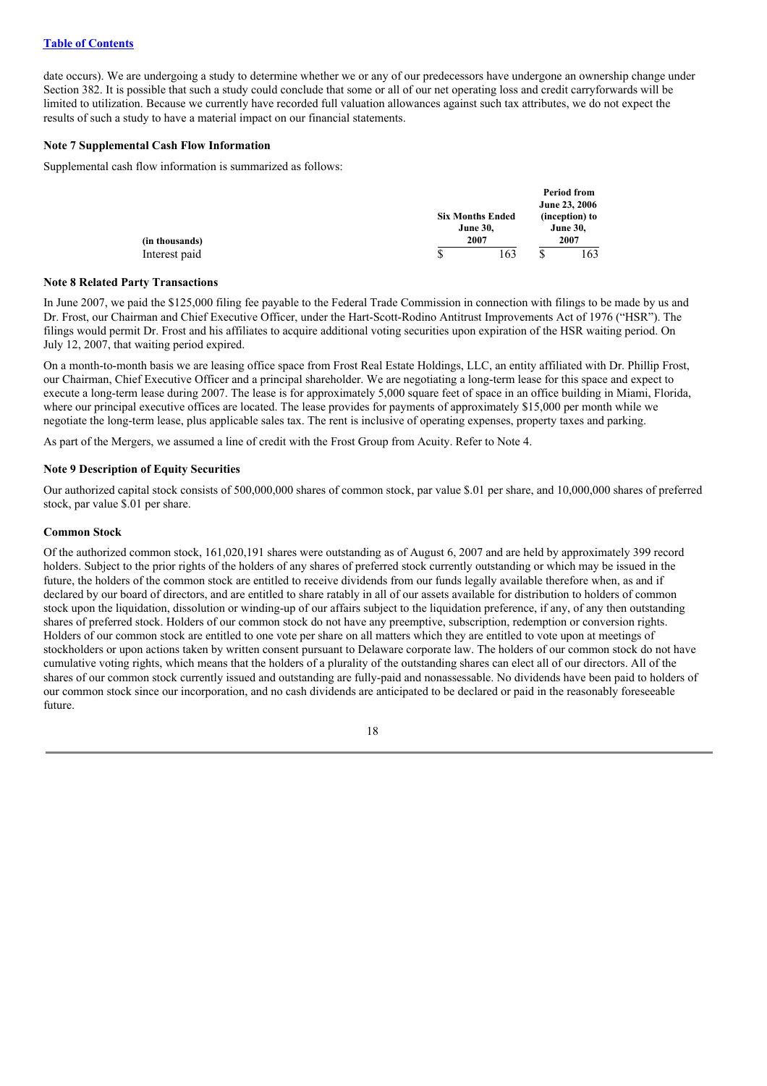date occurs). We are undergoing a study to determine whether we or any of our predecessors have undergone an ownership change under Section 382. It is possible that such a study could conclude that some or all of our net operating loss and credit carryforwards will be limited to utilization. Because we currently have recorded full valuation allowances against such tax attributes, we do not expect the results of such a study to have a material impact on our financial statements.

## **Note 7 Supplemental Cash Flow Information**

Supplemental cash flow information is summarized as follows:

|                | <b>Six Months Ended</b> |   | Period from<br><b>June 23, 2006</b><br>(inception) to |
|----------------|-------------------------|---|-------------------------------------------------------|
| (in thousands) | <b>June 30,</b><br>2007 |   | <b>June 30,</b><br>2007                               |
| Interest paid  | \$<br>163               | S | 163                                                   |

#### **Note 8 Related Party Transactions**

In June 2007, we paid the \$125,000 filing fee payable to the Federal Trade Commission in connection with filings to be made by us and Dr. Frost, our Chairman and Chief Executive Officer, under the Hart-Scott-Rodino Antitrust Improvements Act of 1976 ("HSR"). The filings would permit Dr. Frost and his affiliates to acquire additional voting securities upon expiration of the HSR waiting period. On July 12, 2007, that waiting period expired.

On a month-to-month basis we are leasing office space from Frost Real Estate Holdings, LLC, an entity affiliated with Dr. Phillip Frost, our Chairman, Chief Executive Officer and a principal shareholder. We are negotiating a long-term lease for this space and expect to execute a long-term lease during 2007. The lease is for approximately 5,000 square feet of space in an office building in Miami, Florida, where our principal executive offices are located. The lease provides for payments of approximately \$15,000 per month while we negotiate the long-term lease, plus applicable sales tax. The rent is inclusive of operating expenses, property taxes and parking.

As part of the Mergers, we assumed a line of credit with the Frost Group from Acuity. Refer to Note 4.

## **Note 9 Description of Equity Securities**

Our authorized capital stock consists of 500,000,000 shares of common stock, par value \$.01 per share, and 10,000,000 shares of preferred stock, par value \$.01 per share.

## **Common Stock**

Of the authorized common stock, 161,020,191 shares were outstanding as of August 6, 2007 and are held by approximately 399 record holders. Subject to the prior rights of the holders of any shares of preferred stock currently outstanding or which may be issued in the future, the holders of the common stock are entitled to receive dividends from our funds legally available therefore when, as and if declared by our board of directors, and are entitled to share ratably in all of our assets available for distribution to holders of common stock upon the liquidation, dissolution or winding-up of our affairs subject to the liquidation preference, if any, of any then outstanding shares of preferred stock. Holders of our common stock do not have any preemptive, subscription, redemption or conversion rights. Holders of our common stock are entitled to one vote per share on all matters which they are entitled to vote upon at meetings of stockholders or upon actions taken by written consent pursuant to Delaware corporate law. The holders of our common stock do not have cumulative voting rights, which means that the holders of a plurality of the outstanding shares can elect all of our directors. All of the shares of our common stock currently issued and outstanding are fully-paid and nonassessable. No dividends have been paid to holders of our common stock since our incorporation, and no cash dividends are anticipated to be declared or paid in the reasonably foreseeable future.

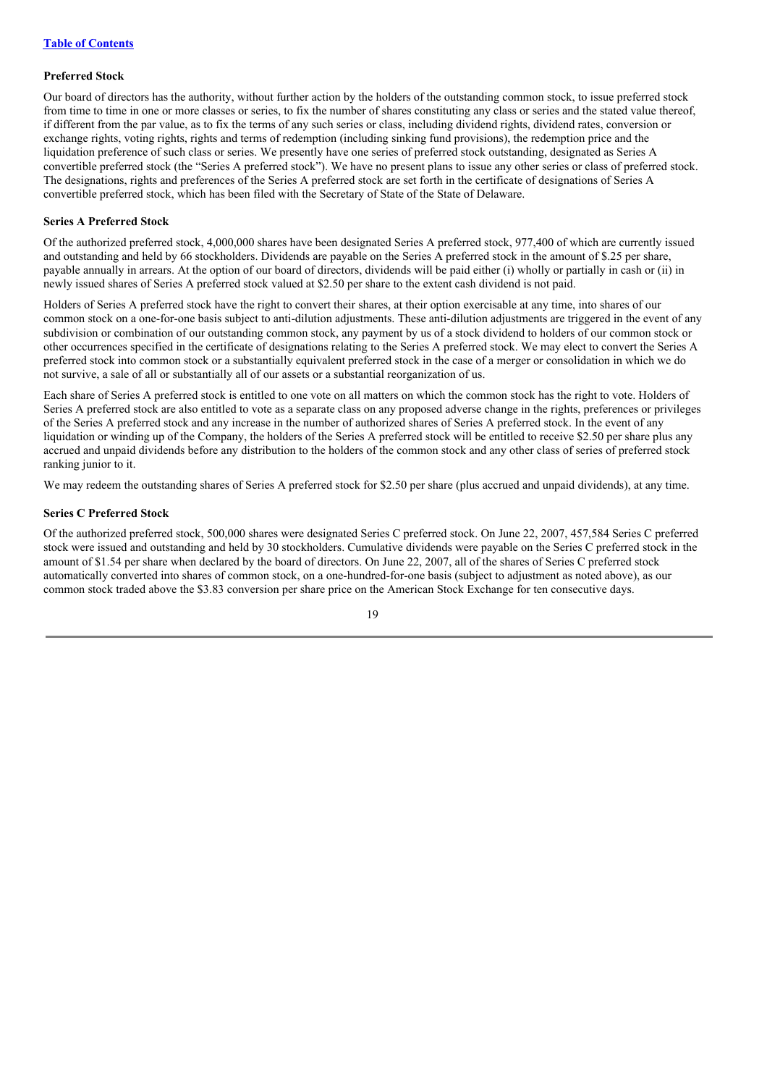## **Preferred Stock**

Our board of directors has the authority, without further action by the holders of the outstanding common stock, to issue preferred stock from time to time in one or more classes or series, to fix the number of shares constituting any class or series and the stated value thereof, if different from the par value, as to fix the terms of any such series or class, including dividend rights, dividend rates, conversion or exchange rights, voting rights, rights and terms of redemption (including sinking fund provisions), the redemption price and the liquidation preference of such class or series. We presently have one series of preferred stock outstanding, designated as Series A convertible preferred stock (the "Series A preferred stock"). We have no present plans to issue any other series or class of preferred stock. The designations, rights and preferences of the Series A preferred stock are set forth in the certificate of designations of Series A convertible preferred stock, which has been filed with the Secretary of State of the State of Delaware.

## **Series A Preferred Stock**

Of the authorized preferred stock, 4,000,000 shares have been designated Series A preferred stock, 977,400 of which are currently issued and outstanding and held by 66 stockholders. Dividends are payable on the Series A preferred stock in the amount of \$.25 per share, payable annually in arrears. At the option of our board of directors, dividends will be paid either (i) wholly or partially in cash or (ii) in newly issued shares of Series A preferred stock valued at \$2.50 per share to the extent cash dividend is not paid.

Holders of Series A preferred stock have the right to convert their shares, at their option exercisable at any time, into shares of our common stock on a one-for-one basis subject to anti-dilution adjustments. These anti-dilution adjustments are triggered in the event of any subdivision or combination of our outstanding common stock, any payment by us of a stock dividend to holders of our common stock or other occurrences specified in the certificate of designations relating to the Series A preferred stock. We may elect to convert the Series A preferred stock into common stock or a substantially equivalent preferred stock in the case of a merger or consolidation in which we do not survive, a sale of all or substantially all of our assets or a substantial reorganization of us.

Each share of Series A preferred stock is entitled to one vote on all matters on which the common stock has the right to vote. Holders of Series A preferred stock are also entitled to vote as a separate class on any proposed adverse change in the rights, preferences or privileges of the Series A preferred stock and any increase in the number of authorized shares of Series A preferred stock. In the event of any liquidation or winding up of the Company, the holders of the Series A preferred stock will be entitled to receive \$2.50 per share plus any accrued and unpaid dividends before any distribution to the holders of the common stock and any other class of series of preferred stock ranking junior to it.

We may redeem the outstanding shares of Series A preferred stock for \$2.50 per share (plus accrued and unpaid dividends), at any time.

## **Series C Preferred Stock**

Of the authorized preferred stock, 500,000 shares were designated Series C preferred stock. On June 22, 2007, 457,584 Series C preferred stock were issued and outstanding and held by 30 stockholders. Cumulative dividends were payable on the Series C preferred stock in the amount of \$1.54 per share when declared by the board of directors. On June 22, 2007, all of the shares of Series C preferred stock automatically converted into shares of common stock, on a one-hundred-for-one basis (subject to adjustment as noted above), as our common stock traded above the \$3.83 conversion per share price on the American Stock Exchange for ten consecutive days.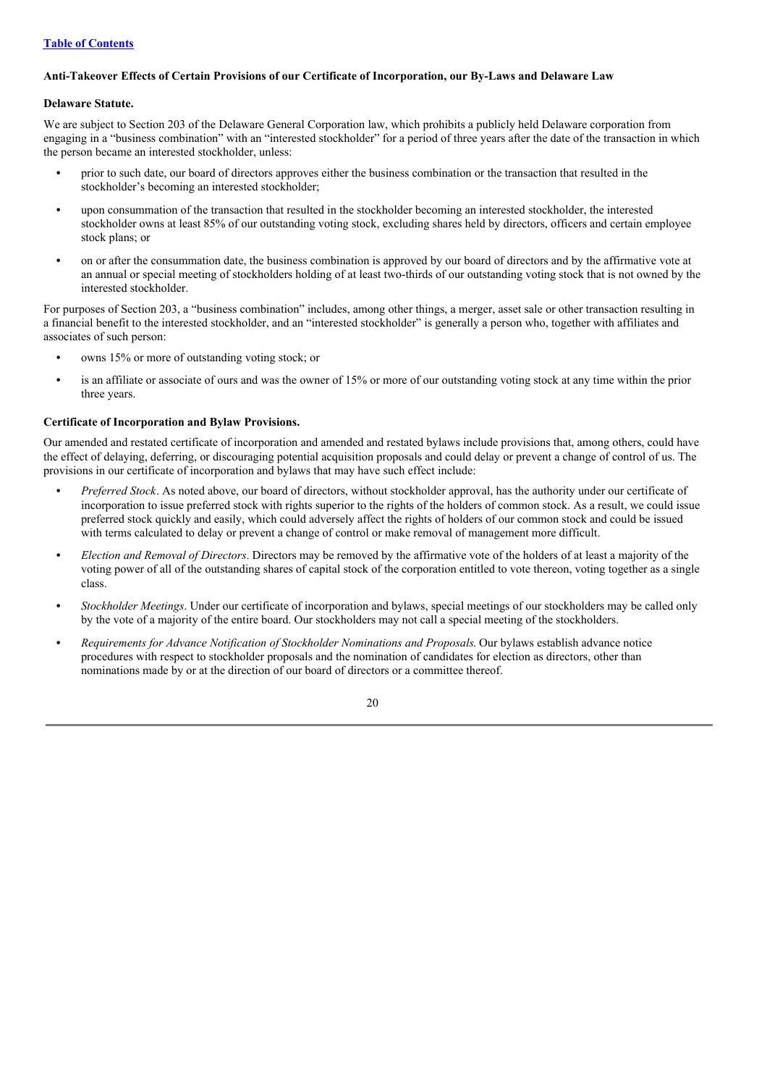## **Table of Contents**

## **Anti-Takeover Effects of Certain Provisions of our Certificate of Incorporation, our By-Laws and Delaware Law**

## **Delaware Statute.**

We are subject to Section 203 of the Delaware General Corporation law, which prohibits a publicly held Delaware corporation from engaging in a "business combination" with an "interested stockholder" for a period of three years after the date of the transaction in which the person became an interested stockholder, unless:

- **•** prior to such date, our board of directors approves either the business combination or the transaction that resulted in the stockholder's becoming an interested stockholder;
- **•** upon consummation of the transaction that resulted in the stockholder becoming an interested stockholder, the interested stockholder owns at least 85% of our outstanding voting stock, excluding shares held by directors, officers and certain employee stock plans; or
- on or after the consummation date, the business combination is approved by our board of directors and by the affirmative vote at an annual or special meeting of stockholders holding of at least two-thirds of our outstanding voting stock that is not owned by the interested stockholder.

For purposes of Section 203, a "business combination" includes, among other things, a merger, asset sale or other transaction resulting in a financial benefit to the interested stockholder, and an "interested stockholder" is generally a person who, together with affiliates and associates of such person:

- owns 15% or more of outstanding voting stock; or
- is an affiliate or associate of ours and was the owner of 15% or more of our outstanding voting stock at any time within the prior three years.

## **Certificate of Incorporation and Bylaw Provisions.**

Our amended and restated certificate of incorporation and amended and restated bylaws include provisions that, among others, could have the effect of delaying, deferring, or discouraging potential acquisition proposals and could delay or prevent a change of control of us. The provisions in our certificate of incorporation and bylaws that may have such effect include:

- **•** *Preferred Stock*. As noted above, our board of directors, without stockholder approval, has the authority under our certificate of incorporation to issue preferred stock with rights superior to the rights of the holders of common stock. As a result, we could issue preferred stock quickly and easily, which could adversely affect the rights of holders of our common stock and could be issued with terms calculated to delay or prevent a change of control or make removal of management more difficult.
- **•** *Election and Removal of Directors*. Directors may be removed by the affirmative vote of the holders of at least a majority of the voting power of all of the outstanding shares of capital stock of the corporation entitled to vote thereon, voting together as a single class.
- **•** *Stockholder Meetings*. Under our certificate of incorporation and bylaws, special meetings of our stockholders may be called only by the vote of a majority of the entire board. Our stockholders may not call a special meeting of the stockholders.
- **•** *Requirements for Advance Notification of Stockholder Nominations and Proposals*. Our bylaws establish advance notice procedures with respect to stockholder proposals and the nomination of candidates for election as directors, other than nominations made by or at the direction of our board of directors or a committee thereof.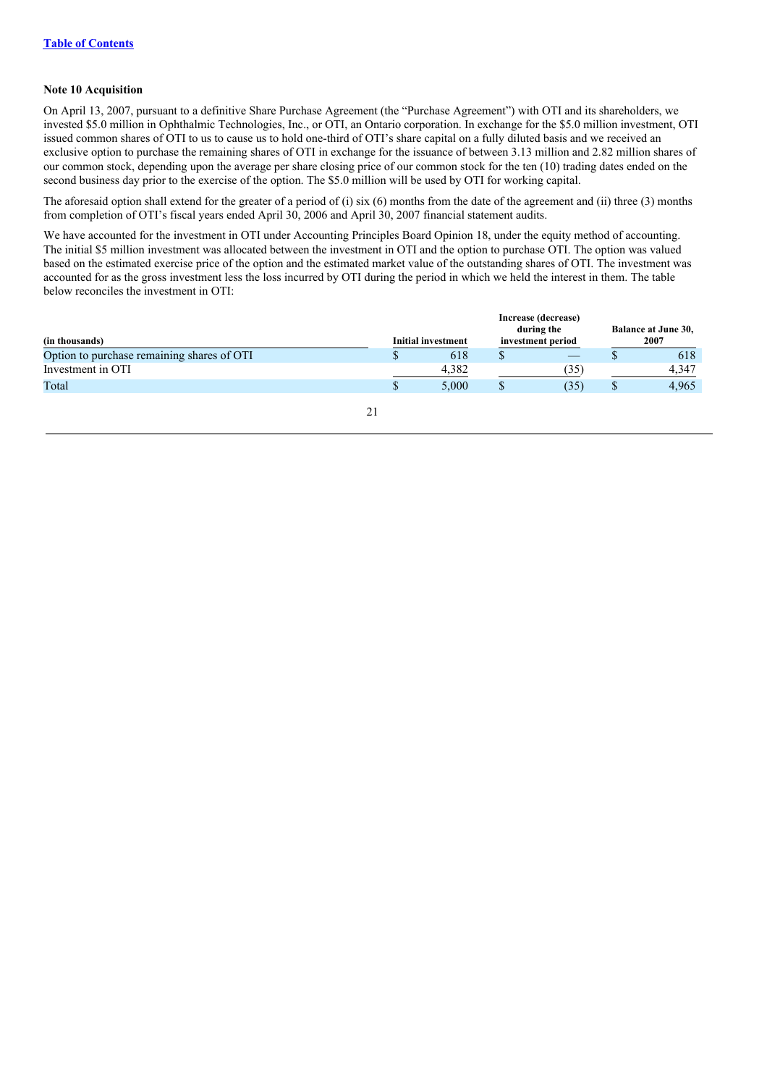## **Note 10 Acquisition**

On April 13, 2007, pursuant to a definitive Share Purchase Agreement (the "Purchase Agreement") with OTI and its shareholders, we invested \$5.0 million in Ophthalmic Technologies, Inc., or OTI, an Ontario corporation. In exchange for the \$5.0 million investment, OTI issued common shares of OTI to us to cause us to hold one-third of OTI's share capital on a fully diluted basis and we received an exclusive option to purchase the remaining shares of OTI in exchange for the issuance of between 3.13 million and 2.82 million shares of our common stock, depending upon the average per share closing price of our common stock for the ten (10) trading dates ended on the second business day prior to the exercise of the option. The \$5.0 million will be used by OTI for working capital.

The aforesaid option shall extend for the greater of a period of (i) six (6) months from the date of the agreement and (ii) three (3) months from completion of OTI's fiscal years ended April 30, 2006 and April 30, 2007 financial statement audits.

We have accounted for the investment in OTI under Accounting Principles Board Opinion 18, under the equity method of accounting. The initial \$5 million investment was allocated between the investment in OTI and the option to purchase OTI. The option was valued based on the estimated exercise price of the option and the estimated market value of the outstanding shares of OTI. The investment was accounted for as the gross investment less the loss incurred by OTI during the period in which we held the interest in them. The table below reconciles the investment in OTI:

|                                            |   |                           | Increase (decrease) |                            |
|--------------------------------------------|---|---------------------------|---------------------|----------------------------|
|                                            |   |                           | during the          | <b>Balance at June 30,</b> |
| (in thousands)                             |   | <b>Initial investment</b> | investment period   | 2007                       |
| Option to purchase remaining shares of OTI |   | 618                       |                     | 618                        |
| Investment in OTI                          |   | 4.382                     | (35)                | 4.347                      |
| Total                                      | S | 5.000                     | (35)                | 4.965                      |
|                                            |   |                           |                     |                            |

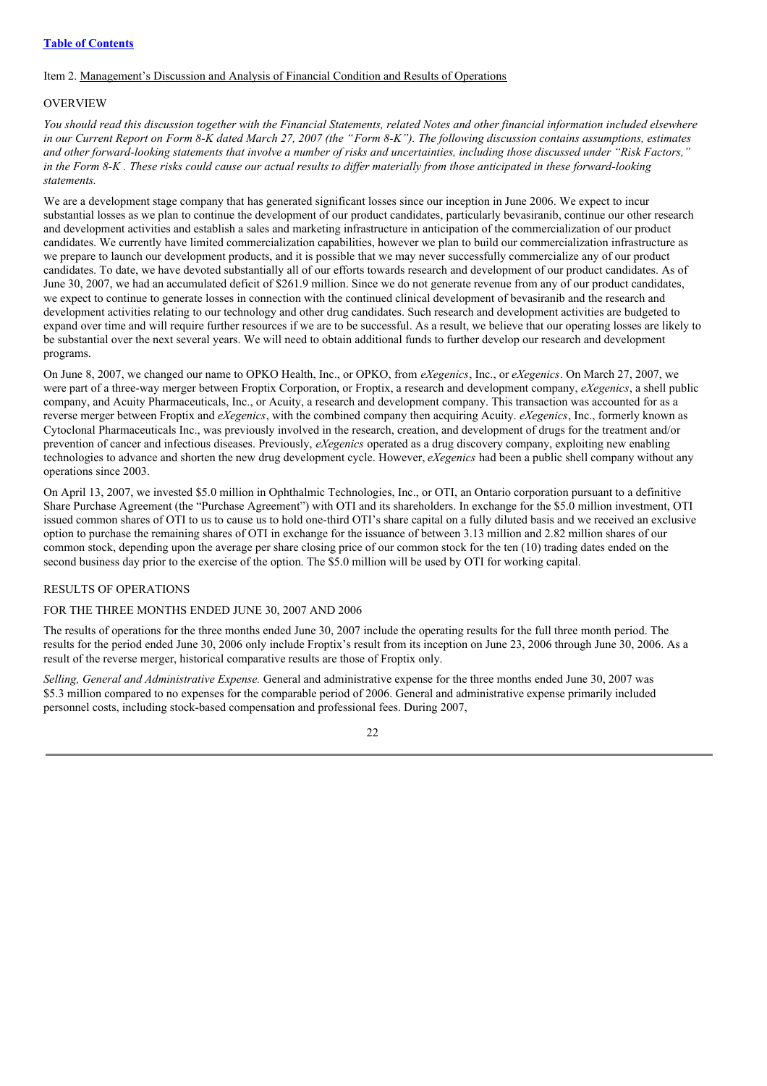## Item 2. Management's Discussion and Analysis of Financial Condition and Results of Operations

## OVERVIEW

You should read this discussion together with the Financial Statements, related Notes and other financial information included elsewhere in our Current Report on Form 8-K dated March 27, 2007 (the "Form 8-K"). The following discussion contains assumptions, estimates and other forward-looking statements that involve a number of risks and uncertainties, including those discussed under "Risk Factors," in the Form 8-K. These risks could cause our actual results to differ materially from those anticipated in these forward-looking *statements.*

We are a development stage company that has generated significant losses since our inception in June 2006. We expect to incur substantial losses as we plan to continue the development of our product candidates, particularly bevasiranib, continue our other research and development activities and establish a sales and marketing infrastructure in anticipation of the commercialization of our product candidates. We currently have limited commercialization capabilities, however we plan to build our commercialization infrastructure as we prepare to launch our development products, and it is possible that we may never successfully commercialize any of our product candidates. To date, we have devoted substantially all of our efforts towards research and development of our product candidates. As of June 30, 2007, we had an accumulated deficit of \$261.9 million. Since we do not generate revenue from any of our product candidates, we expect to continue to generate losses in connection with the continued clinical development of bevasiranib and the research and development activities relating to our technology and other drug candidates. Such research and development activities are budgeted to expand over time and will require further resources if we are to be successful. As a result, we believe that our operating losses are likely to be substantial over the next several years. We will need to obtain additional funds to further develop our research and development programs.

On June 8, 2007, we changed our name to OPKO Health, Inc., or OPKO, from *eXegenics*, Inc., or *eXegenics*. On March 27, 2007, we were part of a three-way merger between Froptix Corporation, or Froptix, a research and development company, *eXegenics*, a shell public company, and Acuity Pharmaceuticals, Inc., or Acuity, a research and development company. This transaction was accounted for as a reverse merger between Froptix and *eXegenics*, with the combined company then acquiring Acuity. *eXegenics*, Inc., formerly known as Cytoclonal Pharmaceuticals Inc., was previously involved in the research, creation, and development of drugs for the treatment and/or prevention of cancer and infectious diseases. Previously, *eXegenics* operated as a drug discovery company, exploiting new enabling technologies to advance and shorten the new drug development cycle. However, *eXegenics* had been a public shell company without any operations since 2003.

On April 13, 2007, we invested \$5.0 million in Ophthalmic Technologies, Inc., or OTI, an Ontario corporation pursuant to a definitive Share Purchase Agreement (the "Purchase Agreement") with OTI and its shareholders. In exchange for the \$5.0 million investment, OTI issued common shares of OTI to us to cause us to hold one-third OTI's share capital on a fully diluted basis and we received an exclusive option to purchase the remaining shares of OTI in exchange for the issuance of between 3.13 million and 2.82 million shares of our common stock, depending upon the average per share closing price of our common stock for the ten (10) trading dates ended on the second business day prior to the exercise of the option. The \$5.0 million will be used by OTI for working capital.

## RESULTS OF OPERATIONS

FOR THE THREE MONTHS ENDED JUNE 30, 2007 AND 2006

The results of operations for the three months ended June 30, 2007 include the operating results for the full three month period. The results for the period ended June 30, 2006 only include Froptix's result from its inception on June 23, 2006 through June 30, 2006. As a result of the reverse merger, historical comparative results are those of Froptix only.

*Selling, General and Administrative Expense.* General and administrative expense for the three months ended June 30, 2007 was \$5.3 million compared to no expenses for the comparable period of 2006. General and administrative expense primarily included personnel costs, including stock-based compensation and professional fees. During 2007,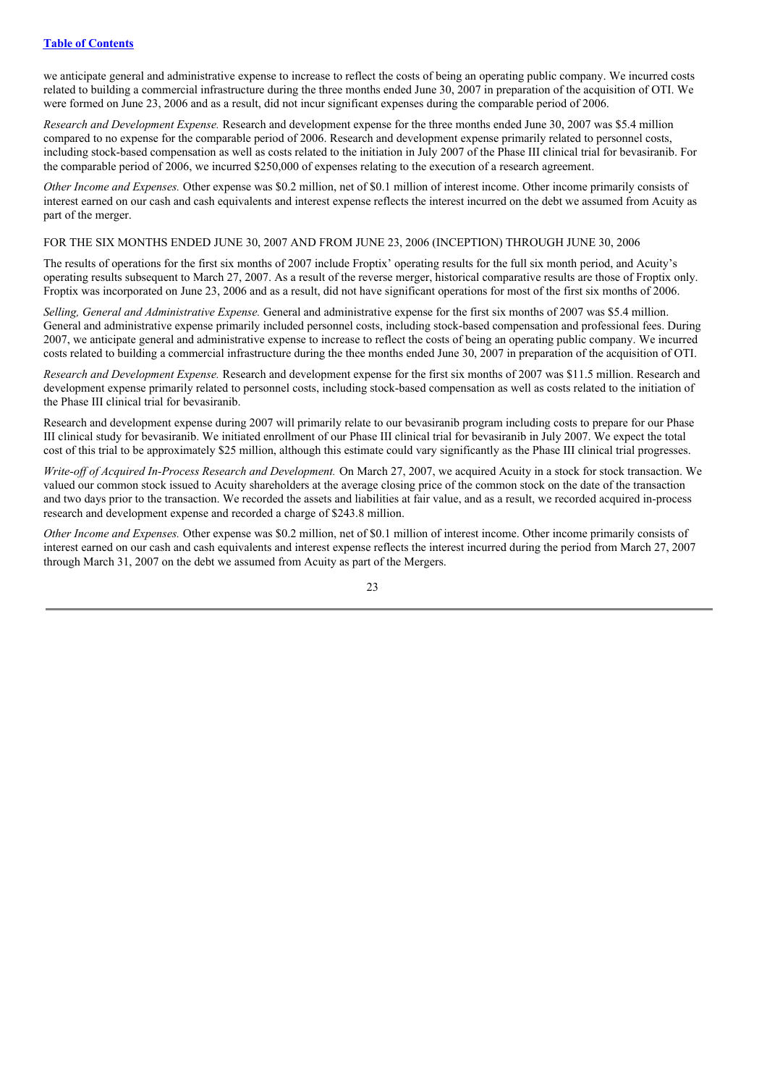we anticipate general and administrative expense to increase to reflect the costs of being an operating public company. We incurred costs related to building a commercial infrastructure during the three months ended June 30, 2007 in preparation of the acquisition of OTI. We were formed on June 23, 2006 and as a result, did not incur significant expenses during the comparable period of 2006.

*Research and Development Expense.* Research and development expense for the three months ended June 30, 2007 was \$5.4 million compared to no expense for the comparable period of 2006. Research and development expense primarily related to personnel costs, including stock-based compensation as well as costs related to the initiation in July 2007 of the Phase III clinical trial for bevasiranib. For the comparable period of 2006, we incurred \$250,000 of expenses relating to the execution of a research agreement.

*Other Income and Expenses.* Other expense was \$0.2 million, net of \$0.1 million of interest income. Other income primarily consists of interest earned on our cash and cash equivalents and interest expense reflects the interest incurred on the debt we assumed from Acuity as part of the merger.

#### FOR THE SIX MONTHS ENDED JUNE 30, 2007 AND FROM JUNE 23, 2006 (INCEPTION) THROUGH JUNE 30, 2006

The results of operations for the first six months of 2007 include Froptix' operating results for the full six month period, and Acuity's operating results subsequent to March 27, 2007. As a result of the reverse merger, historical comparative results are those of Froptix only. Froptix was incorporated on June 23, 2006 and as a result, did not have significant operations for most of the first six months of 2006.

*Selling, General and Administrative Expense.* General and administrative expense for the first six months of 2007 was \$5.4 million. General and administrative expense primarily included personnel costs, including stock-based compensation and professional fees. During 2007, we anticipate general and administrative expense to increase to reflect the costs of being an operating public company. We incurred costs related to building a commercial infrastructure during the thee months ended June 30, 2007 in preparation of the acquisition of OTI.

*Research and Development Expense.* Research and development expense for the first six months of 2007 was \$11.5 million. Research and development expense primarily related to personnel costs, including stock-based compensation as well as costs related to the initiation of the Phase III clinical trial for bevasiranib.

Research and development expense during 2007 will primarily relate to our bevasiranib program including costs to prepare for our Phase III clinical study for bevasiranib. We initiated enrollment of our Phase III clinical trial for bevasiranib in July 2007. We expect the total cost of this trial to be approximately \$25 million, although this estimate could vary significantly as the Phase III clinical trial progresses.

*Write-of of Acquired In-Process Research and Development.* On March 27, 2007, we acquired Acuity in a stock for stock transaction. We valued our common stock issued to Acuity shareholders at the average closing price of the common stock on the date of the transaction and two days prior to the transaction. We recorded the assets and liabilities at fair value, and as a result, we recorded acquired in-process research and development expense and recorded a charge of \$243.8 million.

*Other Income and Expenses.* Other expense was \$0.2 million, net of \$0.1 million of interest income. Other income primarily consists of interest earned on our cash and cash equivalents and interest expense reflects the interest incurred during the period from March 27, 2007 through March 31, 2007 on the debt we assumed from Acuity as part of the Mergers.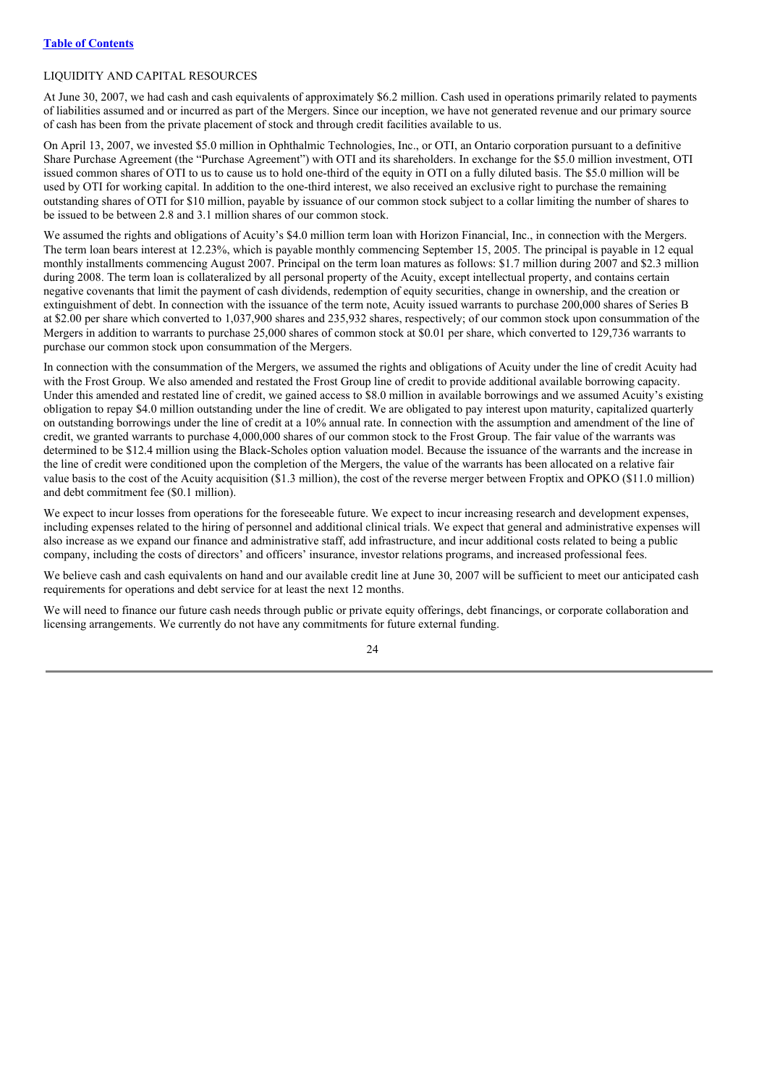## LIQUIDITY AND CAPITAL RESOURCES

At June 30, 2007, we had cash and cash equivalents of approximately \$6.2 million. Cash used in operations primarily related to payments of liabilities assumed and or incurred as part of the Mergers. Since our inception, we have not generated revenue and our primary source of cash has been from the private placement of stock and through credit facilities available to us.

On April 13, 2007, we invested \$5.0 million in Ophthalmic Technologies, Inc., or OTI, an Ontario corporation pursuant to a definitive Share Purchase Agreement (the "Purchase Agreement") with OTI and its shareholders. In exchange for the \$5.0 million investment, OTI issued common shares of OTI to us to cause us to hold one-third of the equity in OTI on a fully diluted basis. The \$5.0 million will be used by OTI for working capital. In addition to the one-third interest, we also received an exclusive right to purchase the remaining outstanding shares of OTI for \$10 million, payable by issuance of our common stock subject to a collar limiting the number of shares to be issued to be between 2.8 and 3.1 million shares of our common stock.

We assumed the rights and obligations of Acuity's \$4.0 million term loan with Horizon Financial. Inc., in connection with the Mergers. The term loan bears interest at 12.23%, which is payable monthly commencing September 15, 2005. The principal is payable in 12 equal monthly installments commencing August 2007. Principal on the term loan matures as follows: \$1.7 million during 2007 and \$2.3 million during 2008. The term loan is collateralized by all personal property of the Acuity, except intellectual property, and contains certain negative covenants that limit the payment of cash dividends, redemption of equity securities, change in ownership, and the creation or extinguishment of debt. In connection with the issuance of the term note, Acuity issued warrants to purchase 200,000 shares of Series B at \$2.00 per share which converted to 1,037,900 shares and 235,932 shares, respectively; of our common stock upon consummation of the Mergers in addition to warrants to purchase 25,000 shares of common stock at \$0.01 per share, which converted to 129,736 warrants to purchase our common stock upon consummation of the Mergers.

In connection with the consummation of the Mergers, we assumed the rights and obligations of Acuity under the line of credit Acuity had with the Frost Group. We also amended and restated the Frost Group line of credit to provide additional available borrowing capacity. Under this amended and restated line of credit, we gained access to \$8.0 million in available borrowings and we assumed Acuity's existing obligation to repay \$4.0 million outstanding under the line of credit. We are obligated to pay interest upon maturity, capitalized quarterly on outstanding borrowings under the line of credit at a 10% annual rate. In connection with the assumption and amendment of the line of credit, we granted warrants to purchase 4,000,000 shares of our common stock to the Frost Group. The fair value of the warrants was determined to be \$12.4 million using the Black-Scholes option valuation model. Because the issuance of the warrants and the increase in the line of credit were conditioned upon the completion of the Mergers, the value of the warrants has been allocated on a relative fair value basis to the cost of the Acuity acquisition (\$1.3 million), the cost of the reverse merger between Froptix and OPKO (\$11.0 million) and debt commitment fee (\$0.1 million).

We expect to incur losses from operations for the foreseeable future. We expect to incur increasing research and development expenses, including expenses related to the hiring of personnel and additional clinical trials. We expect that general and administrative expenses will also increase as we expand our finance and administrative staff, add infrastructure, and incur additional costs related to being a public company, including the costs of directors' and officers' insurance, investor relations programs, and increased professional fees.

We believe cash and cash equivalents on hand and our available credit line at June 30, 2007 will be sufficient to meet our anticipated cash requirements for operations and debt service for at least the next 12 months.

We will need to finance our future cash needs through public or private equity offerings, debt financings, or corporate collaboration and licensing arrangements. We currently do not have any commitments for future external funding.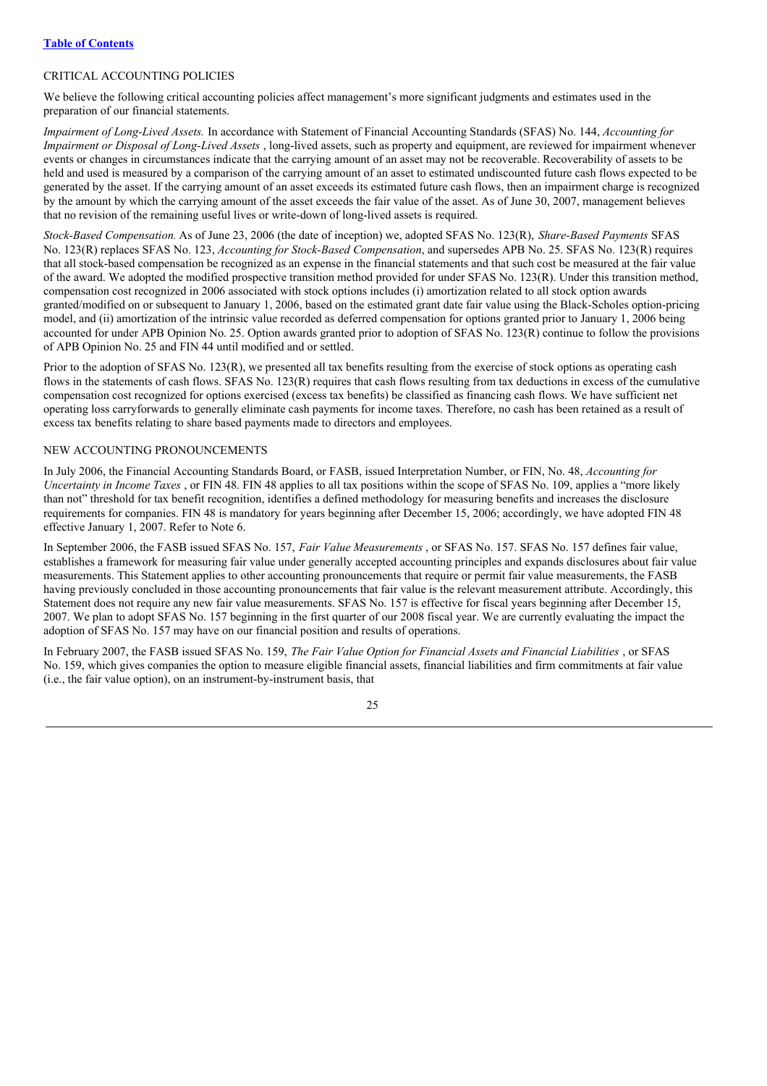## CRITICAL ACCOUNTING POLICIES

We believe the following critical accounting policies affect management's more significant judgments and estimates used in the preparation of our financial statements.

*Impairment of Long-Lived Assets.* In accordance with Statement of Financial Accounting Standards (SFAS) No. 144, *Accounting for Impairment or Disposal of Long-Lived Assets* , long-lived assets, such as property and equipment, are reviewed for impairment whenever events or changes in circumstances indicate that the carrying amount of an asset may not be recoverable. Recoverability of assets to be held and used is measured by a comparison of the carrying amount of an asset to estimated undiscounted future cash flows expected to be generated by the asset. If the carrying amount of an asset exceeds its estimated future cash flows, then an impairment charge is recognized by the amount by which the carrying amount of the asset exceeds the fair value of the asset. As of June 30, 2007, management believes that no revision of the remaining useful lives or write-down of long-lived assets is required.

*Stock-Based Compensation.* As of June 23, 2006 (the date of inception) we, adopted SFAS No. 123(R), *Share-Based Payments* SFAS No. 123(R) replaces SFAS No. 123, *Accounting for Stock-Based Compensation*, and supersedes APB No. 25. SFAS No. 123(R) requires that all stock-based compensation be recognized as an expense in the financial statements and that such cost be measured at the fair value of the award. We adopted the modified prospective transition method provided for under SFAS No. 123(R). Under this transition method, compensation cost recognized in 2006 associated with stock options includes (i) amortization related to all stock option awards granted/modified on or subsequent to January 1, 2006, based on the estimated grant date fair value using the Black-Scholes option-pricing model, and (ii) amortization of the intrinsic value recorded as deferred compensation for options granted prior to January 1, 2006 being accounted for under APB Opinion No. 25. Option awards granted prior to adoption of SFAS No. 123(R) continue to follow the provisions of APB Opinion No. 25 and FIN 44 until modified and or settled.

Prior to the adoption of SFAS No. 123(R), we presented all tax benefits resulting from the exercise of stock options as operating cash flows in the statements of cash flows. SFAS No. 123(R) requires that cash flows resulting from tax deductions in excess of the cumulative compensation cost recognized for options exercised (excess tax benefits) be classified as financing cash flows. We have sufficient net operating loss carryforwards to generally eliminate cash payments for income taxes. Therefore, no cash has been retained as a result of excess tax benefits relating to share based payments made to directors and employees.

## NEW ACCOUNTING PRONOUNCEMENTS

In July 2006, the Financial Accounting Standards Board, or FASB, issued Interpretation Number, or FIN, No. 48, *Accounting for Uncertainty in Income Taxes* , or FIN 48. FIN 48 applies to all tax positions within the scope of SFAS No. 109, applies a "more likely than not" threshold for tax benefit recognition, identifies a defined methodology for measuring benefits and increases the disclosure requirements for companies. FIN 48 is mandatory for years beginning after December 15, 2006; accordingly, we have adopted FIN 48 effective January 1, 2007. Refer to Note 6.

In September 2006, the FASB issued SFAS No. 157, *Fair Value Measurements* , or SFAS No. 157. SFAS No. 157 defines fair value, establishes a framework for measuring fair value under generally accepted accounting principles and expands disclosures about fair value measurements. This Statement applies to other accounting pronouncements that require or permit fair value measurements, the FASB having previously concluded in those accounting pronouncements that fair value is the relevant measurement attribute. Accordingly, this Statement does not require any new fair value measurements. SFAS No. 157 is effective for fiscal years beginning after December 15, 2007. We plan to adopt SFAS No. 157 beginning in the first quarter of our 2008 fiscal year. We are currently evaluating the impact the adoption of SFAS No. 157 may have on our financial position and results of operations.

In February 2007, the FASB issued SFAS No. 159, *The Fair Value Option for Financial Assets and Financial Liabilities* , or SFAS No. 159, which gives companies the option to measure eligible financial assets, financial liabilities and firm commitments at fair value (i.e., the fair value option), on an instrument-by-instrument basis, that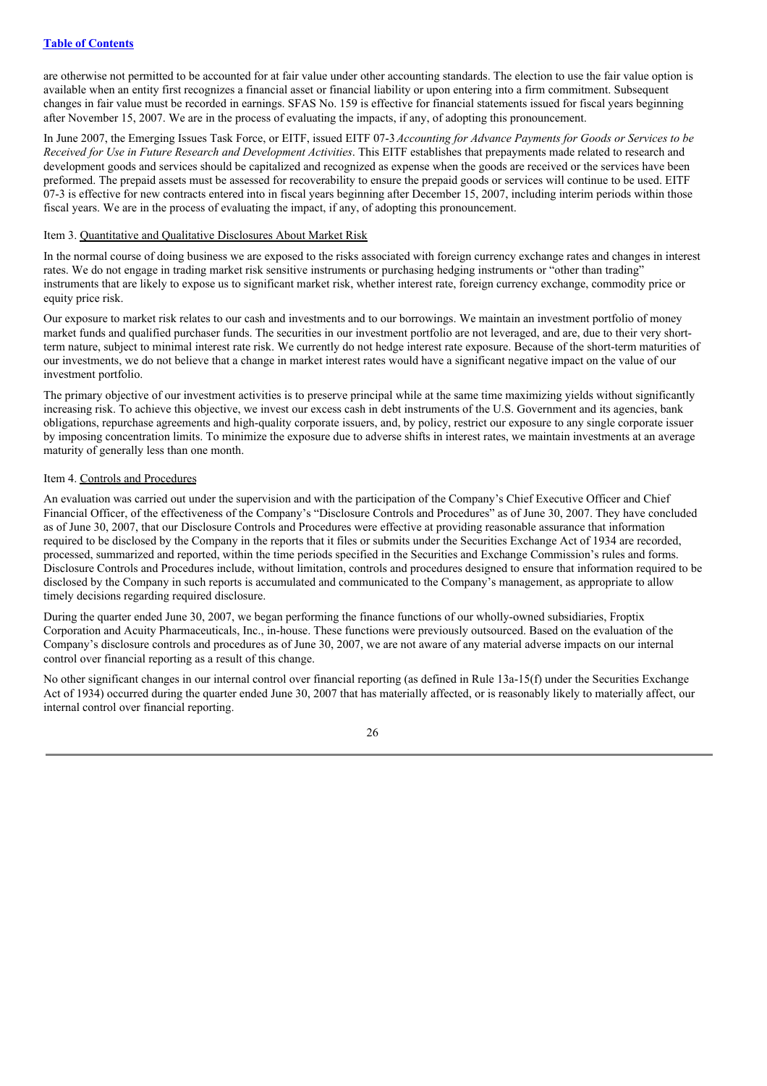are otherwise not permitted to be accounted for at fair value under other accounting standards. The election to use the fair value option is available when an entity first recognizes a financial asset or financial liability or upon entering into a firm commitment. Subsequent changes in fair value must be recorded in earnings. SFAS No. 159 is effective for financial statements issued for fiscal years beginning after November 15, 2007. We are in the process of evaluating the impacts, if any, of adopting this pronouncement.

In June 2007, the Emerging Issues Task Force, or EITF, issued EITF 07-3*Accounting for Advance Payments for Goods or Services to be Received for Use in Future Research and Development Activities*. This EITF establishes that prepayments made related to research and development goods and services should be capitalized and recognized as expense when the goods are received or the services have been preformed. The prepaid assets must be assessed for recoverability to ensure the prepaid goods or services will continue to be used. EITF 07-3 is effective for new contracts entered into in fiscal years beginning after December 15, 2007, including interim periods within those fiscal years. We are in the process of evaluating the impact, if any, of adopting this pronouncement.

## Item 3. Quantitative and Qualitative Disclosures About Market Risk

In the normal course of doing business we are exposed to the risks associated with foreign currency exchange rates and changes in interest rates. We do not engage in trading market risk sensitive instruments or purchasing hedging instruments or "other than trading" instruments that are likely to expose us to significant market risk, whether interest rate, foreign currency exchange, commodity price or equity price risk.

Our exposure to market risk relates to our cash and investments and to our borrowings. We maintain an investment portfolio of money market funds and qualified purchaser funds. The securities in our investment portfolio are not leveraged, and are, due to their very shortterm nature, subject to minimal interest rate risk. We currently do not hedge interest rate exposure. Because of the short-term maturities of our investments, we do not believe that a change in market interest rates would have a significant negative impact on the value of our investment portfolio.

The primary objective of our investment activities is to preserve principal while at the same time maximizing yields without significantly increasing risk. To achieve this objective, we invest our excess cash in debt instruments of the U.S. Government and its agencies, bank obligations, repurchase agreements and high-quality corporate issuers, and, by policy, restrict our exposure to any single corporate issuer by imposing concentration limits. To minimize the exposure due to adverse shifts in interest rates, we maintain investments at an average maturity of generally less than one month.

## Item 4. Controls and Procedures

An evaluation was carried out under the supervision and with the participation of the Company's Chief Executive Officer and Chief Financial Officer, of the effectiveness of the Company's "Disclosure Controls and Procedures" as of June 30, 2007. They have concluded as of June 30, 2007, that our Disclosure Controls and Procedures were effective at providing reasonable assurance that information required to be disclosed by the Company in the reports that it files or submits under the Securities Exchange Act of 1934 are recorded, processed, summarized and reported, within the time periods specified in the Securities and Exchange Commission's rules and forms. Disclosure Controls and Procedures include, without limitation, controls and procedures designed to ensure that information required to be disclosed by the Company in such reports is accumulated and communicated to the Company's management, as appropriate to allow timely decisions regarding required disclosure.

During the quarter ended June 30, 2007, we began performing the finance functions of our wholly-owned subsidiaries, Froptix Corporation and Acuity Pharmaceuticals, Inc., in-house. These functions were previously outsourced. Based on the evaluation of the Company's disclosure controls and procedures as of June 30, 2007, we are not aware of any material adverse impacts on our internal control over financial reporting as a result of this change.

No other significant changes in our internal control over financial reporting (as defined in Rule 13a-15(f) under the Securities Exchange Act of 1934) occurred during the quarter ended June 30, 2007 that has materially affected, or is reasonably likely to materially affect, our internal control over financial reporting.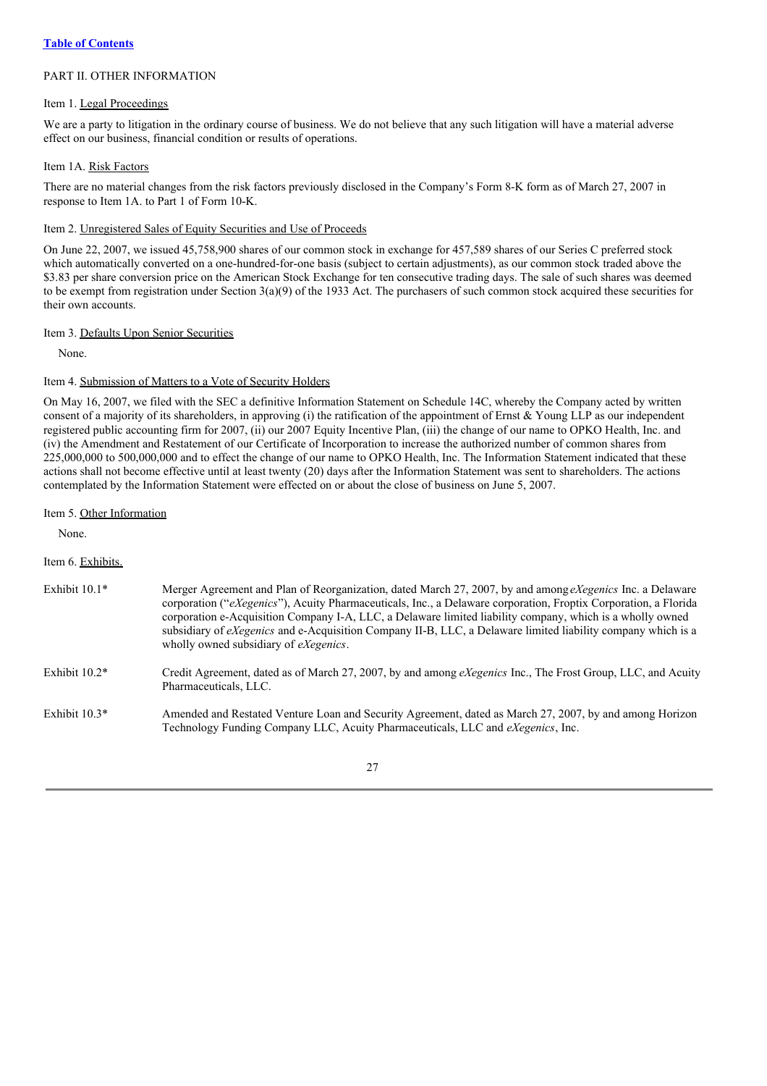## PART II. OTHER INFORMATION

## Item 1. Legal Proceedings

We are a party to litigation in the ordinary course of business. We do not believe that any such litigation will have a material adverse effect on our business, financial condition or results of operations.

#### Item 1A. Risk Factors

There are no material changes from the risk factors previously disclosed in the Company's Form 8-K form as of March 27, 2007 in response to Item 1A. to Part 1 of Form 10-K.

## Item 2. Unregistered Sales of Equity Securities and Use of Proceeds

On June 22, 2007, we issued 45,758,900 shares of our common stock in exchange for 457,589 shares of our Series C preferred stock which automatically converted on a one-hundred-for-one basis (subject to certain adjustments), as our common stock traded above the \$3.83 per share conversion price on the American Stock Exchange for ten consecutive trading days. The sale of such shares was deemed to be exempt from registration under Section 3(a)(9) of the 1933 Act. The purchasers of such common stock acquired these securities for their own accounts.

## Item 3. Defaults Upon Senior Securities

None.

## Item 4. Submission of Matters to a Vote of Security Holders

On May 16, 2007, we filed with the SEC a definitive Information Statement on Schedule 14C, whereby the Company acted by written consent of a majority of its shareholders, in approving (i) the ratification of the appointment of Ernst & Young LLP as our independent registered public accounting firm for 2007, (ii) our 2007 Equity Incentive Plan, (iii) the change of our name to OPKO Health, Inc. and (iv) the Amendment and Restatement of our Certificate of Incorporation to increase the authorized number of common shares from 225,000,000 to 500,000,000 and to effect the change of our name to OPKO Health, Inc. The Information Statement indicated that these actions shall not become effective until at least twenty (20) days after the Information Statement was sent to shareholders. The actions contemplated by the Information Statement were effected on or about the close of business on June 5, 2007.

Item 5. Other Information

None.

Item 6. Exhibits.

| Exhibit $10.1*$ | Merger Agreement and Plan of Reorganization, dated March 27, 2007, by and among <i>eXegenics</i> Inc. a Delaware<br>corporation ("eXegenics"), Acuity Pharmaceuticals, Inc., a Delaware corporation, Froptix Corporation, a Florida<br>corporation e-Acquisition Company I-A, LLC, a Delaware limited liability company, which is a wholly owned<br>subsidiary of <i>eXegenics</i> and e-Acquisition Company II-B, LLC, a Delaware limited liability company which is a<br>wholly owned subsidiary of <i>eXegenics</i> . |
|-----------------|--------------------------------------------------------------------------------------------------------------------------------------------------------------------------------------------------------------------------------------------------------------------------------------------------------------------------------------------------------------------------------------------------------------------------------------------------------------------------------------------------------------------------|
|                 |                                                                                                                                                                                                                                                                                                                                                                                                                                                                                                                          |

- Exhibit 10.2\* Credit Agreement, dated as of March 27, 2007, by and among *eXegenics* Inc., The Frost Group, LLC, and Acuity Pharmaceuticals, LLC.
- Exhibit 10.3\* Amended and Restated Venture Loan and Security Agreement, dated as March 27, 2007, by and among Horizon Technology Funding Company LLC, Acuity Pharmaceuticals, LLC and *eXegenics*, Inc.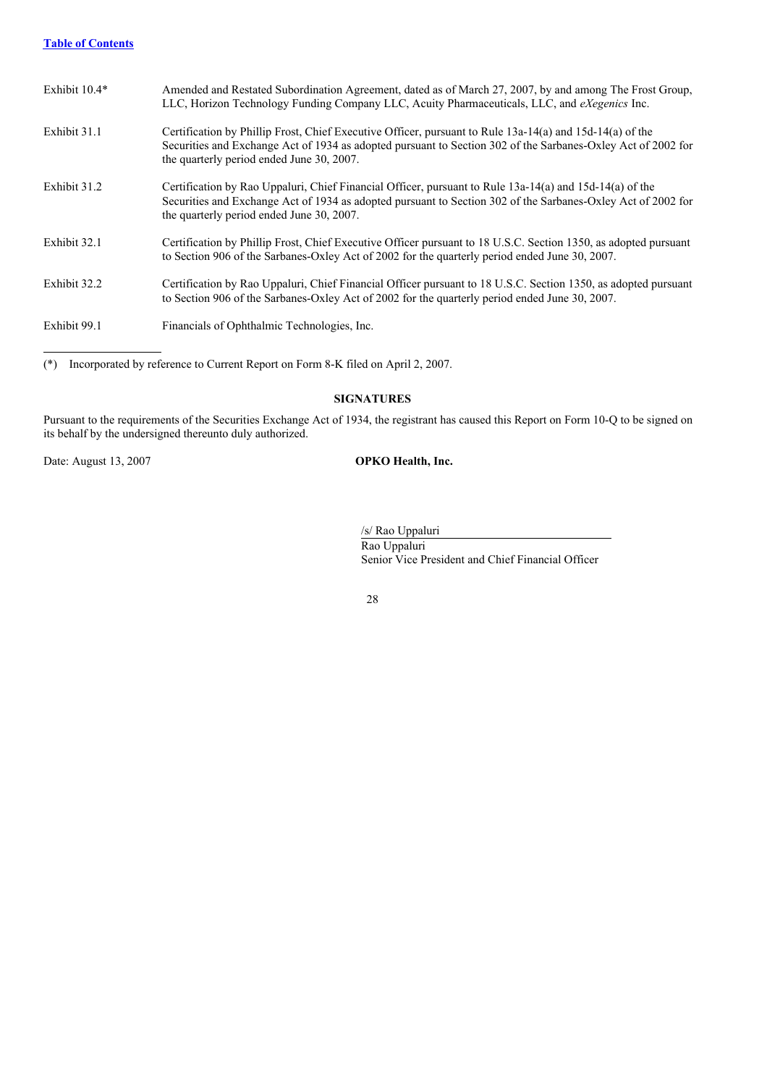## **Table of Contents**

| Exhibit 10.4* | Amended and Restated Subordination Agreement, dated as of March 27, 2007, by and among The Frost Group,<br>LLC, Horizon Technology Funding Company LLC, Acuity Pharmaceuticals, LLC, and <i>eXegenics</i> Inc.                                                        |
|---------------|-----------------------------------------------------------------------------------------------------------------------------------------------------------------------------------------------------------------------------------------------------------------------|
| Exhibit 31.1  | Certification by Phillip Frost, Chief Executive Officer, pursuant to Rule 13a-14(a) and 15d-14(a) of the<br>Securities and Exchange Act of 1934 as adopted pursuant to Section 302 of the Sarbanes-Oxley Act of 2002 for<br>the quarterly period ended June 30, 2007. |
| Exhibit 31.2  | Certification by Rao Uppaluri, Chief Financial Officer, pursuant to Rule 13a-14(a) and 15d-14(a) of the<br>Securities and Exchange Act of 1934 as adopted pursuant to Section 302 of the Sarbanes-Oxley Act of 2002 for<br>the quarterly period ended June 30, 2007.  |
| Exhibit 32.1  | Certification by Phillip Frost, Chief Executive Officer pursuant to 18 U.S.C. Section 1350, as adopted pursuant<br>to Section 906 of the Sarbanes-Oxley Act of 2002 for the quarterly period ended June 30, 2007.                                                     |
| Exhibit 32.2  | Certification by Rao Uppaluri, Chief Financial Officer pursuant to 18 U.S.C. Section 1350, as adopted pursuant<br>to Section 906 of the Sarbanes-Oxley Act of 2002 for the quarterly period ended June 30, 2007.                                                      |
| Exhibit 99.1  | Financials of Ophthalmic Technologies, Inc.                                                                                                                                                                                                                           |

(\*) Incorporated by reference to Current Report on Form 8-K filed on April 2, 2007.

## **SIGNATURES**

Pursuant to the requirements of the Securities Exchange Act of 1934, the registrant has caused this Report on Form 10-Q to be signed on its behalf by the undersigned thereunto duly authorized.

Date: August 13, 2007 **OPKO Health, Inc.**

/s/ Rao Uppaluri Rao Uppaluri Senior Vice President and Chief Financial Officer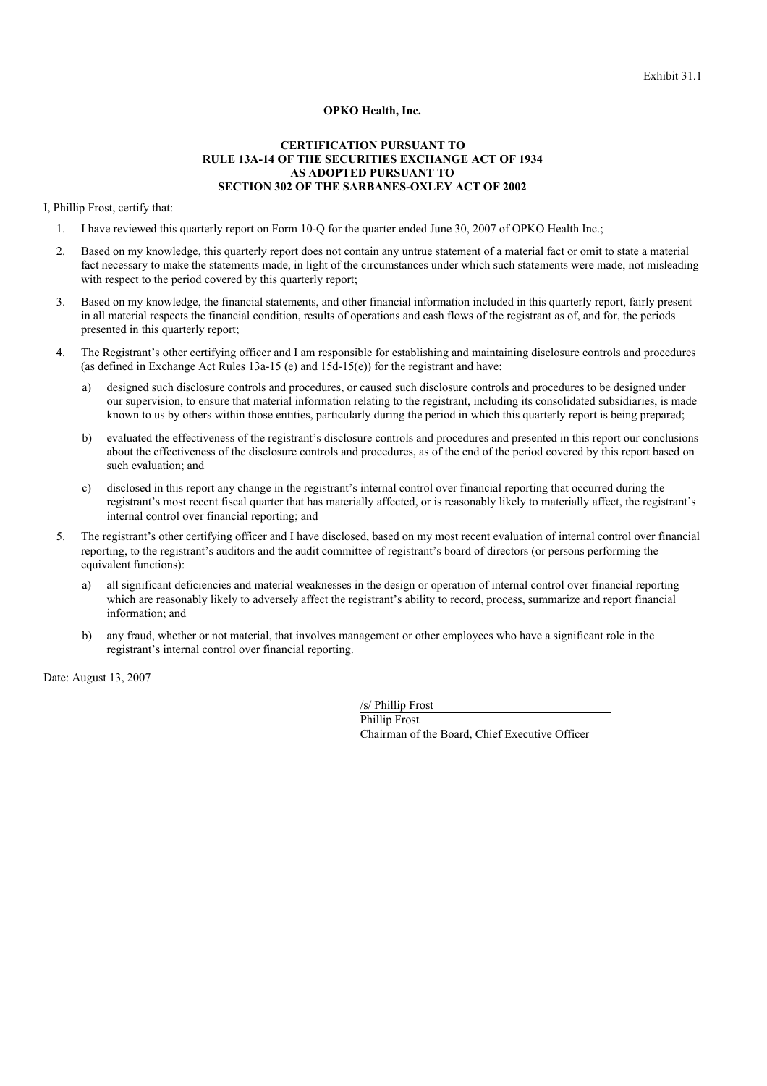#### **OPKO Health, Inc.**

## **CERTIFICATION PURSUANT TO RULE 13A-14 OF THE SECURITIES EXCHANGE ACT OF 1934 AS ADOPTED PURSUANT TO SECTION 302 OF THE SARBANES-OXLEY ACT OF 2002**

I, Phillip Frost, certify that:

- 1. I have reviewed this quarterly report on Form 10-Q for the quarter ended June 30, 2007 of OPKO Health Inc.;
- 2. Based on my knowledge, this quarterly report does not contain any untrue statement of a material fact or omit to state a material fact necessary to make the statements made, in light of the circumstances under which such statements were made, not misleading with respect to the period covered by this quarterly report;
- 3. Based on my knowledge, the financial statements, and other financial information included in this quarterly report, fairly present in all material respects the financial condition, results of operations and cash flows of the registrant as of, and for, the periods presented in this quarterly report;
- 4. The Registrant's other certifying officer and I am responsible for establishing and maintaining disclosure controls and procedures (as defined in Exchange Act Rules 13a-15 (e) and 15d-15(e)) for the registrant and have:
	- designed such disclosure controls and procedures, or caused such disclosure controls and procedures to be designed under our supervision, to ensure that material information relating to the registrant, including its consolidated subsidiaries, is made known to us by others within those entities, particularly during the period in which this quarterly report is being prepared;
	- b) evaluated the effectiveness of the registrant's disclosure controls and procedures and presented in this report our conclusions about the effectiveness of the disclosure controls and procedures, as of the end of the period covered by this report based on such evaluation; and
	- c) disclosed in this report any change in the registrant's internal control over financial reporting that occurred during the registrant's most recent fiscal quarter that has materially affected, or is reasonably likely to materially affect, the registrant's internal control over financial reporting; and
- 5. The registrant's other certifying officer and I have disclosed, based on my most recent evaluation of internal control over financial reporting, to the registrant's auditors and the audit committee of registrant's board of directors (or persons performing the equivalent functions):
	- a) all significant deficiencies and material weaknesses in the design or operation of internal control over financial reporting which are reasonably likely to adversely affect the registrant's ability to record, process, summarize and report financial information; and
	- b) any fraud, whether or not material, that involves management or other employees who have a significant role in the registrant's internal control over financial reporting.

Date: August 13, 2007

/s/ Phillip Frost Phillip Frost Chairman of the Board, Chief Executive Officer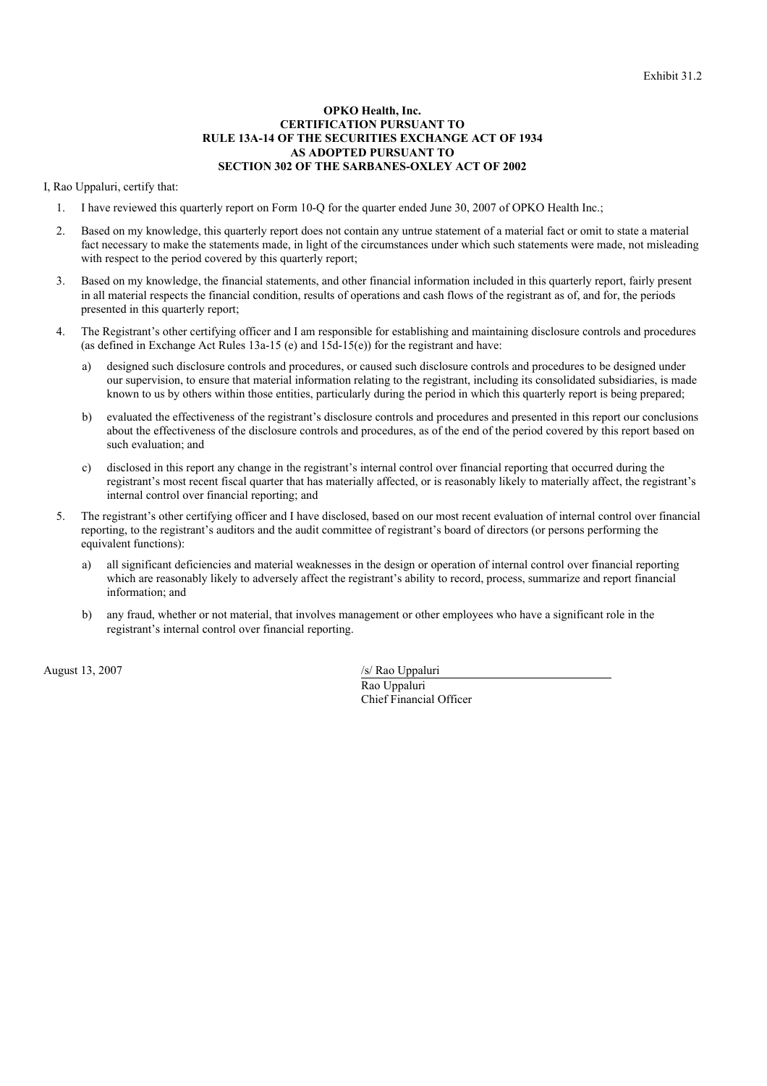#### **OPKO Health, Inc. CERTIFICATION PURSUANT TO RULE 13A-14 OF THE SECURITIES EXCHANGE ACT OF 1934 AS ADOPTED PURSUANT TO SECTION 302 OF THE SARBANES-OXLEY ACT OF 2002**

I, Rao Uppaluri, certify that:

- 1. I have reviewed this quarterly report on Form 10-Q for the quarter ended June 30, 2007 of OPKO Health Inc.;
- 2. Based on my knowledge, this quarterly report does not contain any untrue statement of a material fact or omit to state a material fact necessary to make the statements made, in light of the circumstances under which such statements were made, not misleading with respect to the period covered by this quarterly report;
- 3. Based on my knowledge, the financial statements, and other financial information included in this quarterly report, fairly present in all material respects the financial condition, results of operations and cash flows of the registrant as of, and for, the periods presented in this quarterly report;
- 4. The Registrant's other certifying officer and I am responsible for establishing and maintaining disclosure controls and procedures (as defined in Exchange Act Rules 13a-15 (e) and 15d-15(e)) for the registrant and have:
	- a) designed such disclosure controls and procedures, or caused such disclosure controls and procedures to be designed under our supervision, to ensure that material information relating to the registrant, including its consolidated subsidiaries, is made known to us by others within those entities, particularly during the period in which this quarterly report is being prepared;
	- b) evaluated the effectiveness of the registrant's disclosure controls and procedures and presented in this report our conclusions about the effectiveness of the disclosure controls and procedures, as of the end of the period covered by this report based on such evaluation; and
	- c) disclosed in this report any change in the registrant's internal control over financial reporting that occurred during the registrant's most recent fiscal quarter that has materially affected, or is reasonably likely to materially affect, the registrant's internal control over financial reporting; and
- 5. The registrant's other certifying officer and I have disclosed, based on our most recent evaluation of internal control over financial reporting, to the registrant's auditors and the audit committee of registrant's board of directors (or persons performing the equivalent functions):
	- a) all significant deficiencies and material weaknesses in the design or operation of internal control over financial reporting which are reasonably likely to adversely affect the registrant's ability to record, process, summarize and report financial information; and
	- b) any fraud, whether or not material, that involves management or other employees who have a significant role in the registrant's internal control over financial reporting.

August 13, 2007 /s/ Rao Uppaluri

Rao Uppaluri Chief Financial Officer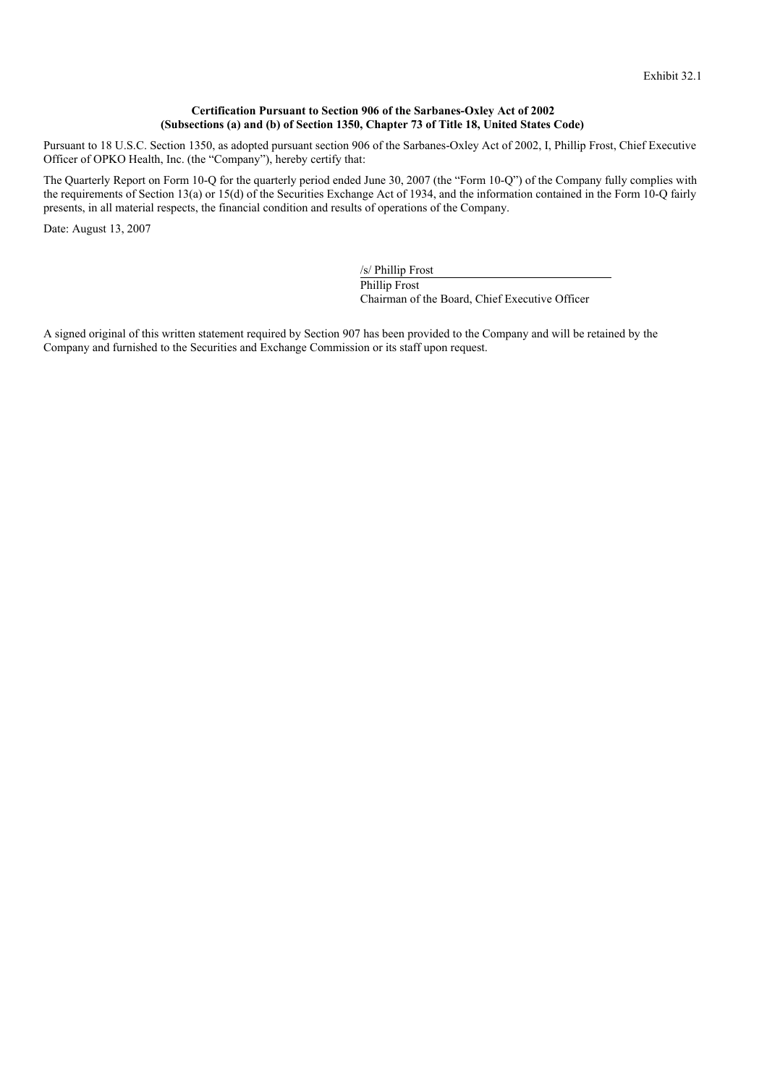## **Certification Pursuant to Section 906 of the Sarbanes-Oxley Act of 2002 (Subsections (a) and (b) of Section 1350, Chapter 73 of Title 18, United States Code)**

Pursuant to 18 U.S.C. Section 1350, as adopted pursuant section 906 of the Sarbanes-Oxley Act of 2002, I, Phillip Frost, Chief Executive Officer of OPKO Health, Inc. (the "Company"), hereby certify that:

The Quarterly Report on Form 10-Q for the quarterly period ended June 30, 2007 (the "Form 10-Q") of the Company fully complies with the requirements of Section 13(a) or 15(d) of the Securities Exchange Act of 1934, and the information contained in the Form 10-Q fairly presents, in all material respects, the financial condition and results of operations of the Company.

Date: August 13, 2007

/s/ Phillip Frost Phillip Frost Chairman of the Board, Chief Executive Officer

A signed original of this written statement required by Section 907 has been provided to the Company and will be retained by the Company and furnished to the Securities and Exchange Commission or its staff upon request.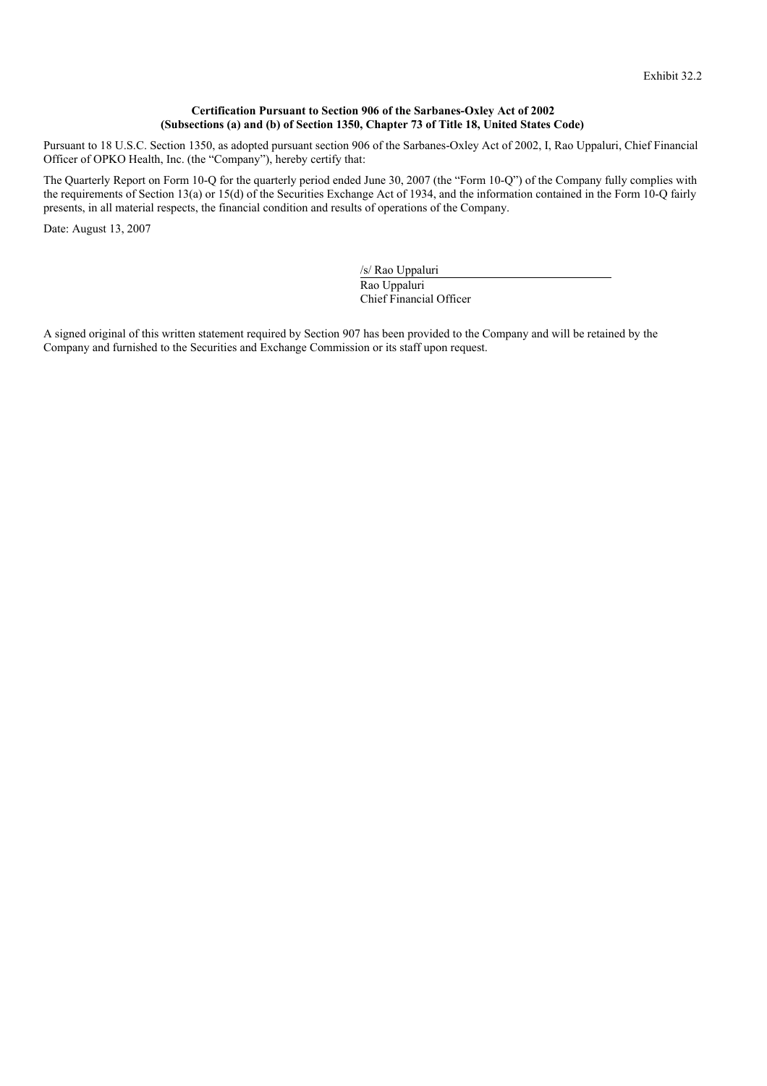## **Certification Pursuant to Section 906 of the Sarbanes-Oxley Act of 2002 (Subsections (a) and (b) of Section 1350, Chapter 73 of Title 18, United States Code)**

Pursuant to 18 U.S.C. Section 1350, as adopted pursuant section 906 of the Sarbanes-Oxley Act of 2002, I, Rao Uppaluri, Chief Financial Officer of OPKO Health, Inc. (the "Company"), hereby certify that:

The Quarterly Report on Form 10-Q for the quarterly period ended June 30, 2007 (the "Form 10-Q") of the Company fully complies with the requirements of Section 13(a) or 15(d) of the Securities Exchange Act of 1934, and the information contained in the Form 10-Q fairly presents, in all material respects, the financial condition and results of operations of the Company.

Date: August 13, 2007

/s/ Rao Uppaluri Rao Uppaluri Chief Financial Officer

A signed original of this written statement required by Section 907 has been provided to the Company and will be retained by the Company and furnished to the Securities and Exchange Commission or its staff upon request.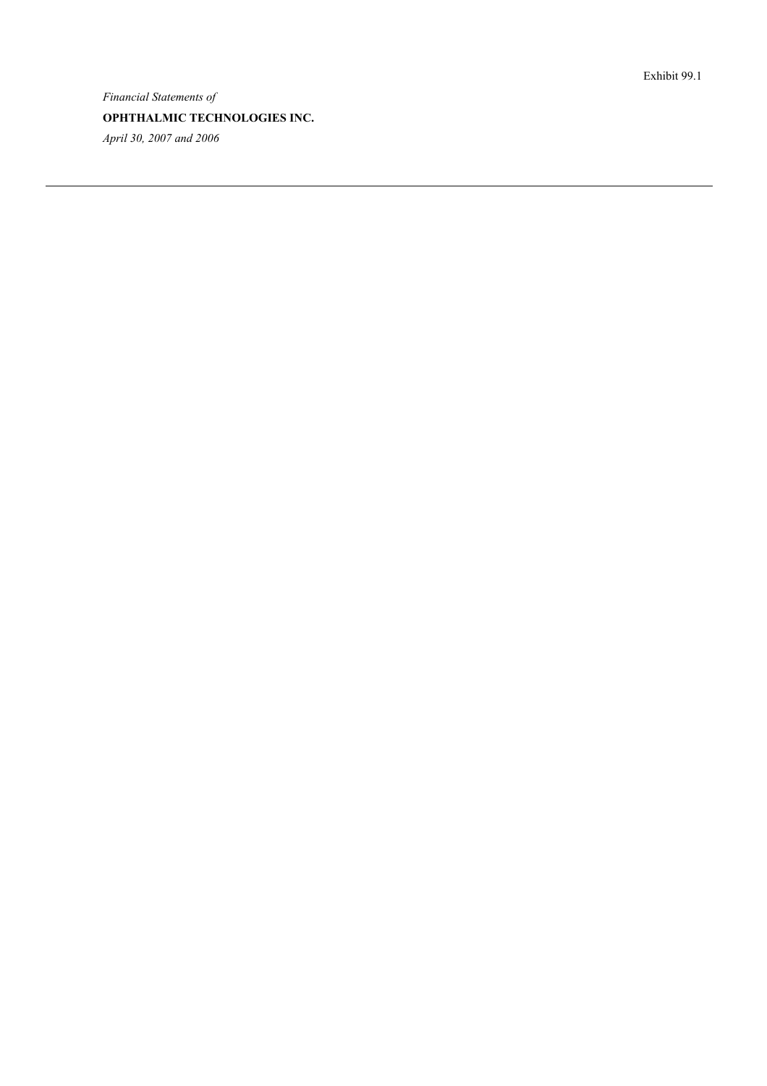*Financial Statements of* OPHTHALMIC TECHNOLOGIES INC. *April* 30, 2007 and 2006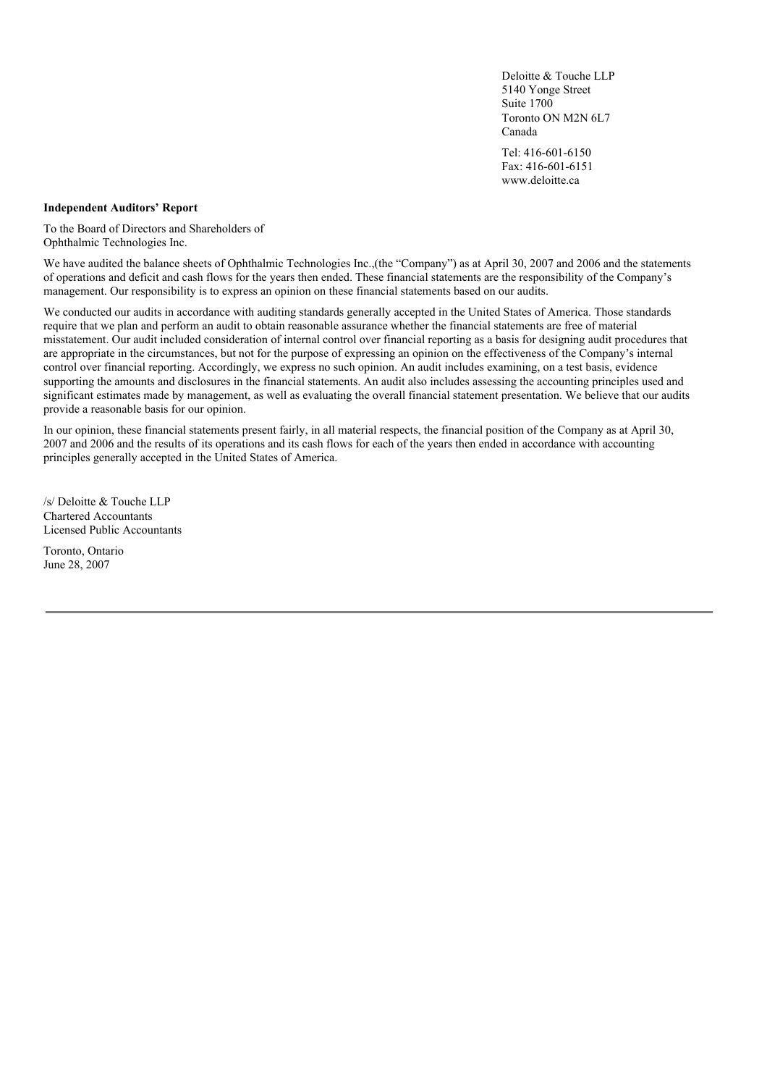Deloitte & Touche LLP 5140 Yonge Street Suite 1700 Toronto ON M2N 6L7 Canada

Tel: 416-601-6150 Fax: 416-601-6151 www.deloitte.ca

### **Independent Auditors' Report**

To the Board of Directors and Shareholders of Ophthalmic Technologies Inc.

We have audited the balance sheets of Ophthalmic Technologies Inc.,(the "Company") as at April 30, 2007 and 2006 and the statements of operations and deficit and cash flows for the years then ended. These financial statements are the responsibility of the Company's management. Our responsibility is to express an opinion on these financial statements based on our audits.

We conducted our audits in accordance with auditing standards generally accepted in the United States of America. Those standards require that we plan and perform an audit to obtain reasonable assurance whether the financial statements are free of material misstatement. Our audit included consideration of internal control over financial reporting as a basis for designing audit procedures that are appropriate in the circumstances, but not for the purpose of expressing an opinion on the effectiveness of the Company's internal control over financial reporting. Accordingly, we express no such opinion. An audit includes examining, on a test basis, evidence supporting the amounts and disclosures in the financial statements. An audit also includes assessing the accounting principles used and significant estimates made by management, as well as evaluating the overall financial statement presentation. We believe that our audits provide a reasonable basis for our opinion.

In our opinion, these financial statements present fairly, in all material respects, the financial position of the Company as at April 30, 2007 and 2006 and the results of its operations and its cash flows for each of the years then ended in accordance with accounting principles generally accepted in the United States of America.

/s/ Deloitte & Touche LLP Chartered Accountants Licensed Public Accountants

Toronto, Ontario June 28, 2007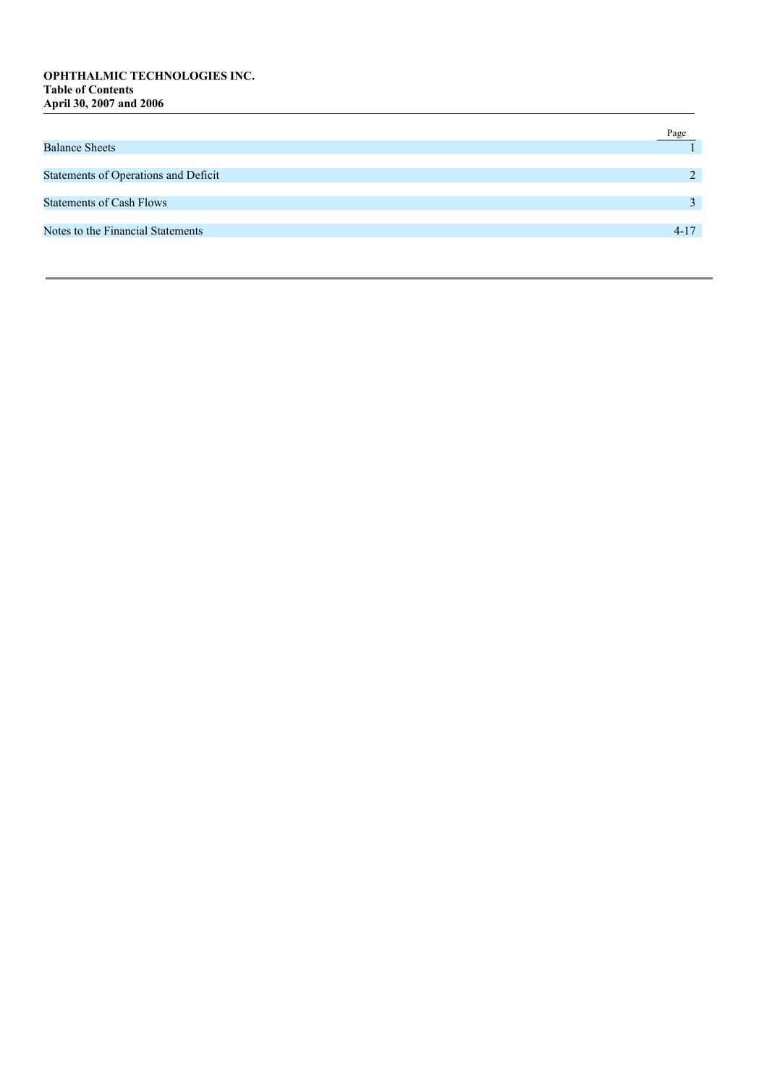## OPHTHALMIC TECHNOLOGIES INC. **Table of Contents A p r i l 3 0 , 2 0 0 7 a n d 2 0 0 6**

|                                      | Page          |
|--------------------------------------|---------------|
| <b>Balance Sheets</b>                |               |
|                                      |               |
| Statements of Operations and Deficit | $\mathcal{P}$ |
|                                      |               |
| <b>Statements of Cash Flows</b>      |               |
|                                      |               |
| Notes to the Financial Statements    | $4 - 17$      |
|                                      |               |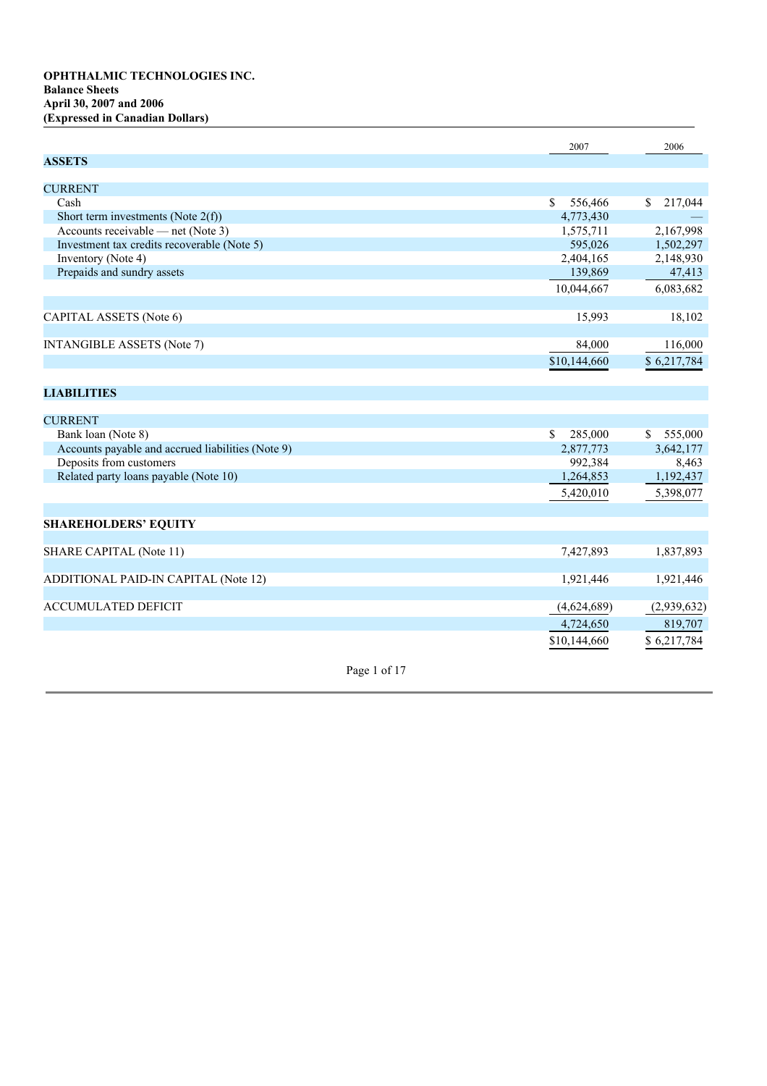|                                                   |              | 2007                    | 2006                    |
|---------------------------------------------------|--------------|-------------------------|-------------------------|
| <b>ASSETS</b>                                     |              |                         |                         |
| <b>CURRENT</b>                                    |              |                         |                         |
| Cash                                              |              | $\mathbb{S}$<br>556,466 | \$217,044               |
| Short term investments (Note $2(f)$ )             |              | 4,773,430               |                         |
| Accounts receivable — net (Note 3)                |              | 1,575,711               | 2,167,998               |
| Investment tax credits recoverable (Note 5)       |              | 595,026                 | 1,502,297               |
| Inventory (Note 4)                                |              | 2,404,165               | 2,148,930               |
| Prepaids and sundry assets                        |              | 139,869                 | 47,413                  |
|                                                   |              |                         |                         |
|                                                   |              | 10,044,667              | 6,083,682               |
|                                                   |              |                         |                         |
| CAPITAL ASSETS (Note 6)                           |              | 15,993                  | 18,102                  |
| <b>INTANGIBLE ASSETS (Note 7)</b>                 |              | 84,000                  | 116,000                 |
|                                                   |              | \$10,144,660            | \$6,217,784             |
|                                                   |              |                         |                         |
|                                                   |              |                         |                         |
| <b>LIABILITIES</b>                                |              |                         |                         |
| <b>CURRENT</b>                                    |              |                         |                         |
| Bank loan (Note 8)                                |              | $\mathbb{S}$<br>285,000 | $\mathbb{S}$<br>555,000 |
| Accounts payable and accrued liabilities (Note 9) |              | 2,877,773               | 3,642,177               |
| Deposits from customers                           |              | 992,384                 | 8,463                   |
| Related party loans payable (Note 10)             |              | 1,264,853               | 1,192,437               |
|                                                   |              | 5,420,010               | 5,398,077               |
|                                                   |              |                         |                         |
| <b>SHAREHOLDERS' EQUITY</b>                       |              |                         |                         |
|                                                   |              |                         |                         |
| <b>SHARE CAPITAL (Note 11)</b>                    |              | 7,427,893               | 1,837,893               |
|                                                   |              |                         |                         |
| ADDITIONAL PAID-IN CAPITAL (Note 12)              |              | 1,921,446               | 1,921,446               |
| <b>ACCUMULATED DEFICIT</b>                        |              | (4,624,689)             | (2,939,632)             |
|                                                   |              |                         |                         |
|                                                   |              | 4,724,650               | 819,707                 |
|                                                   |              | \$10,144,660            | \$6,217,784             |
|                                                   | Page 1 of 17 |                         |                         |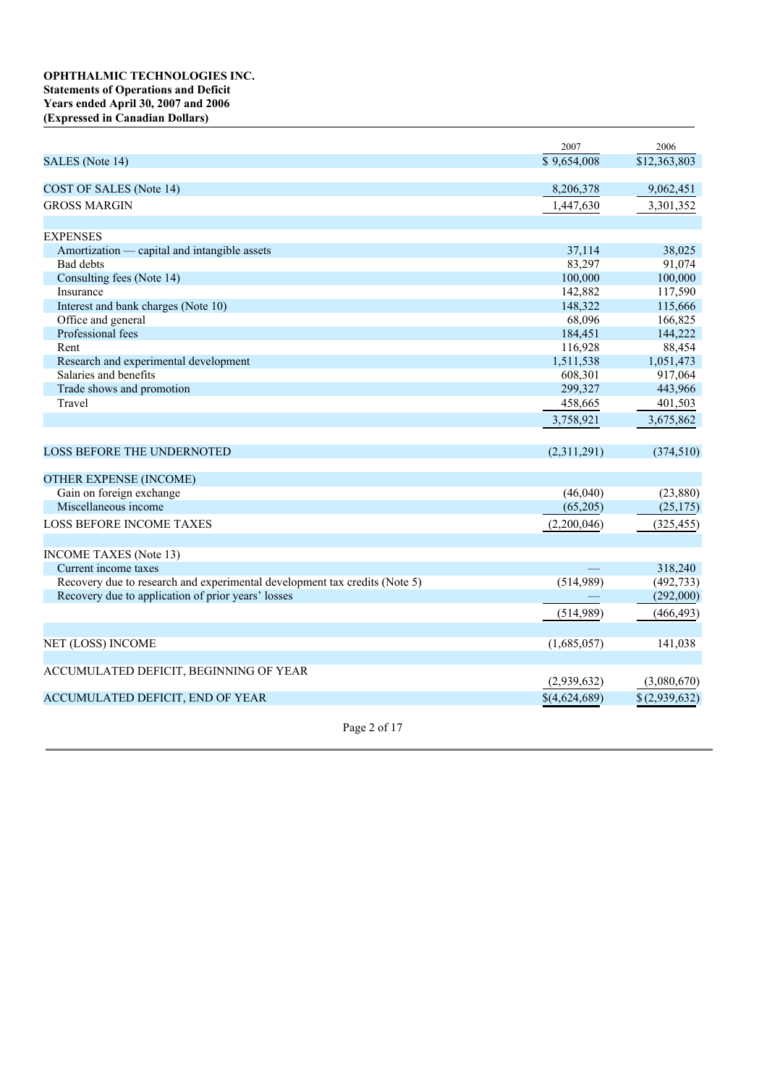## **OPHTHALMIC TECHNOLOGIES INC. Statements of Operations and Deficit Years ended April 30, 2007 and 2006 (Expressed in Canadian Dollars)**

|                                                                            | 2007          | 2006          |
|----------------------------------------------------------------------------|---------------|---------------|
| SALES (Note 14)                                                            | \$9,654,008   | \$12,363,803  |
|                                                                            |               |               |
| COST OF SALES (Note 14)                                                    | 8,206,378     | 9,062,451     |
| <b>GROSS MARGIN</b>                                                        | 1,447,630     | 3,301,352     |
|                                                                            |               |               |
| <b>EXPENSES</b>                                                            |               |               |
| Amortization — capital and intangible assets                               | 37,114        | 38,025        |
| Bad debts                                                                  | 83,297        | 91,074        |
| Consulting fees (Note 14)                                                  | 100,000       | 100,000       |
| Insurance                                                                  | 142,882       | 117,590       |
| Interest and bank charges (Note 10)                                        | 148,322       | 115,666       |
| Office and general                                                         | 68,096        | 166,825       |
| Professional fees                                                          | 184,451       | 144,222       |
| Rent                                                                       | 116,928       | 88,454        |
| Research and experimental development                                      | 1,511,538     | 1,051,473     |
| Salaries and benefits                                                      | 608,301       | 917,064       |
| Trade shows and promotion                                                  | 299,327       | 443,966       |
| Travel                                                                     | 458,665       | 401,503       |
|                                                                            | 3,758,921     | 3,675,862     |
|                                                                            |               |               |
| <b>LOSS BEFORE THE UNDERNOTED</b>                                          | (2,311,291)   | (374, 510)    |
| <b>OTHER EXPENSE (INCOME)</b>                                              |               |               |
| Gain on foreign exchange                                                   | (46,040)      | (23,880)      |
| Miscellaneous income                                                       | (65,205)      | (25, 175)     |
| <b>LOSS BEFORE INCOME TAXES</b>                                            | (2,200,046)   | (325, 455)    |
|                                                                            |               |               |
| <b>INCOME TAXES</b> (Note 13)                                              |               |               |
| Current income taxes                                                       |               | 318,240       |
| Recovery due to research and experimental development tax credits (Note 5) | (514,989)     | (492, 733)    |
| Recovery due to application of prior years' losses                         |               | (292,000)     |
|                                                                            | (514,989)     | (466, 493)    |
|                                                                            |               |               |
| NET (LOSS) INCOME                                                          | (1,685,057)   | 141,038       |
|                                                                            |               |               |
| ACCUMULATED DEFICIT, BEGINNING OF YEAR                                     |               |               |
|                                                                            | (2,939,632)   | (3,080,670)   |
| ACCUMULATED DEFICIT, END OF YEAR                                           | \$(4,624,689) | \$(2,939,632) |
|                                                                            |               |               |

Page 2 of 17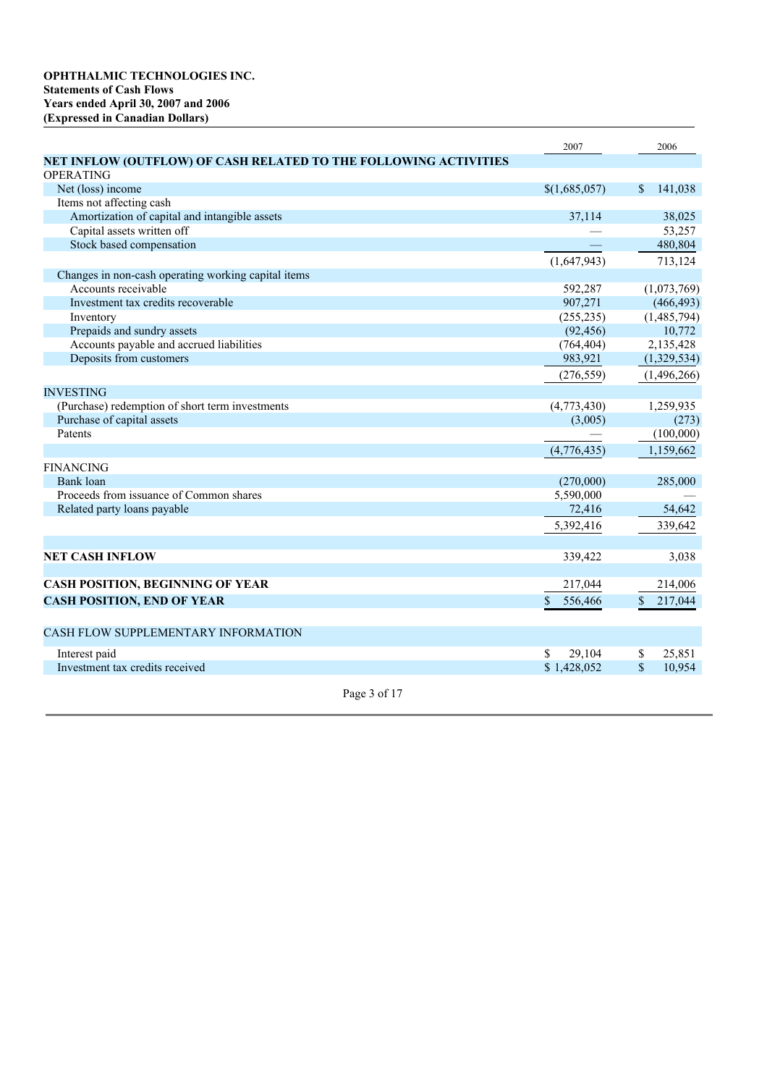|                                                                  | 2007          | 2006          |
|------------------------------------------------------------------|---------------|---------------|
| NET INFLOW (OUTFLOW) OF CASH RELATED TO THE FOLLOWING ACTIVITIES |               |               |
| <b>OPERATING</b>                                                 |               |               |
| Net (loss) income                                                | \$(1,685,057) | 141,038<br>\$ |
| Items not affecting cash                                         |               |               |
| Amortization of capital and intangible assets                    | 37,114        | 38,025        |
| Capital assets written off                                       |               | 53,257        |
| Stock based compensation                                         |               | 480,804       |
|                                                                  | (1,647,943)   | 713,124       |
| Changes in non-cash operating working capital items              |               |               |
| Accounts receivable                                              | 592,287       | (1,073,769)   |
| Investment tax credits recoverable                               | 907,271       | (466, 493)    |
| Inventory                                                        | (255, 235)    | (1,485,794)   |
| Prepaids and sundry assets                                       | (92, 456)     | 10,772        |
| Accounts payable and accrued liabilities                         | (764, 404)    | 2,135,428     |
| Deposits from customers                                          | 983,921       | (1,329,534)   |
|                                                                  | (276, 559)    | (1,496,266)   |
| <b>INVESTING</b>                                                 |               |               |
| (Purchase) redemption of short term investments                  | (4,773,430)   | 1,259,935     |
| Purchase of capital assets                                       | (3,005)       | (273)         |
| Patents                                                          |               | (100,000)     |
|                                                                  | (4,776,435)   | 1,159,662     |
| <b>FINANCING</b>                                                 |               |               |
| Bank loan                                                        | (270,000)     | 285,000       |
| Proceeds from issuance of Common shares                          | 5,590,000     |               |
| Related party loans payable                                      | 72,416        | 54,642        |
|                                                                  |               |               |
|                                                                  | 5,392,416     | 339,642       |
|                                                                  |               |               |
| <b>NET CASH INFLOW</b>                                           | 339,422       | 3,038         |
| CASH POSITION, BEGINNING OF YEAR                                 | 217,044       | 214,006       |
| <b>CASH POSITION, END OF YEAR</b>                                |               | 217,044       |
|                                                                  | 556,466<br>S. | \$            |
| CASH FLOW SUPPLEMENTARY INFORMATION                              |               |               |
| Interest paid                                                    | 29,104<br>\$  | 25.851<br>\$  |
| Investment tax credits received                                  | \$1,428,052   | \$<br>10,954  |
|                                                                  |               |               |
| Page 3 of 17                                                     |               |               |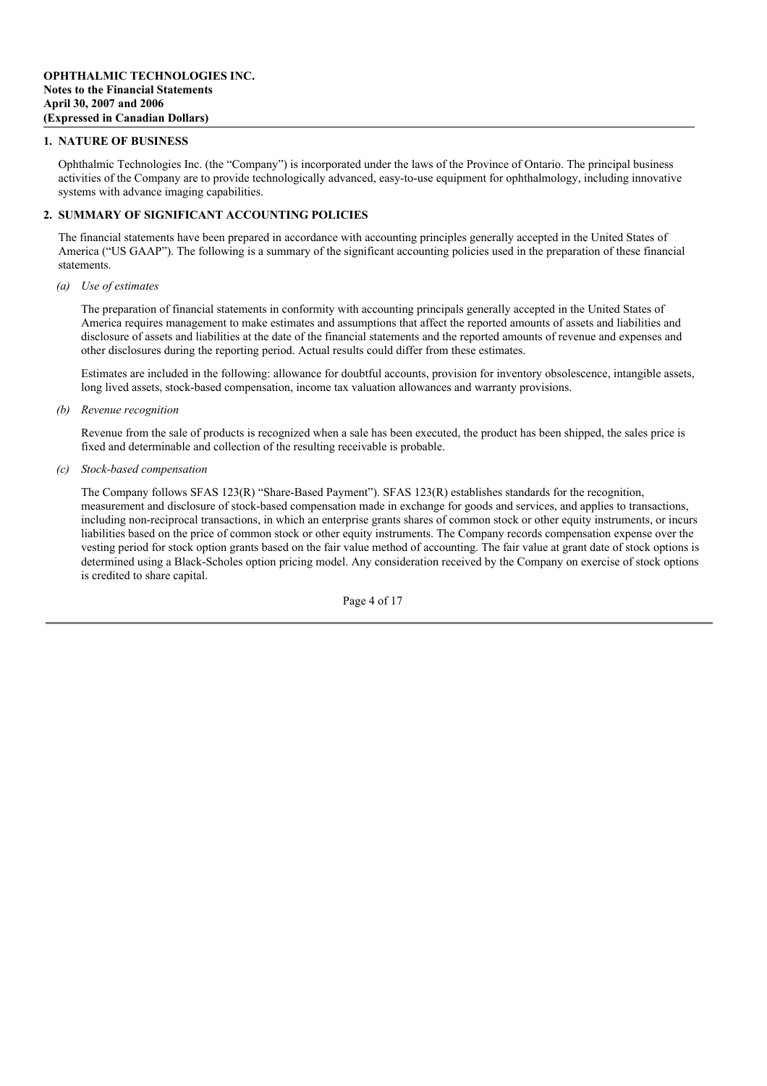## **1. NATURE OF BUSINESS**

Ophthalmic Technologies Inc. (the "Company") is incorporated under the laws of the Province of Ontario. The principal business activities of the Company are to provide technologically advanced, easy-to-use equipment for ophthalmology, including innovative systems with advance imaging capabilities.

## **2. SUMMARY OF SIGNIFICANT ACCOUNTING POLICIES**

The financial statements have been prepared in accordance with accounting principles generally accepted in the United States of America ("US GAAP"). The following is a summary of the significant accounting policies used in the preparation of these financial statements.

*(a) Use of estimates*

The preparation of financial statements in conformity with accounting principals generally accepted in the United States of America requires management to make estimates and assumptions that affect the reported amounts of assets and liabilities and disclosure of assets and liabilities at the date of the financial statements and the reported amounts of revenue and expenses and other disclosures during the reporting period. Actual results could differ from these estimates.

Estimates are included in the following: allowance for doubtful accounts, provision for inventory obsolescence, intangible assets, long lived assets, stock-based compensation, income tax valuation allowances and warranty provisions.

*(b) Revenue recognition*

Revenue from the sale of products is recognized when a sale has been executed, the product has been shipped, the sales price is fixed and determinable and collection of the resulting receivable is probable.

*(c) Stock-based compensation*

The Company follows SFAS 123(R) "Share-Based Payment"). SFAS 123(R) establishes standards for the recognition, measurement and disclosure of stock-based compensation made in exchange for goods and services, and applies to transactions, including non-reciprocal transactions, in which an enterprise grants shares of common stock or other equity instruments, or incurs liabilities based on the price of common stock or other equity instruments. The Company records compensation expense over the vesting period for stock option grants based on the fair value method of accounting. The fair value at grant date of stock options is determined using a Black-Scholes option pricing model. Any consideration received by the Company on exercise of stock options is credited to share capital.

Page 4 of 17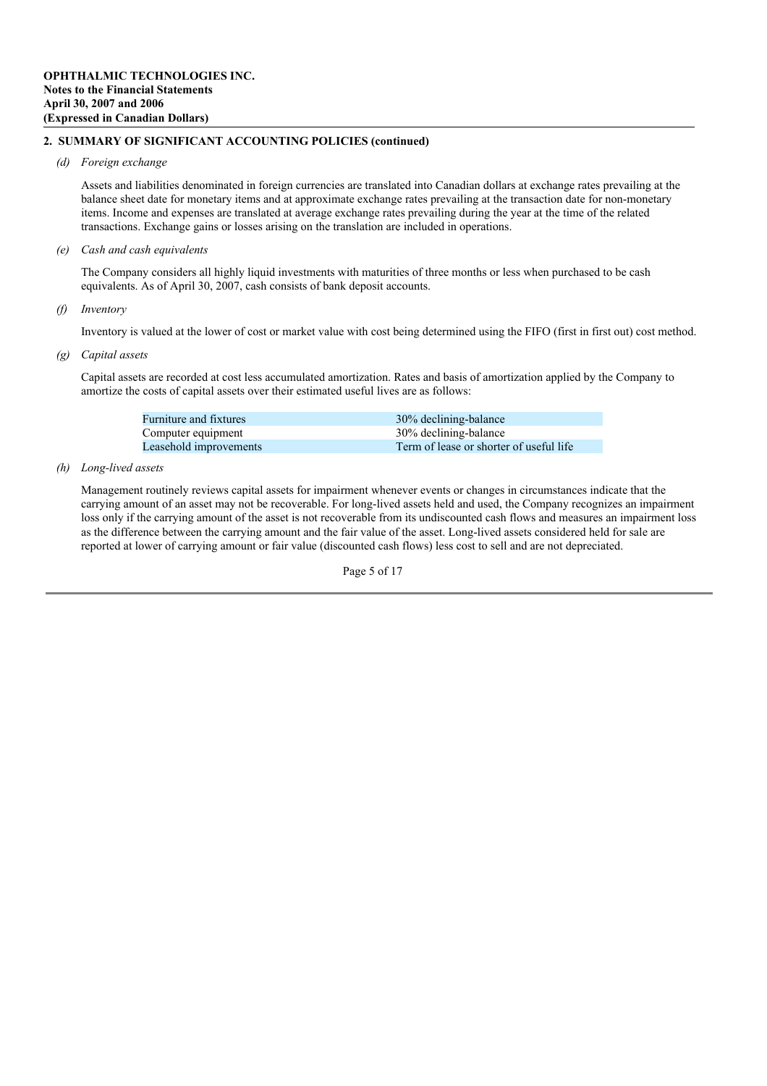### *(d) Foreign exchange*

Assets and liabilities denominated in foreign currencies are translated into Canadian dollars at exchange rates prevailing at the balance sheet date for monetary items and at approximate exchange rates prevailing at the transaction date for non-monetary items. Income and expenses are translated at average exchange rates prevailing during the year at the time of the related transactions. Exchange gains or losses arising on the translation are included in operations.

*(e) Cash and cash equivalents*

The Company considers all highly liquid investments with maturities of three months or less when purchased to be cash equivalents. As of April 30, 2007, cash consists of bank deposit accounts.

## *(f) Inventory*

Inventory is valued at the lower of cost or market value with cost being determined using the FIFO (first in first out) cost method.

## *(g) Capital assets*

Capital assets are recorded at cost less accumulated amortization. Rates and basis of amortization applied by the Company to amortize the costs of capital assets over their estimated useful lives are as follows:

| <b>Furniture and fixtures</b> | 30% declining-balance                   |
|-------------------------------|-----------------------------------------|
| Computer equipment            | 30% declining-balance                   |
| Leasehold improvements        | Term of lease or shorter of useful life |

## *(h) Long-lived assets*

Management routinely reviews capital assets for impairment whenever events or changes in circumstances indicate that the carrying amount of an asset may not be recoverable. For long-lived assets held and used, the Company recognizes an impairment loss only if the carrying amount of the asset is not recoverable from its undiscounted cash flows and measures an impairment loss as the difference between the carrying amount and the fair value of the asset. Long-lived assets considered held for sale are reported at lower of carrying amount or fair value (discounted cash flows) less cost to sell and are not depreciated.

Page 5 of 17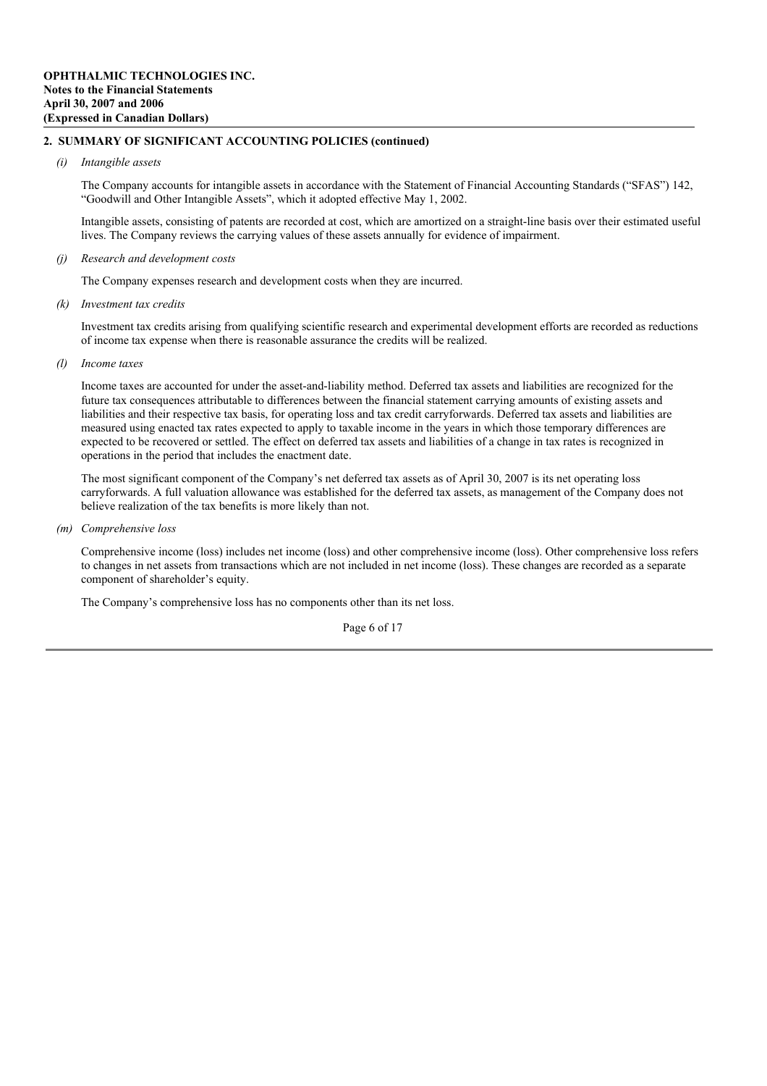#### *(i) Intangible assets*

The Company accounts for intangible assets in accordance with the Statement of Financial Accounting Standards ("SFAS") 142, "Goodwill and Other Intangible Assets", which it adopted effective May 1, 2002.

Intangible assets, consisting of patents are recorded at cost, which are amortized on a straight-line basis over their estimated useful lives. The Company reviews the carrying values of these assets annually for evidence of impairment.

*(j) Research and development costs*

The Company expenses research and development costs when they are incurred.

*(k) Investment tax credits*

Investment tax credits arising from qualifying scientific research and experimental development efforts are recorded as reductions of income tax expense when there is reasonable assurance the credits will be realized.

*(l) Income taxes*

Income taxes are accounted for under the asset-and-liability method. Deferred tax assets and liabilities are recognized for the future tax consequences attributable to differences between the financial statement carrying amounts of existing assets and liabilities and their respective tax basis, for operating loss and tax credit carryforwards. Deferred tax assets and liabilities are measured using enacted tax rates expected to apply to taxable income in the years in which those temporary differences are expected to be recovered or settled. The effect on deferred tax assets and liabilities of a change in tax rates is recognized in operations in the period that includes the enactment date.

The most significant component of the Company's net deferred tax assets as of April 30, 2007 is its net operating loss carryforwards. A full valuation allowance was established for the deferred tax assets, as management of the Company does not believe realization of the tax benefits is more likely than not.

*(m) Comprehensive loss*

Comprehensive income (loss) includes net income (loss) and other comprehensive income (loss). Other comprehensive loss refers to changes in net assets from transactions which are not included in net income (loss). These changes are recorded as a separate component of shareholder's equity.

The Company's comprehensive loss has no components other than its net loss.

Page 6 of 17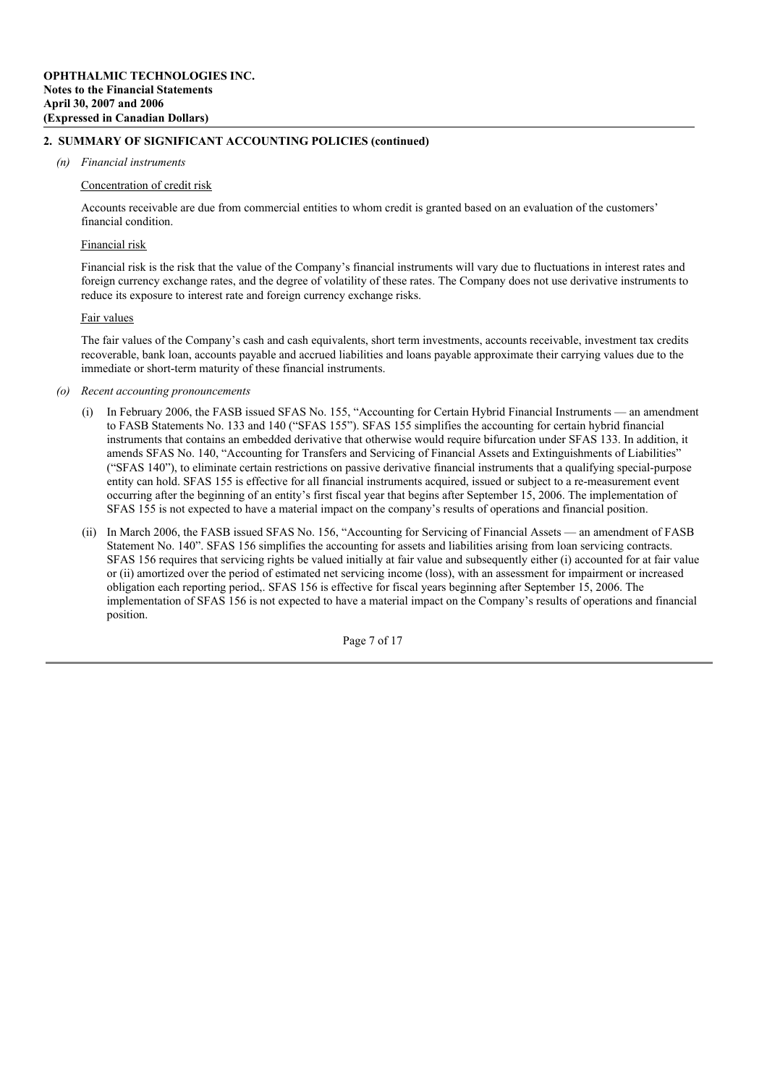#### *(n) Financial instruments*

#### Concentration of credit risk

Accounts receivable are due from commercial entities to whom credit is granted based on an evaluation of the customers' financial condition.

#### Financial risk

Financial risk is the risk that the value of the Company's financial instruments will vary due to fluctuations in interest rates and foreign currency exchange rates, and the degree of volatility of these rates. The Company does not use derivative instruments to reduce its exposure to interest rate and foreign currency exchange risks.

#### Fair values

The fair values of the Company's cash and cash equivalents, short term investments, accounts receivable, investment tax credits recoverable, bank loan, accounts payable and accrued liabilities and loans payable approximate their carrying values due to the immediate or short-term maturity of these financial instruments.

- *(o) Recent accounting pronouncements*
	- (i) In February 2006, the FASB issued SFAS No. 155, "Accounting for Certain Hybrid Financial Instruments an amendment to FASB Statements No. 133 and 140 ("SFAS 155"). SFAS 155 simplifies the accounting for certain hybrid financial instruments that contains an embedded derivative that otherwise would require bifurcation under SFAS 133. In addition, it amends SFAS No. 140, "Accounting for Transfers and Servicing of Financial Assets and Extinguishments of Liabilities" ("SFAS 140"), to eliminate certain restrictions on passive derivative financial instruments that a qualifying special-purpose entity can hold. SFAS 155 is effective for all financial instruments acquired, issued or subject to a re-measurement event occurring after the beginning of an entity's first fiscal year that begins after September 15, 2006. The implementation of SFAS 155 is not expected to have a material impact on the company's results of operations and financial position.
	- (ii) In March 2006, the FASB issued SFAS No. 156, "Accounting for Servicing of Financial Assets an amendment of FASB Statement No. 140". SFAS 156 simplifies the accounting for assets and liabilities arising from loan servicing contracts. SFAS 156 requires that servicing rights be valued initially at fair value and subsequently either (i) accounted for at fair value or (ii) amortized over the period of estimated net servicing income (loss), with an assessment for impairment or increased obligation each reporting period,. SFAS 156 is effective for fiscal years beginning after September 15, 2006. The implementation of SFAS 156 is not expected to have a material impact on the Company's results of operations and financial position.

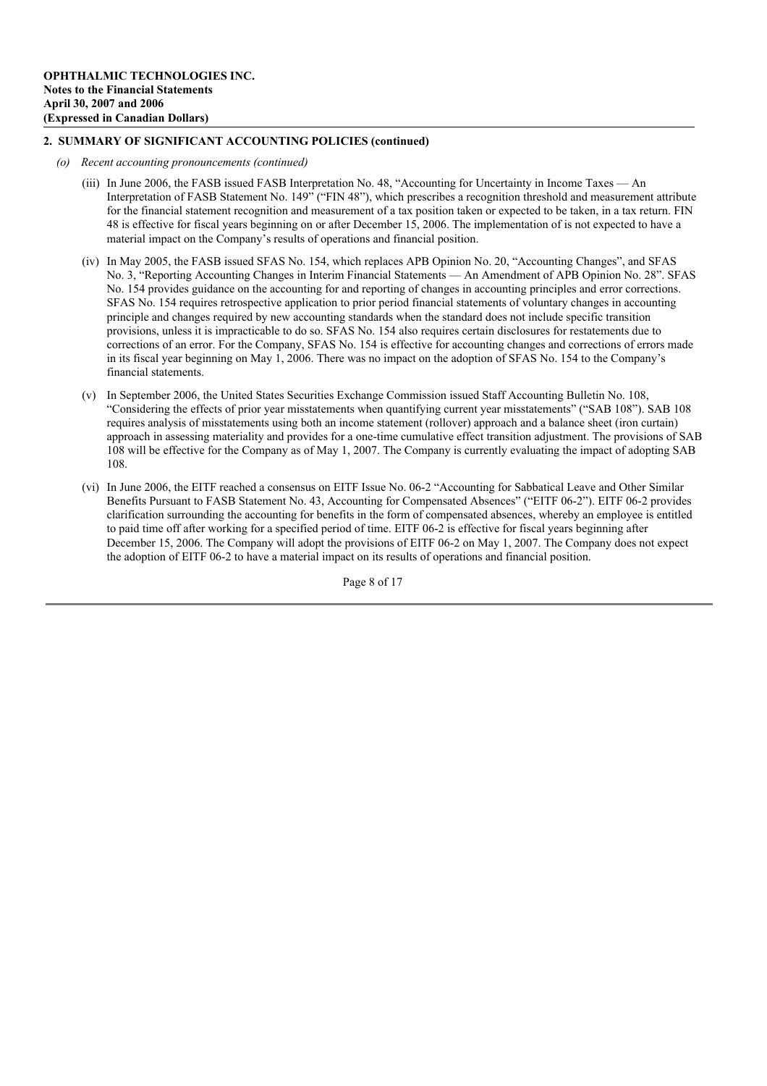- *(o) Recent accounting pronouncements (continued)*
	- (iii) In June 2006, the FASB issued FASB Interpretation No. 48, "Accounting for Uncertainty in Income Taxes An Interpretation of FASB Statement No. 149" ("FIN 48"), which prescribes a recognition threshold and measurement attribute for the financial statement recognition and measurement of a tax position taken or expected to be taken, in a tax return. FIN 48 is effective for fiscal years beginning on or after December 15, 2006. The implementation of is not expected to have a material impact on the Company's results of operations and financial position.
	- (iv) In May 2005, the FASB issued SFAS No. 154, which replaces APB Opinion No. 20, "Accounting Changes", and SFAS No. 3, "Reporting Accounting Changes in Interim Financial Statements — An Amendment of APB Opinion No. 28". SFAS No. 154 provides guidance on the accounting for and reporting of changes in accounting principles and error corrections. SFAS No. 154 requires retrospective application to prior period financial statements of voluntary changes in accounting principle and changes required by new accounting standards when the standard does not include specific transition provisions, unless it is impracticable to do so. SFAS No. 154 also requires certain disclosures for restatements due to corrections of an error. For the Company, SFAS No. 154 is effective for accounting changes and corrections of errors made in its fiscal year beginning on May 1, 2006. There was no impact on the adoption of SFAS No. 154 to the Company's financial statements.
	- (v) In September 2006, the United States Securities Exchange Commission issued Staff Accounting Bulletin No. 108, "Considering the effects of prior year misstatements when quantifying current year misstatements" ("SAB 108"). SAB 108 requires analysis of misstatements using both an income statement (rollover) approach and a balance sheet (iron curtain) approach in assessing materiality and provides for a one-time cumulative effect transition adjustment. The provisions of SAB 108 will be effective for the Company as of May 1, 2007. The Company is currently evaluating the impact of adopting SAB 108.
	- (vi) In June 2006, the EITF reached a consensus on EITF Issue No. 06-2 "Accounting for Sabbatical Leave and Other Similar Benefits Pursuant to FASB Statement No. 43, Accounting for Compensated Absences" ("EITF 06-2"). EITF 06-2 provides clarification surrounding the accounting for benefits in the form of compensated absences, whereby an employee is entitled to paid time off after working for a specified period of time. EITF 06-2 is effective for fiscal years beginning after December 15, 2006. The Company will adopt the provisions of EITF 06-2 on May 1, 2007. The Company does not expect the adoption of EITF 06-2 to have a material impact on its results of operations and financial position.

Page 8 of 17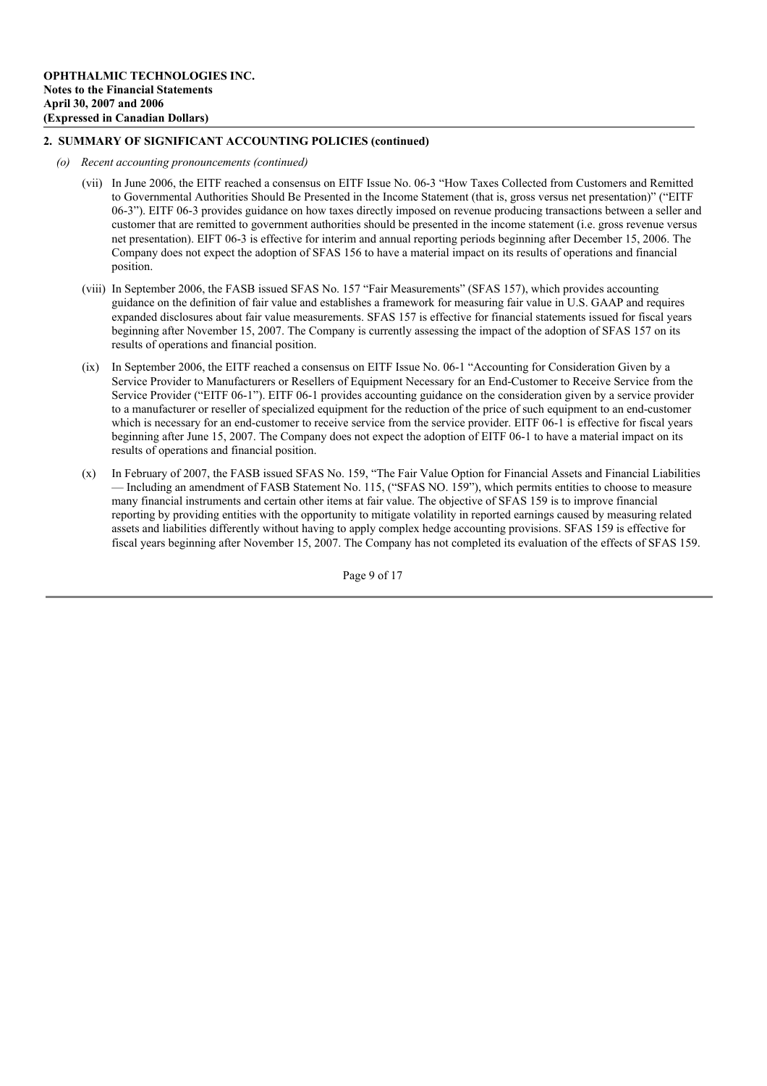- *(o) Recent accounting pronouncements (continued)*
	- (vii) In June 2006, the EITF reached a consensus on EITF Issue No. 06-3 "How Taxes Collected from Customers and Remitted to Governmental Authorities Should Be Presented in the Income Statement (that is, gross versus net presentation)" ("EITF 06-3"). EITF 06-3 provides guidance on how taxes directly imposed on revenue producing transactions between a seller and customer that are remitted to government authorities should be presented in the income statement (i.e. gross revenue versus net presentation). EIFT 06-3 is effective for interim and annual reporting periods beginning after December 15, 2006. The Company does not expect the adoption of SFAS 156 to have a material impact on its results of operations and financial position.
	- (viii) In September 2006, the FASB issued SFAS No. 157 "Fair Measurements" (SFAS 157), which provides accounting guidance on the definition of fair value and establishes a framework for measuring fair value in U.S. GAAP and requires expanded disclosures about fair value measurements. SFAS 157 is effective for financial statements issued for fiscal years beginning after November 15, 2007. The Company is currently assessing the impact of the adoption of SFAS 157 on its results of operations and financial position.
	- (ix) In September 2006, the EITF reached a consensus on EITF Issue No. 06-1 "Accounting for Consideration Given by a Service Provider to Manufacturers or Resellers of Equipment Necessary for an End-Customer to Receive Service from the Service Provider ("EITF 06-1"). EITF 06-1 provides accounting guidance on the consideration given by a service provider to a manufacturer or reseller of specialized equipment for the reduction of the price of such equipment to an end-customer which is necessary for an end-customer to receive service from the service provider. EITF 06-1 is effective for fiscal years beginning after June 15, 2007. The Company does not expect the adoption of EITF 06-1 to have a material impact on its results of operations and financial position.
	- (x) In February of 2007, the FASB issued SFAS No. 159, "The Fair Value Option for Financial Assets and Financial Liabilities — Including an amendment of FASB Statement No. 115, ("SFAS NO. 159"), which permits entities to choose to measure many financial instruments and certain other items at fair value. The objective of SFAS 159 is to improve financial reporting by providing entities with the opportunity to mitigate volatility in reported earnings caused by measuring related assets and liabilities differently without having to apply complex hedge accounting provisions. SFAS 159 is effective for fiscal years beginning after November 15, 2007. The Company has not completed its evaluation of the effects of SFAS 159.

Page 9 of 17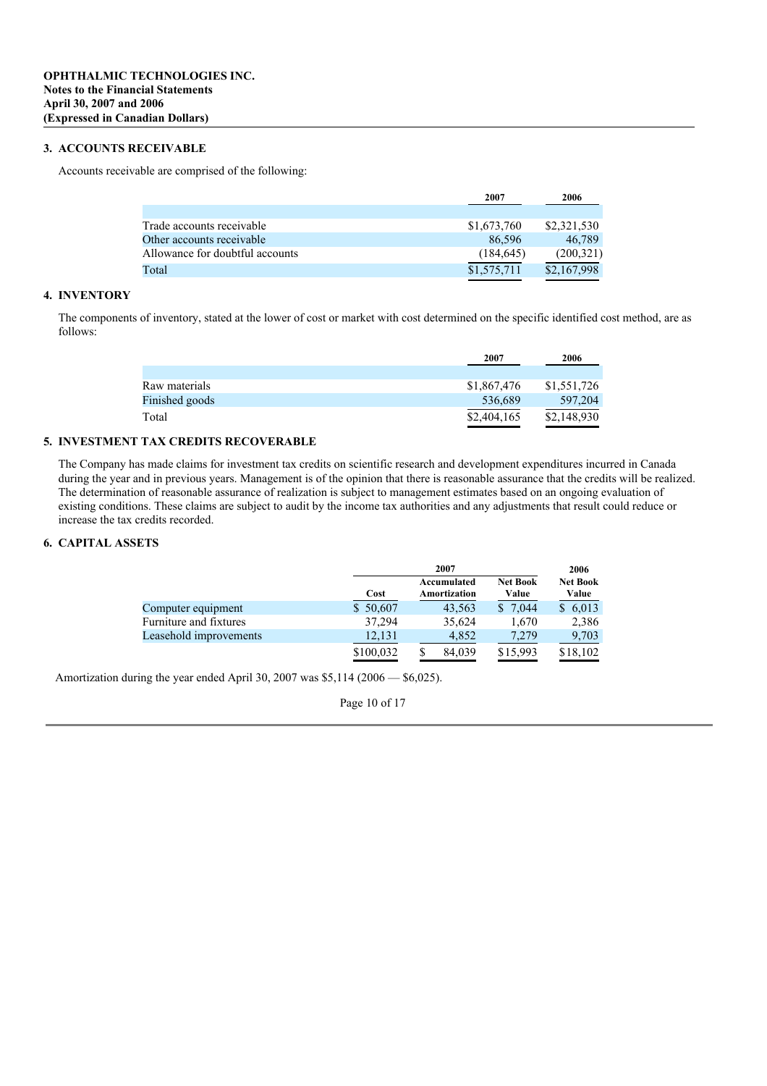## **3. ACCOUNTS RECEIVABLE**

Accounts receivable are comprised of the following:

|                                 | 2007        | 2006        |
|---------------------------------|-------------|-------------|
|                                 |             |             |
| Trade accounts receivable       | \$1,673,760 | \$2,321,530 |
| Other accounts receivable       | 86.596      | 46,789      |
| Allowance for doubtful accounts | (184, 645)  | (200, 321)  |
| Total                           | \$1,575,711 | \$2,167,998 |
|                                 |             |             |

## **4. INVENTORY**

The components of inventory, stated at the lower of cost or market with cost determined on the specific identified cost method, are as follows:

|                | 2007        | 2006        |
|----------------|-------------|-------------|
|                |             |             |
| Raw materials  | \$1,867,476 | \$1,551,726 |
| Finished goods | 536,689     | 597,204     |
| Total          | \$2,404,165 | \$2,148,930 |

## **5. INVESTMENT TAX CREDITS RECOVERABLE**

The Company has made claims for investment tax credits on scientific research and development expenditures incurred in Canada during the year and in previous years. Management is of the opinion that there is reasonable assurance that the credits will be realized. The determination of reasonable assurance of realization is subject to management estimates based on an ongoing evaluation of existing conditions. These claims are subject to audit by the income tax authorities and any adjustments that result could reduce or increase the tax credits recorded.

## **6. CAPITAL ASSETS**

|                        | 2007      |                             |                          | 2006                     |
|------------------------|-----------|-----------------------------|--------------------------|--------------------------|
|                        | Cost      | Accumulated<br>Amortization | <b>Net Book</b><br>Value | <b>Net Book</b><br>Value |
| Computer equipment     | \$50,607  | 43,563                      | 7.044                    | \$6,013                  |
| Furniture and fixtures | 37.294    | 35,624                      | 1,670                    | 2,386                    |
| Leasehold improvements | 12,131    | 4.852                       | 7.279                    | 9,703                    |
|                        | \$100,032 | 84.039                      | \$15,993                 | \$18,102                 |

Amortization during the year ended April 30, 2007 was \$5,114 (2006 — \$6,025).

Page 10 of 17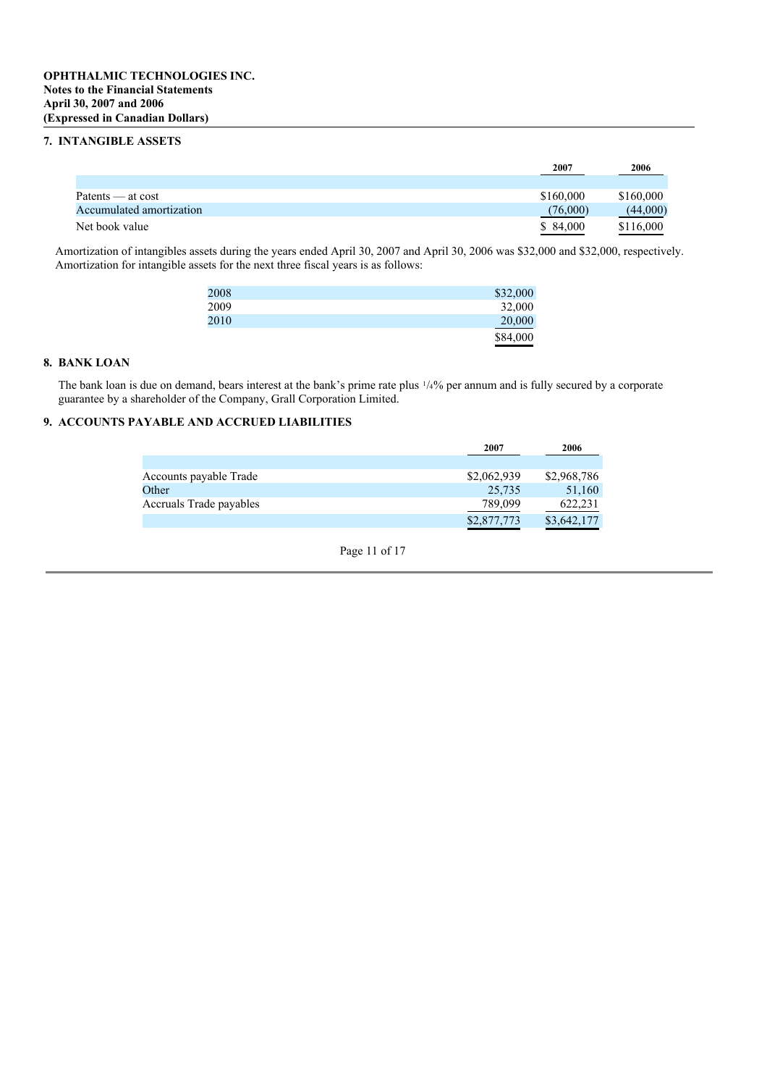## **7. INTANGIBLE ASSETS**

|                          | 2007      | 2006      |
|--------------------------|-----------|-----------|
|                          |           |           |
| Patents — at cost        | \$160,000 | \$160,000 |
| Accumulated amortization | (76,000)  | (44,000)  |
| Net book value           | \$ 84,000 | \$116,000 |

Amortization of intangibles assets during the years ended April 30, 2007 and April 30, 2006 was \$32,000 and \$32,000, respectively. Amortization for intangible assets for the next three fiscal years is as follows:

| 2008 | \$32,000 |
|------|----------|
| 2009 | 32,000   |
| 2010 | 20,000   |
|      | \$84,000 |

## **8. BANK LOAN**

The bank loan is due on demand, bears interest at the bank's prime rate plus 1 /4% per annum and is fully secured by a corporate guarantee by a shareholder of the Company, Grall Corporation Limited.

# **9. ACCOUNTS PAYABLE AND ACCRUED LIABILITIES**

|                         | 2007        | 2006        |
|-------------------------|-------------|-------------|
|                         |             |             |
| Accounts payable Trade  | \$2,062,939 | \$2,968,786 |
| Other                   | 25.735      | 51.160      |
| Accruals Trade payables | 789,099     | 622,231     |
|                         | \$2,877,773 | \$3,642,177 |

Page 11 of 17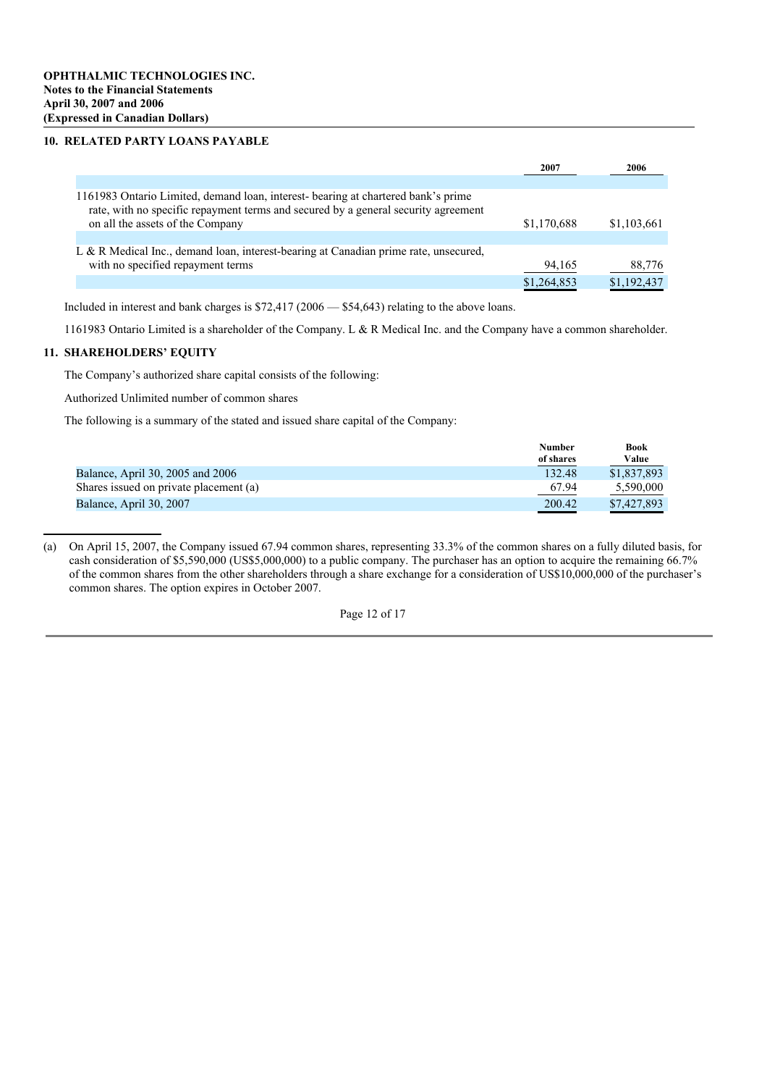#### **10. RELATED PARTY LOANS PAYABLE**

|                                                                                                                                                                                                            | 2007        | 2006        |
|------------------------------------------------------------------------------------------------------------------------------------------------------------------------------------------------------------|-------------|-------------|
|                                                                                                                                                                                                            |             |             |
| 1161983 Ontario Limited, demand loan, interest-bearing at chartered bank's prime<br>rate, with no specific repayment terms and secured by a general security agreement<br>on all the assets of the Company | \$1,170,688 | \$1,103,661 |
|                                                                                                                                                                                                            |             |             |
| L & R Medical Inc., demand loan, interest-bearing at Canadian prime rate, unsecured,                                                                                                                       |             |             |
| with no specified repayment terms                                                                                                                                                                          | 94,165      | 88,776      |
|                                                                                                                                                                                                            | \$1,264,853 | \$1,192,437 |

Included in interest and bank charges is \$72,417 (2006 — \$54,643) relating to the above loans.

1161983 Ontario Limited is a shareholder of the Company. L & R Medical Inc. and the Company have a common shareholder.

## **11. SHAREHOLDERS' EQUITY**

The Company's authorized share capital consists of the following:

Authorized Unlimited number of common shares

The following is a summary of the stated and issued share capital of the Company:

|                                        | <b>Number</b> | <b>Book</b> |
|----------------------------------------|---------------|-------------|
|                                        | of shares     | Value       |
| Balance, April 30, 2005 and 2006       | 132.48        | \$1,837,893 |
| Shares issued on private placement (a) | 67.94         | 5.590,000   |
| Balance, April 30, 2007                | 200.42        | \$7,427,893 |

<sup>(</sup>a) On April 15, 2007, the Company issued 67.94 common shares, representing 33.3% of the common shares on a fully diluted basis, for cash consideration of \$5,590,000 (US\$5,000,000) to a public company. The purchaser has an option to acquire the remaining 66.7% of the common shares from the other shareholders through a share exchange for a consideration of US\$10,000,000 of the purchaser's common shares. The option expires in October 2007.

Page 12 of 17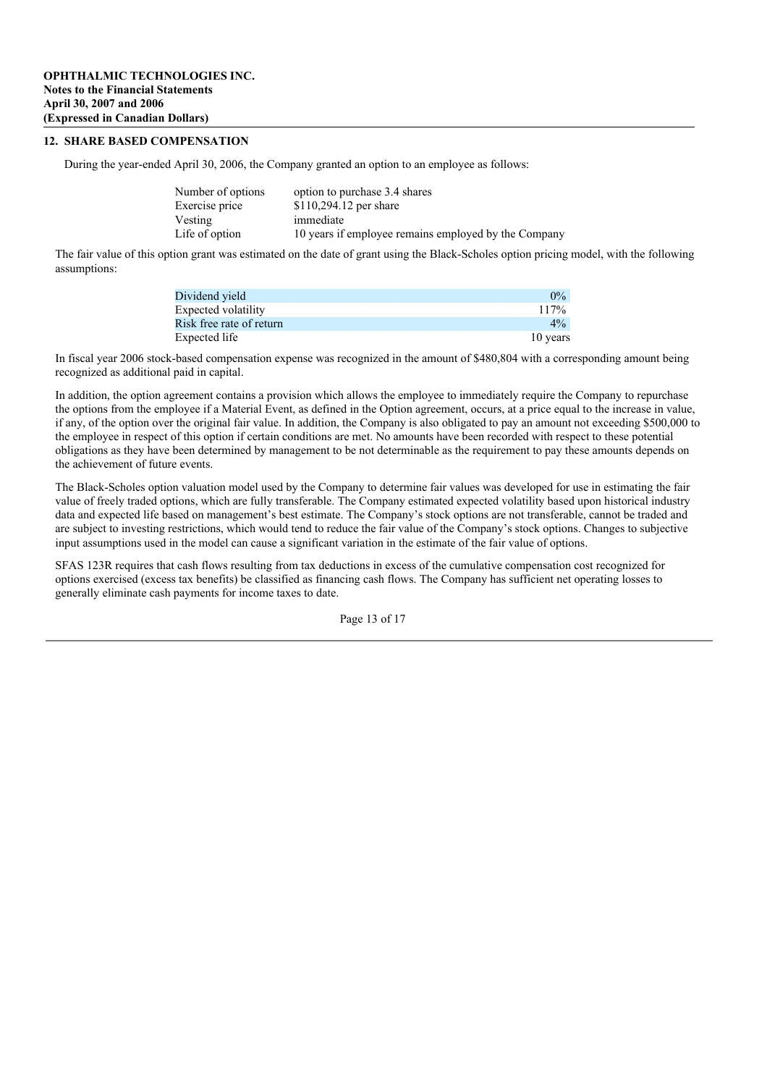## **12. SHARE BASED COMPENSATION**

During the year-ended April 30, 2006, the Company granted an option to an employee as follows:

| Number of options | option to purchase 3.4 shares                        |
|-------------------|------------------------------------------------------|
| Exercise price    | \$110,294.12 per share                               |
| Vesting           | immediate                                            |
| Life of option    | 10 years if employee remains employed by the Company |

The fair value of this option grant was estimated on the date of grant using the Black-Scholes option pricing model, with the following assumptions:

| Dividend vield           | $0\%$    |
|--------------------------|----------|
| Expected volatility      | 117%     |
| Risk free rate of return | $4\%$    |
| Expected life            | 10 years |

In fiscal year 2006 stock-based compensation expense was recognized in the amount of \$480,804 with a corresponding amount being recognized as additional paid in capital.

In addition, the option agreement contains a provision which allows the employee to immediately require the Company to repurchase the options from the employee if a Material Event, as defined in the Option agreement, occurs, at a price equal to the increase in value, if any, of the option over the original fair value. In addition, the Company is also obligated to pay an amount not exceeding \$500,000 to the employee in respect of this option if certain conditions are met. No amounts have been recorded with respect to these potential obligations as they have been determined by management to be not determinable as the requirement to pay these amounts depends on the achievement of future events.

The Black-Scholes option valuation model used by the Company to determine fair values was developed for use in estimating the fair value of freely traded options, which are fully transferable. The Company estimated expected volatility based upon historical industry data and expected life based on management's best estimate. The Company's stock options are not transferable, cannot be traded and are subject to investing restrictions, which would tend to reduce the fair value of the Company's stock options. Changes to subjective input assumptions used in the model can cause a significant variation in the estimate of the fair value of options.

SFAS 123R requires that cash flows resulting from tax deductions in excess of the cumulative compensation cost recognized for options exercised (excess tax benefits) be classified as financing cash flows. The Company has sufficient net operating losses to generally eliminate cash payments for income taxes to date.

Page 13 of 17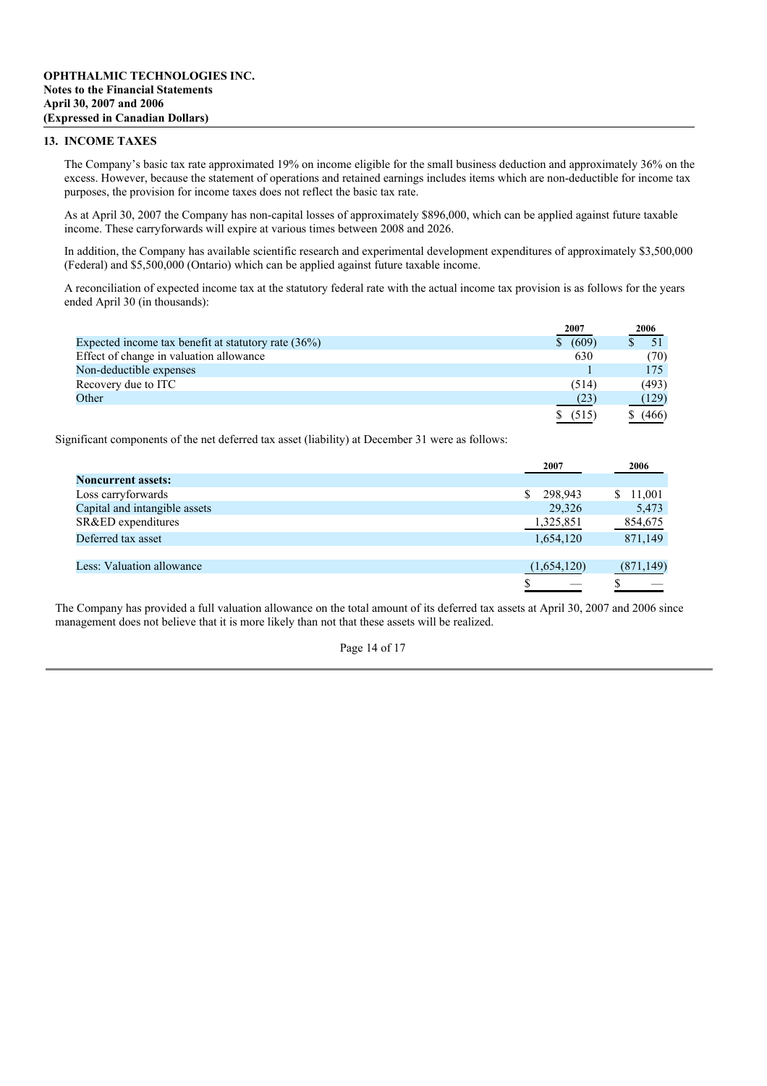## **13. INCOME TAXES**

The Company's basic tax rate approximated 19% on income eligible for the small business deduction and approximately 36% on the excess. However, because the statement of operations and retained earnings includes items which are non-deductible for income tax purposes, the provision for income taxes does not reflect the basic tax rate.

As at April 30, 2007 the Company has non-capital losses of approximately \$896,000, which can be applied against future taxable income. These carryforwards will expire at various times between 2008 and 2026.

In addition, the Company has available scientific research and experimental development expenditures of approximately \$3,500,000 (Federal) and \$5,500,000 (Ontario) which can be applied against future taxable income.

A reconciliation of expected income tax at the statutory federal rate with the actual income tax provision is as follows for the years ended April 30 (in thousands):

|                                                        | 2007  | 2006  |
|--------------------------------------------------------|-------|-------|
| Expected income tax benefit at statutory rate $(36\%)$ | (609) |       |
| Effect of change in valuation allowance                | 630   | (70)  |
| Non-deductible expenses                                |       | 175   |
| Recovery due to ITC                                    | (514) | (493) |
| Other                                                  | (23)  | (129) |
|                                                        | (515) | (466) |

Significant components of the net deferred tax asset (liability) at December 31 were as follows:

|                               | 2007          | 2006         |
|-------------------------------|---------------|--------------|
| <b>Noncurrent assets:</b>     |               |              |
| Loss carryforwards            | 298,943<br>S. | 11,001<br>S. |
| Capital and intangible assets | 29,326        | 5,473        |
| SR&ED expenditures            | 1,325,851     | 854,675      |
| Deferred tax asset            | 1,654,120     | 871,149      |
|                               |               |              |
| Less: Valuation allowance     | (1,654,120)   | (871, 149)   |
|                               |               |              |

The Company has provided a full valuation allowance on the total amount of its deferred tax assets at April 30, 2007 and 2006 since management does not believe that it is more likely than not that these assets will be realized.

#### Page 14 of 17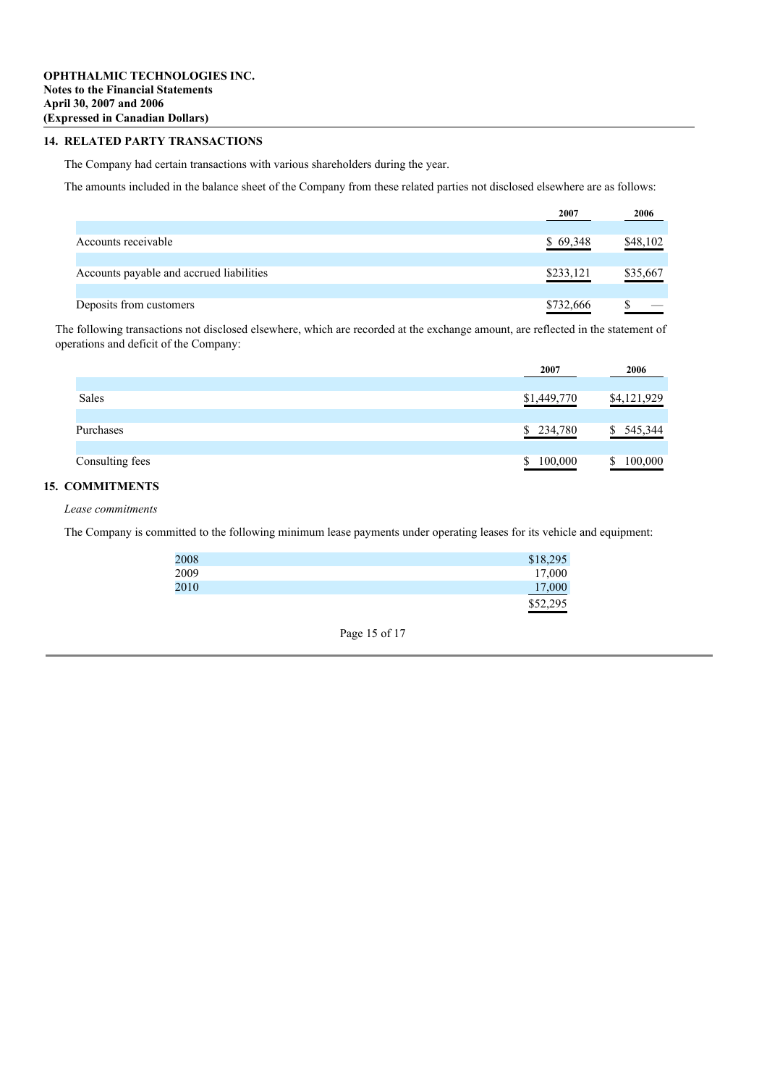## **14. RELATED PARTY TRANSACTIONS**

The Company had certain transactions with various shareholders during the year.

The amounts included in the balance sheet of the Company from these related parties not disclosed elsewhere are as follows:

|                                          | 2007      | 2006     |
|------------------------------------------|-----------|----------|
|                                          |           |          |
| Accounts receivable                      | \$69,348  | \$48,102 |
|                                          |           |          |
| Accounts payable and accrued liabilities | \$233,121 | \$35,667 |
|                                          |           |          |
| Deposits from customers                  | \$732,666 |          |

The following transactions not disclosed elsewhere, which are recorded at the exchange amount, are reflected in the statement of operations and deficit of the Company:

|                 | 2007        | 2006        |
|-----------------|-------------|-------------|
|                 |             |             |
| Sales           | \$1,449,770 | \$4,121,929 |
|                 |             |             |
| Purchases       | \$234,780   | 545,344     |
|                 |             |             |
| Consulting fees | 100,000     | 100,000     |

## **15. COMMITMENTS**

*Lease commitments*

The Company is committed to the following minimum lease payments under operating leases for its vehicle and equipment:

| 2008 | \$18,295 |
|------|----------|
| 2009 | 17,000   |
| 2010 | 17,000   |
|      | \$52,295 |

Page 15 of 17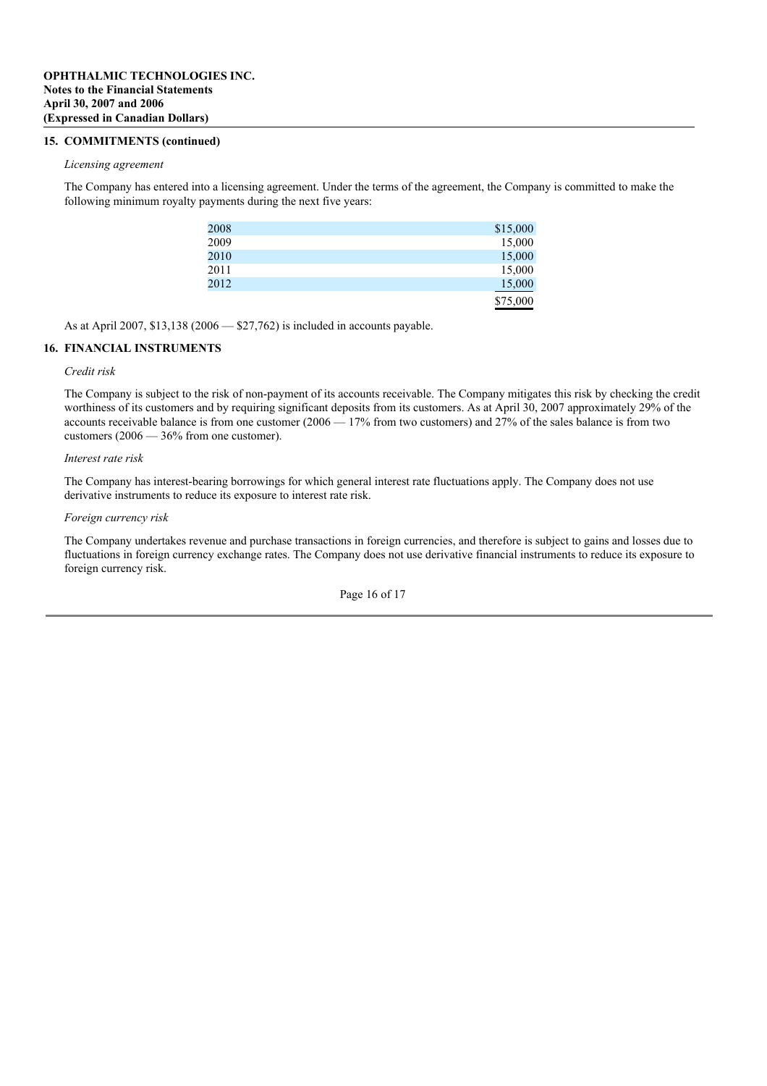### **15. COMMITMENTS (continued)**

#### *Licensing agreement*

The Company has entered into a licensing agreement. Under the terms of the agreement, the Company is committed to make the following minimum royalty payments during the next five years:

| 2008 | \$15,000 |
|------|----------|
| 2009 | 15,000   |
| 2010 | 15,000   |
| 2011 | 15,000   |
| 2012 | 15,000   |
|      | \$75,000 |

As at April 2007, \$13,138 (2006 — \$27,762) is included in accounts payable.

## **16. FINANCIAL INSTRUMENTS**

## *Credit risk*

The Company is subject to the risk of non-payment of its accounts receivable. The Company mitigates this risk by checking the credit worthiness of its customers and by requiring significant deposits from its customers. As at April 30, 2007 approximately 29% of the accounts receivable balance is from one customer  $(2006 - 17\%$  from two customers) and  $27\%$  of the sales balance is from two customers (2006 — 36% from one customer).

#### *Interest rate risk*

The Company has interest-bearing borrowings for which general interest rate fluctuations apply. The Company does not use derivative instruments to reduce its exposure to interest rate risk.

#### *Foreign currency risk*

The Company undertakes revenue and purchase transactions in foreign currencies, and therefore is subject to gains and losses due to fluctuations in foreign currency exchange rates. The Company does not use derivative financial instruments to reduce its exposure to foreign currency risk.

Page 16 of 17